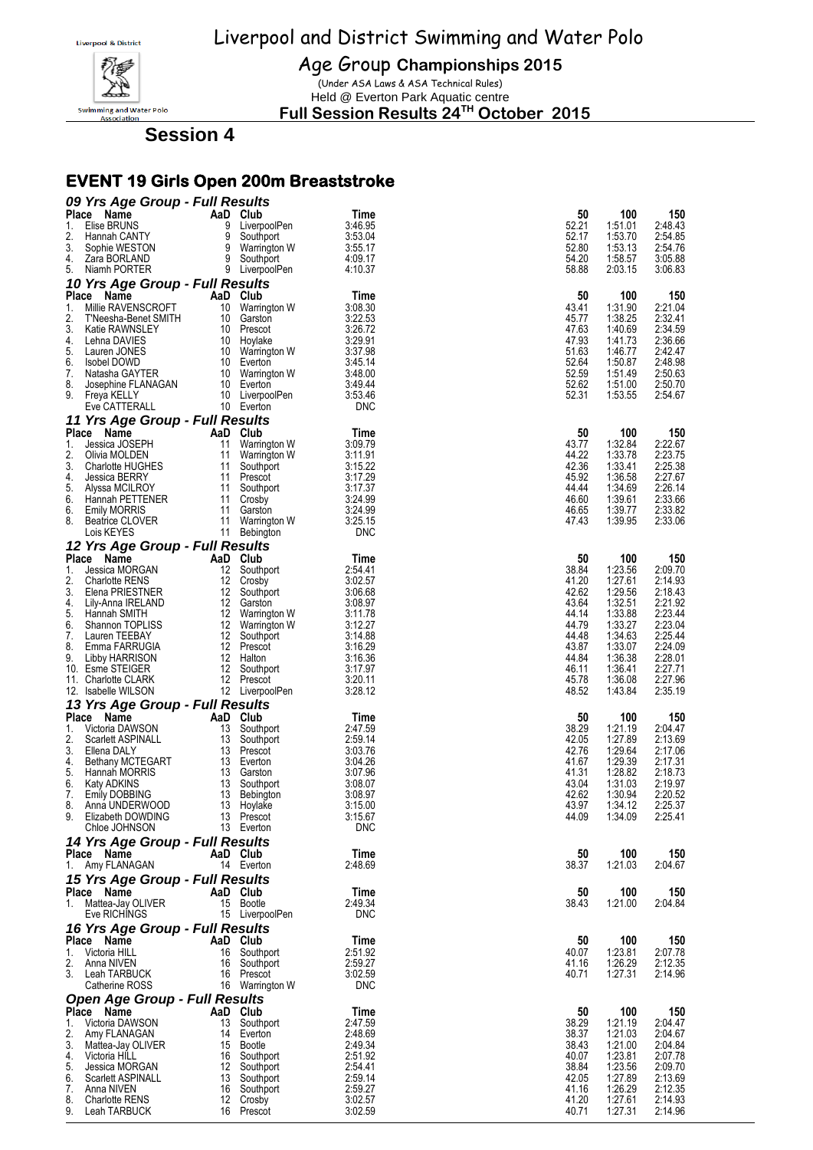

Age Group **Championships 2015**

(Under ASA Laws & ASA Technical Rules) Held @ Everton Park Aquatic centre

**Full Session Results 24TH October 2015**

**Session 4**

# **EVENT 19 Girls Open 200m Breaststroke**

| 09 Yrs Age Group - Full Results<br><b>Place</b>     | AaD Club                           |                       | 50             | 100                | 150                |
|-----------------------------------------------------|------------------------------------|-----------------------|----------------|--------------------|--------------------|
| Name<br>Elise BRUNS<br>1.                           | 9<br>LiverpoolPen                  | Time<br>3:46.95       | 52.21          | 1:51.01            | 2:48.43            |
| 2.<br>Hannah CANTY                                  | 9<br>Southport                     | 3:53.04               | 52.17          | 1:53.70            | 2:54.85            |
| 3.<br>Sophie WESTON                                 | 9<br>Warrington W                  | 3:55.17               | 52.80          | 1:53.13            | 2:54.76            |
| 4.<br>Zara BORLAND                                  | 9<br>Southport                     | 4:09.17               | 54.20          | 1:58.57            | 3:05.88            |
| 5.<br>Niamh PORTER                                  | 9 LiverpoolPen                     | 4:10.37               | 58.88          | 2:03.15            | 3:06.83            |
| 10 Yrs Age Group - Full Results                     |                                    |                       |                |                    |                    |
| Place<br>Name                                       | AaD Club                           | Time                  | 50             | 100                | 150                |
| Millie RAVENSCROFT<br>1.<br>2.                      | 10<br>Warrington W                 | 3:08.30               | 43.41          | 1:31.90            | 2:21.04<br>2:32.41 |
| T'Neesha-Benet SMITH<br>3.<br>Katie RAWNSLEY        | 10<br>Garston<br>10<br>Prescot     | 3:22.53<br>3:26.72    | 45.77<br>47.63 | 1:38.25<br>1:40.69 | 2:34.59            |
| 4.<br>Lehna DAVIES                                  | 10 Hoylake                         | 3:29.91               | 47.93          | 1:41.73            | 2:36.66            |
| 5.<br>Lauren JONES                                  | 10 Warrington W                    | 3:37.98               | 51.63          | 1:46.77            | 2:42.47            |
| 6.<br>Isobel DOWD                                   | 10 Everton                         | 3:45.14               | 52.64          | 1:50.87            | 2:48.98            |
| 7.<br>Natasha GAYTER                                | 10 Warrington W                    | 3.48.00               | 52.59          | 1:51.49            | 2:50.63            |
| 8.<br>Josephine FLANAGAN                            | 10 Everton                         | 3:49.44               | 52.62<br>52.31 | 1:51.00            | 2:50.70            |
| 9.<br>Freya KELLY<br>Eve CATTERALL                  | 10 LiverpoolPen<br>10 Everton      | 3.53.46<br><b>DNC</b> |                | 1:53.55            | 2:54.67            |
|                                                     |                                    |                       |                |                    |                    |
| 11 Yrs Age Group - Full Results<br>Place Name       | AaD Club                           | Time                  | 50             | 100                | 150                |
| 1.<br>Jessica JOSEPH                                | 11<br>Warrington W                 | 3:09.79               | 43.77          | 1:32.84            | 2:22.67            |
| 2.<br>Olivia MOLDEN                                 | 11<br>Warrington W                 | 3:11.91               | 44.22          | 1:33.78            | 2:23.75            |
| 3.<br><b>Charlotte HUGHES</b>                       | 11<br>Southport                    | 3:15.22               | 42.36          | 1:33.41            | 2:25.38            |
| 4.<br><b>Jessica BERRY</b>                          | 11<br>Prescot                      | 3:17.29               | 45.92          | 1:36.58            | 2:27.67            |
| 5.<br>Alyssa MCILROY                                | 11<br>Southport                    | 3:17.37               | 44.44          | 1:34.69            | 2:26.14            |
| 6.<br>Hannah PETTENER<br>6.                         | 11<br>Crosby<br>11<br>Garston      | 3:24.99<br>3:24.99    | 46.60<br>46.65 | 1:39.61<br>1:39.77 | 2:33.66<br>2:33.82 |
| <b>Emily MORRIS</b><br>8.<br><b>Beatrice CLOVER</b> | 11<br>Warrington W                 | 3:25.15               | 47.43          | 1:39.95            | 2:33.06            |
| Lois KEYES                                          | 11 Bebington                       | <b>DNC</b>            |                |                    |                    |
| 12 Yrs Age Group - Full Results                     |                                    |                       |                |                    |                    |
| Place<br>Name                                       | AaD Club                           | Time                  | 50             | 100                | 150                |
| 1.<br>Jessica MORGAN                                | 12<br>Southport                    | 2:54.41               | 38.84          | 1:23.56            | 2:09.70            |
| 2.<br><b>Charlotte RENS</b>                         | 12 Crosby                          | 3:02.57               | 41.20          | 1:27.61            | 2:14.93            |
| 3.<br>Elena PRIESTNER                               | 12<br>Southport                    | 3:06.68               | 42.62          | 1:29.56            | 2:18.43            |
| 4.<br>Lily-Anna IRELAND                             | 12 Garston                         | 3:08.97               | 43.64          | 1:32.51            | 2:21.92            |
| 5.<br>Hannah SMITH<br>6.<br>Shannon TOPLISS         | 12 Warrington W<br>12 Warrington W | 3:11.78<br>3:12.27    | 44.14<br>44.79 | 1:33.88<br>1:33.27 | 2:23.44<br>2:23.04 |
| 7.<br>Lauren TEEBAY                                 | 12<br>Southport                    | 3:14.88               | 44.48          | 1:34.63            | 2:25.44            |
| 8.<br>Emma FARRUGIA                                 | 12 Prescot                         | 3:16.29               | 43.87          | 1:33.07            | 2:24.09            |
| 9.<br>Libby HARRISON                                | 12 Halton                          | 3:16.36               | 44.84          | 1:36.38            | 2:28.01            |
| 10. Esme STEIGER                                    | 12 Southport                       | 3:17.97               | 46.11          | 1:36.41            | 2:27.71            |
| 11. Charlotte CLARK                                 | 12 Prescot                         | 3:20.11               | 45.78          | 1:36.08            | 2:27.96            |
| 12. Isabelle WILSON                                 | 12 LiverpoolPen                    | 3:28.12               | 48.52          | 1:43.84            | 2:35.19            |
| 13 Yrs Age Group - Full Results                     |                                    |                       |                |                    |                    |
| Place Name                                          | AaD Club                           | Time                  | 50             | 100                | 150                |
| 1.<br>Victoria DAWSON<br>2.<br>Scarlett ASPINALL    | 13<br>Southport<br>13<br>Southport | 2:47.59<br>2:59.14    | 38.29<br>42.05 | 1:21.19<br>1:27.89 | 2:04.47<br>2:13.69 |
| 3.<br>Ellena DALY                                   | 13<br>Prescot                      | 3:03.76               | 42.76          | 1:29.64            | 2:17.06            |
| 4.<br><b>Bethany MCTEGART</b>                       | 13 Everton                         | 3:04.26               | 41.67          | 1:29.39            | 2:17.31            |
| 5.<br>Hannah MORRIS                                 | 13<br>Garston                      | 3:07.96               | 41.31          | 1:28.82            | 2:18.73            |
| 6.<br><b>Katy ADKINS</b>                            | 13<br>Southport                    | 3:08.07               | 43.04          | 1:31.03            | 2:19.97            |
| 7.<br>Emily DOBBING                                 | 13<br>Bebington                    | 3:08.97               | 42.62          | 1:30.94            | 2:20.52            |
| Anna UNDERWOOD<br>୪.<br>9.<br>Elizabeth DOWDING     | 13 Hoylake<br>13 Prescot           | 3:15.00<br>3:15.67    | 43.97<br>44.09 | 1:34.12<br>1:34.09 | 2.25.37<br>2:25.41 |
| Chloe JOHNSON                                       | 13 Everton                         | <b>DNC</b>            |                |                    |                    |
| 14 Yrs Age Group - Full Results                     |                                    |                       |                |                    |                    |
| Place Name                                          | AaD Club                           | Time                  | 50             | 100                | 150                |
| 1. Amy FLANAGAN                                     | 14 Everton                         | 2:48.69               | 38.37          | 1:21.03            | 2:04.67            |
| 15 Yrs Age Group - Full Results                     |                                    |                       |                |                    |                    |
| Place Name                                          | AaD Club                           | Time                  | 50             | 100                | 150                |
| 1.<br>Mattea-Jay OLIVER                             | 15 Bootle                          | 2:49.34               | 38.43          | 1:21.00            | 2:04.84            |
| Eve RICHINGS                                        | 15 LiverpoolPen                    | <b>DNC</b>            |                |                    |                    |
| 16 Yrs Age Group - Full Results                     |                                    |                       |                |                    |                    |
| Place Name                                          | AaD Club                           | Time                  | 50             | 100                | 150                |
| Victoria HILL<br>1.                                 | 16<br>Southport                    | 2:51.92               | 40.07          | 1:23.81            | 2:07.78            |
| 2.<br>Anna NIVEN                                    | 16 Southport                       | 2:59.27               | 41.16          | 1:26.29            | 2:12.35            |
| 3.<br>Leah TARBUCK                                  | 16 Prescot                         | 3:02.59               | 40.71          | 1:27.31            | 2:14.96            |
| Catherine ROSS                                      | 16 Warrington W                    | <b>DNC</b>            |                |                    |                    |
| <b>Open Age Group - Full Results</b>                |                                    |                       |                |                    |                    |
| Place Name                                          | AaD Club                           | Time                  | 50             | 100                | 150                |
| 1.<br>Victoria DAWSON<br>2.<br>Amy FLANAGAN         | 13<br>Southport<br>14<br>Everton   | 2:47.59<br>2:48.69    | 38.29<br>38.37 | 1:21.19<br>1:21.03 | 2:04.47<br>2:04.67 |
| 3.<br>Mattea-Jay OLIVER                             | 15<br><b>Bootle</b>                | 2:49.34               | 38.43          | 1:21.00            | 2:04.84            |
| 4.<br>Victoria HILL                                 | 16<br>Southport                    | 2:51.92               | 40.07          | 1:23.81            | 2:07.78            |
| 5.<br>Jessica MORGAN                                | 12<br>Southport                    | 2:54.41               | 38.84          | 1:23.56            | 2:09.70            |
| 6.<br>Scarlett ASPINALL                             | 13<br>Southport                    | 2:59.14               | 42.05          | 1:27.89            | 2:13.69            |
| 7.<br>Anna NIVEN                                    | 16<br>Southport                    | 2:59.27               | 41.16          | 1:26.29            | 2:12.35            |
| 8.<br><b>Charlotte RENS</b><br>9.<br>Leah TARBUCK   | 12<br>Crosby<br>16 Prescot         | 3:02.57<br>3:02.59    | 41.20<br>40.71 | 1:27.61<br>1:27.31 | 2:14.93<br>2:14.96 |
|                                                     |                                    |                       |                |                    |                    |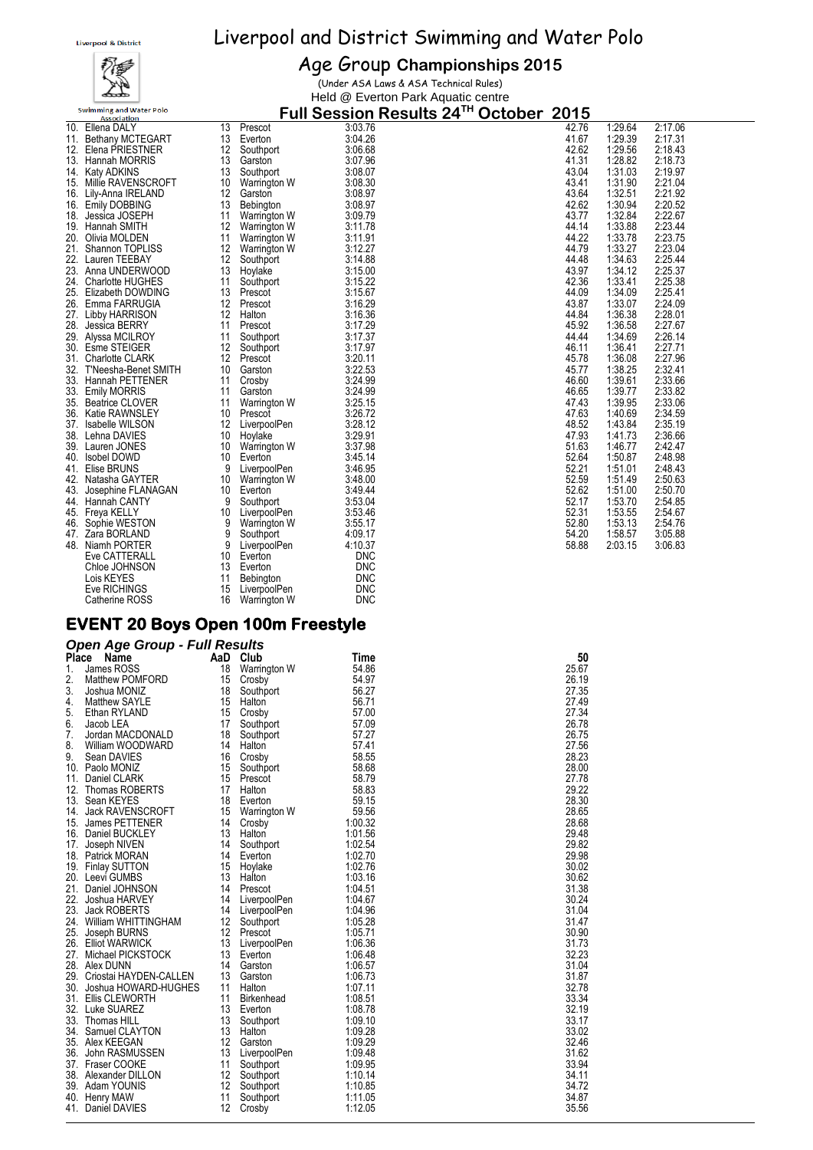

#### Age Group **Championships 2015**

(Under ASA Laws & ASA Technical Rules) Held @ Everton Park Aquatic centre

**Full Session Results 24TH October 2015**

|     | <b>Association</b>       |                   |                     | $\frac{1}{2}$ and $\frac{1}{2}$ decoded in the country $\frac{1}{2}$ | <b>しぃいんいい</b> | -- -  |         |         |
|-----|--------------------------|-------------------|---------------------|----------------------------------------------------------------------|---------------|-------|---------|---------|
| 10. | Ellena DALY              | 13                | Prescot             | 3:03.76                                                              |               | 42.76 | 1:29.64 | 2:17.06 |
| 11. | <b>Bethany MCTEGART</b>  | 13                | Everton             | 3:04.26                                                              |               | 41.67 | 1:29.39 | 2:17.31 |
| 12. | Elena PRIESTNER          | 12                | Southport           | 3:06.68                                                              |               | 42.62 | 1:29.56 | 2:18.43 |
|     | 13. Hannah MORRIS        | 13                | Garston             | 3:07.96                                                              |               | 41.31 | 1:28.82 | 2:18.73 |
| 14. | <b>Katy ADKINS</b>       | 13                | Southport           | 3:08.07                                                              |               | 43.04 | 1:31.03 | 2:19.97 |
| 15. | Millie RAVENSCROFT       | 10                | Warrington W        | 3:08.30                                                              |               | 43.41 | 1:31.90 | 2:21.04 |
|     | 16. Lily-Anna IRELAND    | 12                | Garston             | 3:08.97                                                              |               | 43.64 | 1:32.51 | 2:21.92 |
|     |                          |                   |                     | 3:08.97                                                              |               | 42.62 | 1:30.94 | 2:20.52 |
| 16. | <b>Emily DOBBING</b>     | 13                | Bebington           |                                                                      |               | 43.77 | 1:32.84 | 2:22.67 |
| 18. | Jessica JOSEPH           | 11                | Warrington W        | 3:09.79                                                              |               |       |         |         |
|     | 19. Hannah SMITH         | 12                | Warrington W        | 3:11.78                                                              |               | 44.14 | 1:33.88 | 2:23.44 |
|     | 20. Olivia MOLDEN        | 11                | Warrington W        | 3:11.91                                                              |               | 44.22 | 1:33.78 | 2:23.75 |
| 21. | Shannon TOPLISS          | 12                | Warrington W        | 3:12.27                                                              |               | 44.79 | 1:33.27 | 2:23.04 |
| 22. | Lauren TEEBAY            | 12                | Southport           | 3:14.88                                                              |               | 44.48 | 1:34.63 | 2:25.44 |
| 23. | Anna UNDERWOOD           | 13                | Hoylake             | 3:15.00                                                              |               | 43.97 | 1:34.12 | 2:25.37 |
|     | 24. Charlotte HUGHES     | 11                | Southport           | 3:15.22                                                              |               | 42.36 | 1:33.41 | 2:25.38 |
|     | 25. Elizabeth DOWDING    | 13                | Prescot             | 3:15.67                                                              |               | 44.09 | 1:34.09 | 2:25.41 |
|     | 26. Emma FARRUGIA        | 12                | Prescot             | 3:16.29                                                              |               | 43.87 | 1:33.07 | 2:24.09 |
| 27. | Libby HARRISON           | 12                | Halton              | 3:16.36                                                              |               | 44.84 | 1:36.38 | 2:28.01 |
| 28. | Jessica BERRY            | 11                | Prescot             | 3:17.29                                                              |               | 45.92 | 1:36.58 | 2:27.67 |
| 29. | Alyssa MCILROY           | 11                | Southport           | 3:17.37                                                              |               | 44.44 | 1:34.69 | 2:26.14 |
|     | 30. Esme STEIGER         | 12                | Southport           | 3:17.97                                                              |               | 46.11 | 1:36.41 | 2:27.71 |
|     | 31. Charlotte CLARK      | 12                | Prescot             | 3:20.11                                                              |               | 45.78 | 1:36.08 | 2:27.96 |
|     | 32. T'Neesha-Benet SMITH | 10                | Garston             | 3:22.53                                                              |               | 45.77 | 1:38.25 | 2:32.41 |
|     | 33. Hannah PETTENER      | 11                | Crosby              | 3:24.99                                                              |               | 46.60 | 1:39.61 | 2:33.66 |
|     | 33. Emily MORRIS         | 11                | Garston             | 3:24.99                                                              |               | 46.65 | 1:39.77 | 2:33.82 |
|     | 35. Beatrice CLOVER      | 11                | Warrington W        | 3:25.15                                                              |               | 47.43 | 1:39.95 | 2:33.06 |
| 36. | Katie RAWNSLEY           | 10                | Prescot             | 3:26.72                                                              |               | 47.63 | 1:40.69 | 2:34.59 |
|     |                          | $12 \overline{ }$ |                     | 3:28.12                                                              |               | 48.52 | 1:43.84 | 2:35.19 |
|     | 37. Isabelle WILSON      |                   | LiverpoolPen        |                                                                      |               | 47.93 |         |         |
|     | 38. Lehna DAVIES         | 10                | Hoylake             | 3:29.91                                                              |               |       | 1:41.73 | 2:36.66 |
| 39. | Lauren JONES             | 10                | <b>Warrington W</b> | 3:37.98                                                              |               | 51.63 | 1:46.77 | 2:42.47 |
|     | 40. Isobel DOWD          | 10                | Everton             | 3:45.14                                                              |               | 52.64 | 1:50.87 | 2:48.98 |
| 41. | Elise BRUNS              | 9                 | LiverpoolPen        | 3:46.95                                                              |               | 52.21 | 1:51.01 | 2:48.43 |
| 42. | Natasha GAYTER           | 10                | Warrington W        | 3:48.00                                                              |               | 52.59 | 1:51.49 | 2:50.63 |
| 43. | Josephine FLANAGAN       | 10                | Everton             | 3:49.44                                                              |               | 52.62 | 1:51.00 | 2:50.70 |
| 44. | Hannah CANTY             | 9                 | Southport           | 3:53.04                                                              |               | 52.17 | 1:53.70 | 2:54.85 |
| 45. | Freya KELLY              | 10                | LiverpoolPen        | 3:53.46                                                              |               | 52.31 | 1:53.55 | 2:54.67 |
| 46. | Sophie WESTON            | 9                 | Warrington W        | 3:55.17                                                              |               | 52.80 | 1:53.13 | 2:54.76 |
| 47. | Zara BORLAND             | 9                 | Southport           | 4:09.17                                                              |               | 54.20 | 1:58.57 | 3:05.88 |
|     | 48. Niamh PORTER         | 9                 | LiverpoolPen        | 4:10.37                                                              |               | 58.88 | 2:03.15 | 3:06.83 |
|     | Eve CATTERALL            | 10                | Everton             | <b>DNC</b>                                                           |               |       |         |         |
|     | Chloe JOHNSON            | 13                | Everton             | <b>DNC</b>                                                           |               |       |         |         |
|     | Lois KEYES               | 11                | <b>Bebington</b>    | <b>DNC</b>                                                           |               |       |         |         |
|     | Eve RICHINGS             | 15                | LiverpoolPen        | <b>DNC</b>                                                           |               |       |         |         |
|     | Catherine ROSS           | 16                | Warrington W        | <b>DNC</b>                                                           |               |       |         |         |
|     |                          |                   |                     |                                                                      |               |       |         |         |

#### **EVENT 20 Boys Open 100m Freestyle**

#### *Open Age Group - Full Results*

|       | Open Age Group - Fuil Results |    |                     |         |       |
|-------|-------------------------------|----|---------------------|---------|-------|
| Place | Name                          |    | AaD Club            | Time    | 50    |
| 1.    | James ROSS                    | 18 | Warrington W        | 54.86   | 25.67 |
| 2.    | Matthew POMFORD               | 15 | Crosby              | 54.97   | 26.19 |
| 3.    | Joshua MONIZ                  | 18 | Southport           | 56.27   | 27.35 |
| 4.    | Matthew SAYLE                 | 15 | Halton              | 56.71   | 27.49 |
| 5.    | Ethan RYLAND                  | 15 | Crosby              | 57.00   | 27.34 |
| 6.    | Jacob LEA                     | 17 | Southport           | 57.09   | 26.78 |
| 7.    | Jordan MACDONALD              | 18 | Southport           | 57.27   | 26.75 |
| 8.    | William WOODWARD              | 14 | Halton              | 57.41   | 27.56 |
| 9.    | Sean DAVIES                   | 16 | Crosby              | 58.55   | 28.23 |
|       | 10. Paolo MONIZ               | 15 | Southport           | 58.68   | 28.00 |
| 11.   | Daniel CLARK                  | 15 | Prescot             | 58.79   | 27.78 |
| 12.   | Thomas ROBERTS                | 17 | Halton              | 58.83   | 29.22 |
|       | 13. Sean KEYES                | 18 | Everton             | 59.15   | 28.30 |
| 14.   | <b>Jack RAVENSCROFT</b>       | 15 | <b>Warrington W</b> | 59.56   | 28.65 |
| 15.   | James PETTENER                | 14 | Crosby              | 1:00.32 | 28.68 |
| 16.   | Daniel BUCKLEY                | 13 | Halton              | 1:01.56 | 29.48 |
| 17.   | Joseph NIVEN                  | 14 | Southport           | 1:02.54 | 29.82 |
| 18.   | Patrick MORAN                 | 14 | Everton             | 1:02.70 | 29.98 |
|       | 19. Finlay SUTTON             | 15 | Hoylake             | 1:02.76 | 30.02 |
|       | 20. Leevi GUMBS               | 13 | Halton              | 1:03.16 | 30.62 |
|       | 21. Daniel JOHNSON            | 14 | Prescot             | 1:04.51 | 31.38 |
| 22.   | Joshua HARVEY                 | 14 | LiverpoolPen        | 1:04.67 | 30.24 |
| 23.   | <b>Jack ROBERTS</b>           | 14 | LiverpoolPen        | 1:04.96 | 31.04 |
|       | 24. William WHITTINGHAM       | 12 | Southport           | 1:05.28 | 31.47 |
| 25.   | Joseph BURNS                  | 12 | Prescot             | 1:05.71 | 30.90 |
|       | 26. Elliot WARWICK            | 13 | LiverpoolPen        | 1:06.36 | 31.73 |
|       | 27. Michael PICKSTOCK         | 13 | Everton             | 1:06.48 | 32.23 |
|       | 28. Alex DUNN                 | 14 | Garston             | 1:06.57 | 31.04 |
| 29.   | Criostai HAYDEN-CALLEN        | 13 | Garston             | 1:06.73 | 31.87 |
| 30.   | Joshua HOWARD-HUGHES          | 11 | Halton              | 1:07.11 | 32.78 |
|       | 31. Ellis CLEWORTH            | 11 | <b>Birkenhead</b>   | 1:08.51 | 33.34 |
|       | 32. Luke SUAREZ               | 13 | Everton             | 1:08.78 | 32.19 |
|       | 33. Thomas HILL               | 13 | Southport           | 1:09.10 | 33.17 |
| 34.   | Samuel CLAYTON                | 13 | Halton              | 1:09.28 | 33.02 |
|       | 35. Alex KEEGAN               | 12 | Garston             | 1:09.29 | 32.46 |
| 36.   | John RASMUSSEN                | 13 | LiverpoolPen        | 1:09.48 | 31.62 |
| 37.   | Fraser COOKE                  | 11 | Southport           | 1:09.95 | 33.94 |
| 38.   | Alexander DILLON              | 12 | Southport           | 1:10.14 | 34.11 |
|       | 39. Adam YOUNIS               | 12 | Southport           | 1:10.85 | 34.72 |
| 40.   | <b>Henry MAW</b>              | 11 | Southport           | 1:11.05 | 34.87 |
| 41.   | Daniel DAVIES                 | 12 | Crosby              | 1:12.05 | 35.56 |
|       |                               |    |                     |         |       |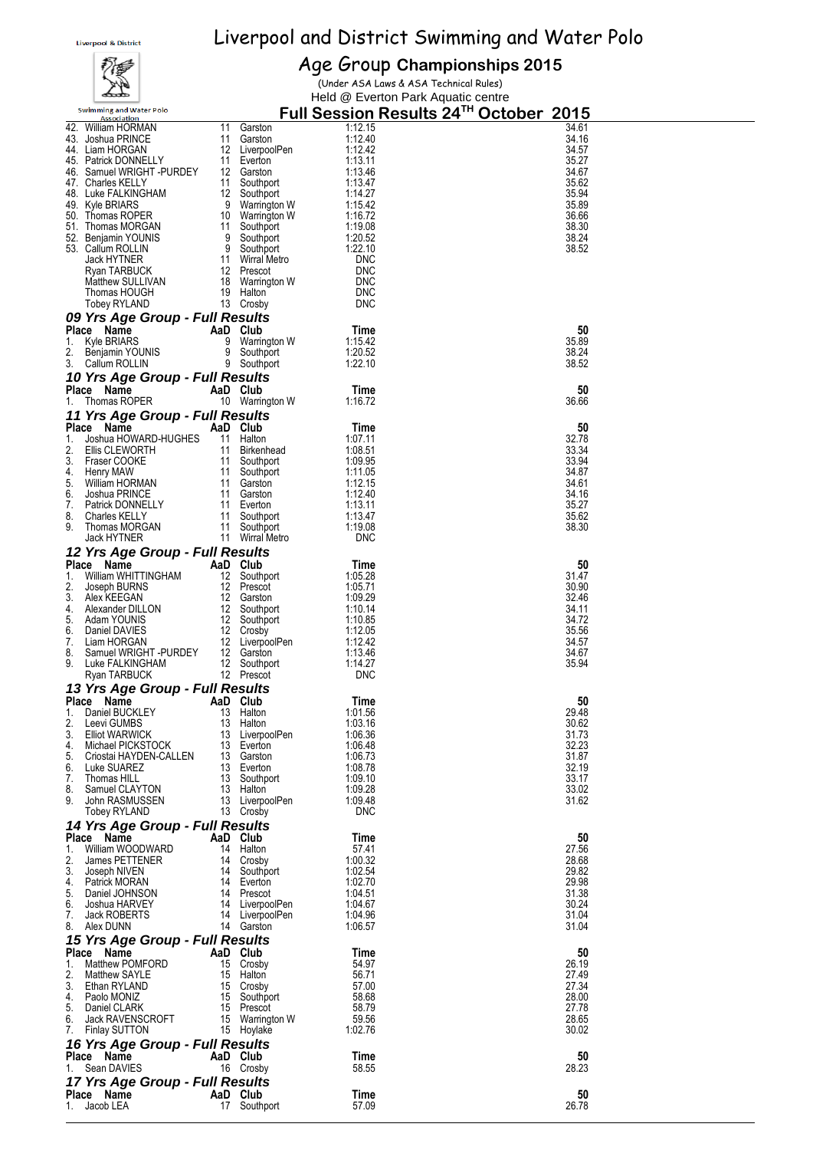# 覆

Age Group **Championships 2015** (Under ASA Laws & ASA Technical Rules)

|          | مختصكه                                        |                  |                         | Held @ Everton Park Aquatic centre |                                        |  |
|----------|-----------------------------------------------|------------------|-------------------------|------------------------------------|----------------------------------------|--|
|          | <b>Swimming and Water Polo</b>                |                  |                         |                                    | Full Session Results 24TH October 2015 |  |
|          | <b>Association</b><br>42. William HORMAN      | 11               | Garston                 | 1:12.15                            | 34.61                                  |  |
|          | 43. Joshua PRINCE                             | 11               | Garston                 | 1:12.40                            | 34.16                                  |  |
|          | 44. Liam HORGAN                               |                  | 12 LiverpoolPen         | 1:12.42                            | 34.57                                  |  |
| 45.      | <b>Patrick DONNELLY</b>                       | 11               | Everton                 | 1:13.11                            | 35.27                                  |  |
|          | 46. Samuel WRIGHT -PURDEY                     |                  | 12 Garston              | 1:13.46                            | 34.67                                  |  |
|          | 47. Charles KELLY                             | 11               | Southport               | 1:13.47                            | 35.62                                  |  |
|          | 48. Luke FALKINGHAM                           | 12 <sup>12</sup> | Southport               | 1:14.27                            | 35.94                                  |  |
|          | 49. Kyle BRIARS                               | 9                | Warrington W            | 1:15.42                            | 35.89                                  |  |
|          | 50. Thomas ROPER                              | 10               | Warrington W            | 1:16.72                            | 36.66                                  |  |
|          | 51. Thomas MORGAN                             | 11               | Southport               | 1:19.08                            | 38.30                                  |  |
|          | 52. Benjamin YOUNIS                           | 9                | Southport               | 1:20.52                            | 38.24                                  |  |
|          | 53. Callum ROLLIN                             | 9                | Southport               | 1:22.10                            | 38.52                                  |  |
|          | <b>Jack HYTNER</b>                            | 11               | Wirral Metro            | <b>DNC</b>                         |                                        |  |
|          | Ryan TARBUCK                                  | 12               | Prescot                 | <b>DNC</b>                         |                                        |  |
|          | Matthew SULLIVAN<br>Thomas HOUGH              | 18<br>19         | Warrington W<br>Halton  | <b>DNC</b><br><b>DNC</b>           |                                        |  |
|          | Tobey RYLAND                                  |                  | 13 Crosby               | <b>DNC</b>                         |                                        |  |
|          |                                               |                  |                         |                                    |                                        |  |
|          | 09 Yrs Age Group - Full Results               |                  |                         |                                    |                                        |  |
|          | Place Name                                    | AaD              | Club                    | Time                               | 50                                     |  |
| 1.       | Kyle BRIARS                                   | 9                | Warrington W            | 1:15.42                            | 35.89                                  |  |
| 2.<br>3. | Benjamin YOUNIS                               | 9<br>9           | Southport<br>Southport  | 1:20.52<br>1:22.10                 | 38.24<br>38.52                         |  |
|          | Callum ROLLIN                                 |                  |                         |                                    |                                        |  |
|          | 10 Yrs Age Group - Full Results               |                  |                         |                                    |                                        |  |
|          | Place Name                                    |                  | AaD Club                | Time                               | 50                                     |  |
| 1.       | Thomas ROPER                                  |                  | 10 Warrington W         | 1:16.72                            | 36.66                                  |  |
|          | 11 Yrs Age Group - Full Results               |                  |                         |                                    |                                        |  |
|          | Place Name                                    |                  | AaD Club                | Time                               | 50                                     |  |
| 1.       | Joshua HOWARD-HUGHES                          |                  | 11 Halton               | 1:07.11                            | 32.78                                  |  |
| 2.       | Ellis CLEWORTH                                |                  | 11 Birkenhead           | 1:08.51                            | 33.34                                  |  |
| 3.       | Fraser COOKE                                  | 11               | Southport               | 1:09.95<br>1:11.05                 | 33.94                                  |  |
| 4.<br>5. | Henry MAW<br>William HORMAN                   | 11               | Southport<br>11 Garston | 1:12.15                            | 34.87<br>34.61                         |  |
| 6.       | Joshua PRINCE                                 | 11               | Garston                 | 1:12.40                            | 34.16                                  |  |
| 7.       | Patrick DONNELLY                              |                  | 11 Everton              | 1:13.11                            | 35.27                                  |  |
| 8.       | <b>Charles KELLY</b>                          | 11               | Southport               | 1:13.47                            | 35.62                                  |  |
| 9.       | Thomas MORGAN                                 | 11               | Southport               | 1:19.08                            | 38.30                                  |  |
|          | Jack HYTNER                                   |                  | 11 Wirral Metro         | <b>DNC</b>                         |                                        |  |
|          | 12 Yrs Age Group - Full Results               |                  |                         |                                    |                                        |  |
|          | Place Name                                    |                  | AaD Club                | Time                               | 50                                     |  |
| 1.       | William WHITTINGHAM                           |                  | 12 Southport            | 1:05.28                            | 31.47                                  |  |
|          | Joseph BURNS                                  |                  | 12 Prescot              | 1:05.71                            | 30.90                                  |  |
| 3.       | Alex KEEGAN                                   |                  | 12 Garston              | 1:09.29                            | 32.46                                  |  |
| 4.       | Alexander DILLON                              | 12               | Southport               | 1:10.14                            | 34.11                                  |  |
| 5.       | Adam YOUNIS                                   | 12 <sup>12</sup> | Southport               | 1:10.85                            | 34.72                                  |  |
| 6.       | Daniel DAVIES                                 |                  | 12 Crosby               | 1:12.05                            | 35.56                                  |  |
| 7.       | Liam HORGAN<br>Samuel WRIGHT -PURDEY          | 12               | LiverpoolPen            | 1:12.42                            | 34.57                                  |  |
| 8.<br>9. | Luke FALKINGHAM                               | 12               | Garston<br>12 Southport | 1:13.46<br>1:14.27                 | 34.67<br>35.94                         |  |
|          | Ryan TARBUCK                                  |                  | 12 Prescot              | <b>DNC</b>                         |                                        |  |
|          |                                               |                  |                         |                                    |                                        |  |
|          | 13 Yrs Age Group - Full Results<br>Place Name |                  |                         |                                    | 50                                     |  |
| 1.       | Daniel BUCKLEY                                | 13               | AaD Club<br>Halton      | Time<br>1:01.56                    | 29.48                                  |  |
| 2.       | Leevi GUMBS                                   | 13               | Halton                  | 1:03.16                            | 30.62                                  |  |
| 3.       | <b>Elliot WARWICK</b>                         | 13               | LiverpoolPen            | 1:06.36                            | 31.73                                  |  |
| 4.       | Michael PICKSTOCK                             | 13               | Everton                 | 1:06.48                            | 32.23                                  |  |
| 5.       | Criostai HAYDEN-CALLEN                        | 13               | Garston                 | 1:06.73                            | 31.87                                  |  |
| 6.       | Luke SUAREZ                                   | 13               | Everton                 | 1:08.78                            | 32.19                                  |  |
| 7.       | Thomas HILL                                   | 13               | Southport               | 1:09.10                            | 33.17                                  |  |
| 8.       | Samuel CLAYTON                                | 13               | Halton                  | 1:09.28                            | 33.02                                  |  |
| 9.       | John RASMUSSEN                                | 13               | LiverpoolPen            | 1:09.48                            | 31.62                                  |  |
|          | Tobey RYLAND                                  |                  | 13 Crosby               | <b>DNC</b>                         |                                        |  |
|          | 14 Yrs Age Group - Full Results               |                  |                         |                                    |                                        |  |
|          | Place Name                                    |                  | AaD Club                | Time                               | 50                                     |  |
| 1.       | William WOODWARD                              | 14               | Halton                  | 57.41                              | 27.56                                  |  |
| 2.       | James PETTENER                                | 14               | Crosby                  | 1:00.32                            | 28.68                                  |  |
| 3.       | Joseph NIVEN                                  | 14               | Southport               | 1:02.54                            | 29.82                                  |  |
| 4.       | Patrick MORAN                                 | 14<br>14         | Everton                 | 1:02.70                            | 29.98<br>31.38                         |  |
| 5.<br>6. | Daniel JOHNSON<br>Joshua HARVEY               | 14               | Prescot<br>LiverpoolPen | 1:04.51<br>1:04.67                 | 30.24                                  |  |
| 7.       | Jack ROBERTS                                  | 14               | LiverpoolPen            | 1:04.96                            | 31.04                                  |  |
| 8.       | Alex DUNN                                     |                  | 14 Garston              | 1:06.57                            | 31.04                                  |  |
|          | 15 Yrs Age Group - Full Results               |                  |                         |                                    |                                        |  |
|          | Place Name                                    |                  | AaD Club                | Time                               | 50                                     |  |
| 1.       | Matthew POMFORD                               | 15               | Crosby                  | 54.97                              | 26.19                                  |  |
| 2.       | Matthew SAYLE                                 | 15               | Halton                  | 56.71                              | 27.49                                  |  |
| 3.       | Ethan RYLAND                                  | 15               | Crosby                  | 57.00                              | 27.34                                  |  |
| 4.       | Paolo MONIZ                                   | 15               | Southport               | 58.68                              | 28.00                                  |  |
| 5.       | Daniel CLARK                                  | 15               | Prescot                 | 58.79                              | 27.78                                  |  |
| 6.       | <b>Jack RAVENSCROFT</b>                       | 15               | Warrington W            | 59.56                              | 28.65                                  |  |
| 7.       | <b>Finlay SUTTON</b>                          | 15               | Hoylake                 | 1:02.76                            | 30.02                                  |  |
|          | 16 Yrs Age Group - Full Results               |                  |                         |                                    |                                        |  |
|          | Place Name                                    |                  | AaD Club                | Time                               | 50                                     |  |
| 1.       | Sean DAVIES                                   |                  | 16 Crosby               | 58.55                              | 28.23                                  |  |
|          | 17 Yrs Age Group - Full Results               |                  |                         |                                    |                                        |  |
|          | Place Name                                    |                  | AaD Club                | Time                               | 50                                     |  |
| 1.       | Jacob LEA                                     |                  | 17 Southport            | 57.09                              | 26.78                                  |  |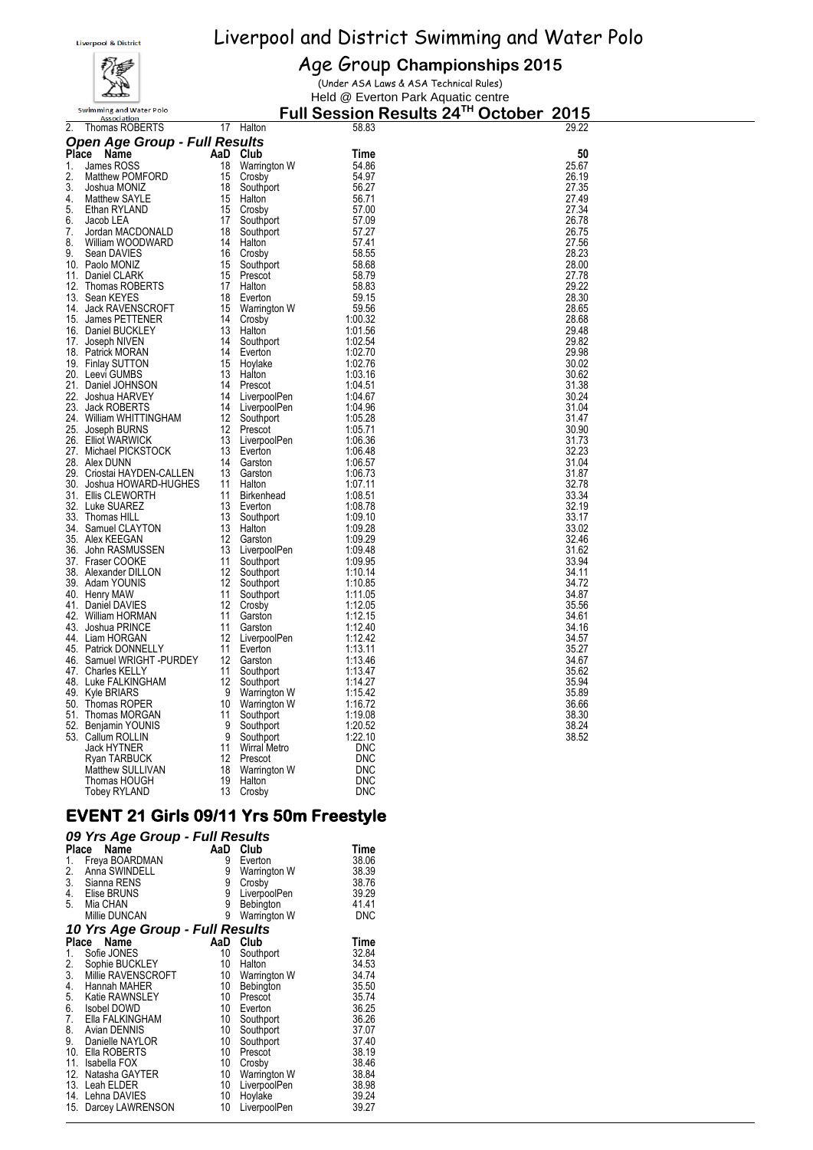

#### Age Group **Championships 2015**

(Under ASA Laws & ASA Technical Rules) Held @ Everton Park Aquatic centre

**Full Session Results 24TH October 2015**

| 2.  | Thomas ROBERTS                             | 17                | Halton                    | 58.83              | 29.22          |
|-----|--------------------------------------------|-------------------|---------------------------|--------------------|----------------|
|     | <b>Open Age Group - Full Results</b>       |                   |                           |                    |                |
|     | Place Name                                 | AaD Club          |                           | Time               | 50             |
| 1.  | James ROSS                                 | 18                | Warrington W              | 54.86              | 25.67          |
| 2.  | Matthew POMFORD                            | 15                | Crosby                    | 54.97              | 26.19          |
| 3.  | Joshua MONIZ                               | 18                | Southport                 | 56.27              | 27.35          |
| 4.  | Matthew SAYLE                              | 15                | Halton                    | 56.71              | 27.49          |
| 5.  | Ethan RYLAND                               | 15                | Crosby                    | 57.00              | 27.34          |
| 6.  | Jacob LEA                                  | 17                | Southport                 | 57.09              | 26.78          |
| 7.  | Jordan MACDONALD                           | 18                | Southport                 | 57.27              | 26.75          |
| 8.  | William WOODWARD                           | 14                | Halton                    | 57.41              | 27.56          |
| 9.  | Sean DAVIES                                | 16                | Crosby                    | 58.55              | 28.23          |
|     | 10. Paolo MONIZ                            | 15                | Southport                 | 58.68              | 28.00          |
|     | 11. Daniel CLARK                           |                   | 15 Prescot                | 58.79              | 27.78          |
|     | 12. Thomas ROBERTS                         | 17                | Halton                    | 58.83              | 29.22          |
|     | 13. Sean KEYES                             | 18                | Everton                   | 59.15              | 28.30          |
|     | 14. Jack RAVENSCROFT                       | 15                | Warrington W              | 59.56              | 28.65          |
|     | 15. James PETTENER                         | 14                | Crosby                    | 1:00.32            | 28.68          |
|     | 16. Daniel BUCKLEY                         | 13                | Halton                    | 1:01.56            | 29.48          |
| 17. | Joseph NIVEN                               | 14                | Southport                 | 1:02.54            | 29.82          |
|     | 18. Patrick MORAN                          | 14                | Everton                   | 1:02.70            | 29.98          |
|     | 19. Finlay SUTTON                          |                   | 15 Hoylake                | 1:02.76            | 30.02          |
|     | 20. Leevi GUMBS                            | 13                | Halton                    | 1:03.16            | 30.62          |
|     | 21. Daniel JOHNSON                         | 14                | Prescot                   | 1:04.51<br>1:04.67 | 31.38<br>30.24 |
|     | 22. Joshua HARVEY<br>23. Jack ROBERTS      | 14                | LiverpoolPen              |                    | 31.04          |
|     | 24. William WHITTINGHAM                    | 14<br>12          | LiverpoolPen<br>Southport | 1:04.96<br>1:05.28 | 31.47          |
| 25. | Joseph BURNS                               | 12                | Prescot                   | 1:05.71            | 30.90          |
|     | 26. Elliot WARWICK                         | 13                | LiverpoolPen              | 1:06.36            | 31.73          |
|     | 27. Michael PICKSTOCK                      | 13                | Everton                   | 1:06.48            | 32.23          |
|     | 28. Alex DUNN                              | 14                | Garston                   | 1:06.57            | 31.04          |
|     | 29. Criostai HAYDEN-CALLEN                 | 13                | Garston                   | 1:06.73            | 31.87          |
|     | 30.   Joshua HOWARD-HUGHES                 | 11                | Halton                    | 1:07.11            | 32.78          |
|     | 31. Ellis CLEWORTH                         | 11                | Birkenhead                | 1:08.51            | 33.34          |
|     | 32. Luke SUAREZ                            | 13                | Everton                   | 1:08.78            | 32.19          |
|     | 33.   Thomas HILL                          | 13                | Southport                 | 1:09.10            | 33.17          |
|     | 34. Samuel CLAYTON                         | 13                | Halton                    | 1:09.28            | 33.02          |
|     | 35. Alex KEEGAN                            | 12                | Garston                   | 1:09.29            | 32.46          |
|     | 36.   John RASMUSSEN                       | 13                | LiverpoolPen              | 1:09.48            | 31.62          |
|     | 37. Fraser COOKE                           | 11                | Southport                 | 1:09.95            | 33.94          |
|     | 38. Alexander DILLON                       |                   | 12 Southport              | 1:10.14            | 34.11          |
|     | 39. Adam YOUNIS                            | 12                | Southport                 | 1:10.85            | 34.72          |
|     | 40. Henry MAW                              | 11                | Southport                 | 1:11.05            | 34.87          |
|     | 41. Daniel DAVIES                          |                   | 12 Crosby                 | 1:12.05            | 35.56          |
|     | 42. William HORMAN                         | 11                | Garston                   | 1:12.15            | 34.61          |
|     | 43. Joshua PRINCE                          | 11                | Garston                   | 1:12.40            | 34.16          |
|     | 44. Liam HORGAN                            | $12 \overline{ }$ | LiverpoolPen              | 1:12.42            | 34.57          |
|     | 45. Patrick DONNELLY                       |                   | 11 Everton                | 1:13.11            | 35.27          |
|     | 46. Samuel WRIGHT -PURDEY                  | 12<br>11          | Garston                   | 1:13.46            | 34.67<br>35.62 |
|     | 47. Charles KELLY<br>48.   Luke FALKINGHAM | 12                | Southport                 | 1:13.47<br>1:14.27 | 35.94          |
| 49. | Kyle BRIARS                                | 9                 | Southport<br>Warrington W | 1:15.42            | 35.89          |
|     | 50. Thomas ROPER                           |                   | 10 Warrington W           | 1:16.72            | 36.66          |
|     | 51. Thomas MORGAN                          | 11                | Southport                 | 1:19.08            | 38.30          |
|     | 52. Benjamin YOUNIS                        | 9                 | Southport                 | 1:20.52            | 38.24          |
|     | 53. Callum ROLLIN                          | 9                 | Southport                 | 1:22.10            | 38.52          |
|     | Jack HYTNER                                | 11                | Wirral Metro              | <b>DNC</b>         |                |
|     | Ryan TARBUCK                               | 12                | Prescot                   | <b>DNC</b>         |                |
|     | Matthew SULLIVAN                           | 18                | Warrington W              | <b>DNC</b>         |                |

#### Tobey RYLAND 13 Crosby DNC **EVENT 21 Girls 09/11 Yrs 50m Freestyle**

Thomas HOUGH 19 Halton DNC

#### *09 Yrs Age Group - Full Results*

|     | $\frac{1}{2}$ is Age or oup - i un results |     |              |            |
|-----|--------------------------------------------|-----|--------------|------------|
|     | Name<br>Place                              | AaD | Club         | Time       |
| 1.  | Freya BOARDMAN                             | 9   | Everton      | 38.06      |
| 2.  | Anna SWINDELL                              | 9   | Warrington W | 38.39      |
| 3.  | Sianna RENS                                | 9   | Crosby       | 38.76      |
| 4.  | Elise BRUNS                                | 9   | LiverpoolPen | 39.29      |
| 5.  | Mia CHAN                                   | 9   | Bebington    | 41.41      |
|     | Millie DUNCAN                              | 9   | Warrington W | <b>DNC</b> |
|     | 10 Yrs Age Group - Full Results            |     |              |            |
|     | Name<br>Place                              | AaD | Club         | Time       |
| 1.  | Sofie JONES                                | 10  | Southport    | 32.84      |
| 2.  | Sophie BUCKLEY                             | 10  | Halton       | 34.53      |
| 3.  | Millie RAVENSCROFT                         | 10  | Warrington W | 34.74      |
| 4.  | Hannah MAHER                               | 10  | Bebington    | 35.50      |
| 5.  | Katie RAWNSLEY                             | 10  | Prescot      | 35.74      |
| 6.  | Isobel DOWD                                | 10  | Everton      | 36.25      |
| 7.  | Ella FALKINGHAM                            | 10  | Southport    | 36.26      |
| 8.  | Avian DENNIS                               | 10  | Southport    | 37.07      |
| 9.  | Danielle NAYLOR                            | 10  | Southport    | 37.40      |
| 10. | Ella ROBERTS                               | 10  | Prescot      | 38.19      |
| 11. | Isabella FOX                               | 10  | Crosby       | 38.46      |
| 12. | Natasha GAYTER                             | 10  | Warrington W | 38.84      |
|     | 13. Leah ELDER                             | 10  | LiverpoolPen | 38.98      |
|     | 14. Lehna DAVIES                           | 10  | Hoylake      | 39.24      |
|     | 15. Darcey LAWRENSON                       | 10  | LiverpoolPen | 39.27      |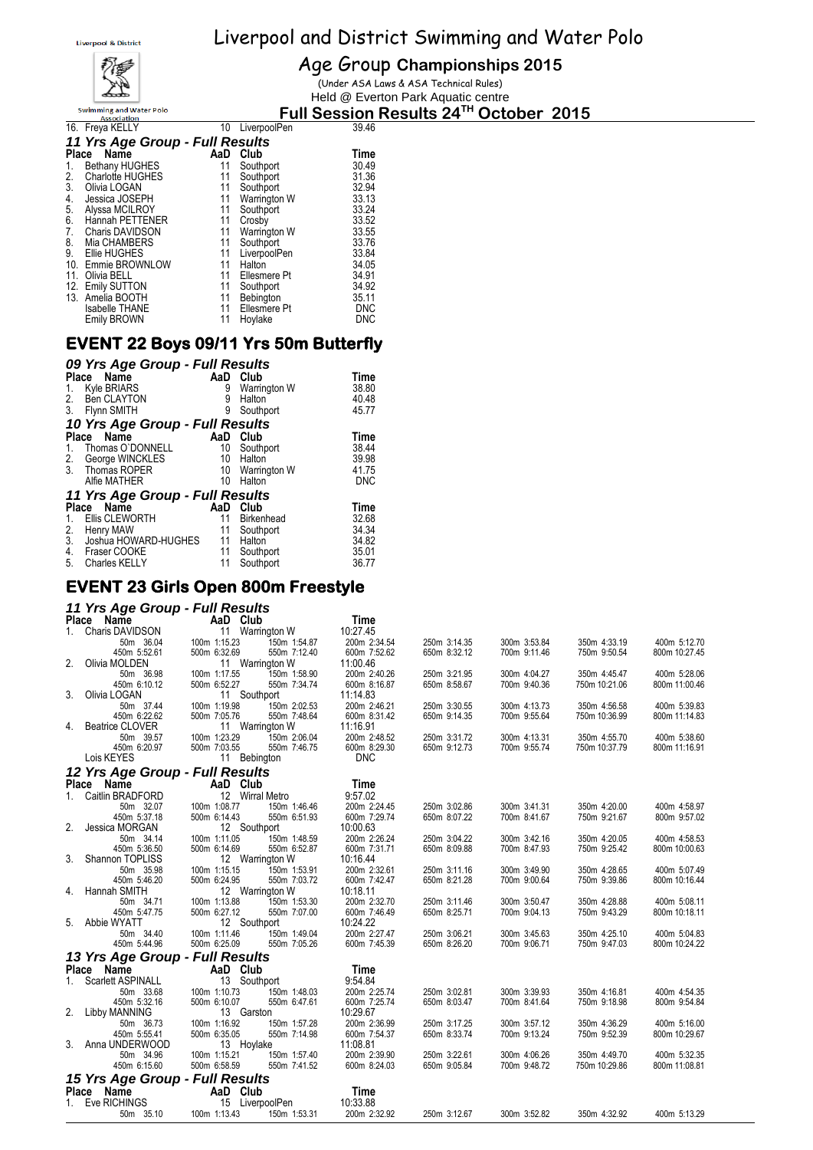

#### Age Group **Championships 2015**

(Under ASA Laws & ASA Technical Rules) Held @ Everton Park Aquatic centre

#### **Full Session Results 24TH October 2015**

| 16. Freya KELLY  |                                                                                                                             |              | 39.46                                                                           |
|------------------|-----------------------------------------------------------------------------------------------------------------------------|--------------|---------------------------------------------------------------------------------|
|                  |                                                                                                                             |              |                                                                                 |
| Name<br>Place    | AaD                                                                                                                         | Club         | Time                                                                            |
|                  | 11                                                                                                                          | Southport    | 30.49                                                                           |
| Charlotte HUGHES | 11                                                                                                                          | Southport    | 31.36                                                                           |
|                  | 11                                                                                                                          | Southport    | 32.94                                                                           |
| Jessica JOSEPH   | 11                                                                                                                          | Warrington W | 33.13                                                                           |
| Alyssa MCILROY   | 11                                                                                                                          | Southport    | 33.24                                                                           |
| Hannah PETTENER  | 11                                                                                                                          | Crosby       | 33.52                                                                           |
| Charis DAVIDSON  | 11                                                                                                                          | Warrington W | 33.55                                                                           |
| Mia CHAMBERS     | 11                                                                                                                          | Southport    | 33.76                                                                           |
| Ellie HUGHES     | 11                                                                                                                          | LiverpoolPen | 33.84                                                                           |
|                  | 11                                                                                                                          | Halton       | 34.05                                                                           |
| 11. Olivia BELL  | 11                                                                                                                          | Ellesmere Pt | 34.91                                                                           |
|                  | 11                                                                                                                          | Southport    | 34.92                                                                           |
| 13.              | 11                                                                                                                          |              | 35.11                                                                           |
|                  | 11                                                                                                                          |              | <b>DNC</b>                                                                      |
| Emily BROWN      | 11                                                                                                                          | Hoylake      | DNC                                                                             |
|                  | <b>Bethany HUGHES</b><br>3. Olivia LOGAN<br>10. Emmie BROWNLOW<br>12. Emily SUTTON<br>Amelia BOOTH<br><b>Isabelle THANE</b> |              | 10 LiverpoolPen<br>11 Yrs Age Group - Full Results<br>Bebington<br>Ellesmere Pt |

### **EVENT 22 Boys 09/11 Yrs 50m Butterfly**

|         | 09 Yrs Age Group - Full Results |     |                   |            |
|---------|---------------------------------|-----|-------------------|------------|
|         | Name<br>Place                   | AaD | Club              | Time       |
| 1.      | <b>Kyle BRIARS</b>              | 9   | Warrington W      | 38.80      |
| 2.      | Ben CLAYTON                     | 9   | Halton            | 40.48      |
|         | 3. Flynn SMITH                  | 9   | Southport         | 45.77      |
|         | 10 Yrs Age Group - Full Results |     |                   |            |
|         | Name<br>Place                   | AaD | Club              | Time       |
| 1.      | Thomas O'DONNELL                | 10  | Southport         | 38.44      |
|         | 2. George WINCKLES              | 10  | Halton            | 39.98      |
| $3_{-}$ | Thomas ROPER                    |     | 10 Warrington W   | 41.75      |
|         | Alfie MATHER                    | 10  | Halton            | <b>DNC</b> |
|         | 11 Yrs Age Group - Full Results |     |                   |            |
|         | Name<br>Place                   | AaD | Club              | Time       |
| 1.      | Ellis CLEWORTH                  | 11  | <b>Birkenhead</b> | 32.68      |
| 2.      | Henry MAW                       | 11  | Southport         | 34.34      |
| 3.      | Joshua HOWARD-HUGHES 11         |     | Halton            | 34.82      |
| 4.      | Fraser COOKE                    | 11  | Southport         | 35.01      |
| 5.      | <b>Charles KELLY</b>            | 11  | Southport         | 36.77      |

#### **EVENT 23 Girls Open 800m Freestyle**

#### *11 Yrs Age Group - Full Results*

|         | $111101.90$ or $047$<br>Place Name | AaD Club                     |              |              |              |               |               |
|---------|------------------------------------|------------------------------|--------------|--------------|--------------|---------------|---------------|
|         |                                    |                              | Time         |              |              |               |               |
| 1.      | Charis DAVIDSON                    | 11 Warrington W              | 10:27.45     |              |              |               |               |
|         | 50m 36.04                          | 100m 1:15.23<br>150m 1:54.87 | 200m 2:34.54 | 250m 3:14.35 | 300m 3:53.84 | 350m 4:33.19  | 400m 5:12.70  |
|         | 450m 5:52.61                       | 500m 6:32.69<br>550m 7:12.40 | 600m 7:52.62 | 650m 8:32.12 | 700m 9:11.46 | 750m 9:50.54  | 800m 10:27.45 |
|         | 2. Olivia MOLDEN                   | 11 Warrington W              | 11:00.46     |              |              |               |               |
|         | 50m 36.98                          | 100m 1:17.55<br>150m 1:58.90 | 200m 2:40.26 | 250m 3:21.95 | 300m 4:04.27 | 350m 4:45.47  | 400m 5:28.06  |
|         | 450m 6:10.12                       | 500m 6:52.27<br>550m 7:34.74 | 600m 8:16.87 | 650m 8:58.67 | 700m 9:40.36 | 750m 10:21.06 | 800m 11:00.46 |
| 3.      | Olivia LOGAN                       | 11 Southport                 | 11:14.83     |              |              |               |               |
|         | 50m 37.44                          | 100m 1:19.98<br>150m 2:02.53 | 200m 2:46.21 | 250m 3:30.55 | 300m 4:13.73 | 350m 4:56.58  | 400m 5:39.83  |
|         | 450m 6:22.62                       | 500m 7:05.76<br>550m 7:48.64 | 600m 8:31.42 | 650m 9:14.35 | 700m 9:55.64 | 750m 10:36.99 | 800m 11:14.83 |
|         | 4. Beatrice CLOVER                 | 11 Warrington W              | 11:16.91     |              |              |               |               |
|         | 50m 39.57                          | 100m 1:23.29<br>150m 2:06.04 | 200m 2:48.52 | 250m 3:31.72 | 300m 4:13.31 | 350m 4:55.70  | 400m 5:38.60  |
|         | 450m 6:20.97                       | 500m 7:03.55<br>550m 7:46.75 | 600m 8:29.30 | 650m 9:12.73 | 700m 9:55.74 | 750m 10:37.79 | 800m 11:16.91 |
|         | Lois KEYES                         | 11 Bebington                 | <b>DNC</b>   |              |              |               |               |
|         | 12 Yrs Age Group - Full Results    |                              |              |              |              |               |               |
|         |                                    |                              |              |              |              |               |               |
|         | Place Name                         | AaD Club                     | Time         |              |              |               |               |
| $1_{-}$ | Caitlin BRADFORD                   | 12 Wirral Metro              | 9:57.02      |              |              |               |               |
|         | 50m 32.07                          | 100m 1:08.77<br>150m 1:46.46 | 200m 2:24.45 | 250m 3:02.86 | 300m 3:41.31 | 350m 4:20.00  | 400m 4:58.97  |
|         | 450m 5:37.18                       | 500m 6:14.43<br>550m 6:51.93 | 600m 7:29.74 | 650m 8:07.22 | 700m 8:41.67 | 750m 9:21.67  | 800m 9:57.02  |
|         | 2. Jessica MORGAN                  | 12 Southport                 | 10:00.63     |              |              |               |               |
|         | 50m 34.14                          | 100m 1:11.05<br>150m 1:48.59 | 200m 2:26.24 | 250m 3:04.22 | 300m 3:42.16 | 350m 4:20.05  | 400m 4:58.53  |
|         | 450m 5:36.50                       | 500m 6:14.69<br>550m 6:52.87 | 600m 7:31.71 | 650m 8:09.88 | 700m 8:47.93 | 750m 9:25.42  | 800m 10:00.63 |
|         | 3. Shannon TOPLISS                 | 12 Warrington W              | 10:16.44     |              |              |               |               |
|         | 50m 35.98                          | 100m 1:15.15<br>150m 1:53.91 | 200m 2:32.61 | 250m 3:11.16 | 300m 3:49.90 | 350m 4:28.65  | 400m 5:07.49  |
|         | 450m 5:46.20                       | 500m 6:24.95<br>550m 7:03.72 | 600m 7:42.47 | 650m 8:21.28 | 700m 9:00.64 | 750m 9:39.86  | 800m 10:16.44 |
|         | 4. Hannah SMITH                    | 12 Warrington W              | 10:18.11     |              |              |               |               |
|         | 50m 34.71                          | 100m 1:13.88<br>150m 1:53.30 | 200m 2:32.70 | 250m 3:11.46 | 300m 3:50.47 | 350m 4:28.88  | 400m 5:08.11  |
|         | 450m 5:47.75                       | 500m 6:27.12<br>550m 7:07.00 | 600m 7:46.49 | 650m 8:25.71 | 700m 9:04.13 | 750m 9:43.29  | 800m 10:18.11 |
|         | 5. Abbie WYATT                     | 12 Southport                 | 10:24.22     |              |              |               |               |
|         | 50m 34.40                          | 100m 1:11.46<br>150m 1:49.04 | 200m 2:27.47 | 250m 3:06.21 | 300m 3:45.63 | 350m 4:25.10  | 400m 5:04.83  |
|         | 450m 5:44.96                       | 500m 6:25.09<br>550m 7:05.26 | 600m 7:45.39 | 650m 8:26.20 | 700m 9:06.71 | 750m 9:47.03  | 800m 10:24.22 |
|         | 13 Yrs Age Group - Full Results    |                              |              |              |              |               |               |
|         |                                    |                              |              |              |              |               |               |
|         | Place Name                         | AaD Club                     | Time         |              |              |               |               |
|         | 1. Scarlett ASPINALL               | 13 Southport                 | 9:54.84      |              |              |               |               |
|         | 50m 33.68                          | 150m 1:48.03<br>100m 1:10.73 | 200m 2:25.74 | 250m 3:02.81 | 300m 3:39.93 | 350m 4:16.81  | 400m 4:54.35  |
|         | 450m 5:32.16                       | 500m 6:10.07<br>550m 6:47.61 | 600m 7:25.74 | 650m 8:03.47 | 700m 8:41.64 | 750m 9:18.98  | 800m 9:54.84  |
|         | 2. Libby MANNING                   | 13 Garston                   | 10:29.67     |              |              |               |               |
|         | 50m 36.73                          | 100m 1:16.92<br>150m 1:57.28 | 200m 2:36.99 | 250m 3:17.25 | 300m 3:57.12 | 350m 4:36.29  | 400m 5:16.00  |
|         | 450m 5:55.41                       | 500m 6:35.05<br>550m 7:14.98 | 600m 7:54.37 | 650m 8:33.74 | 700m 9:13.24 | 750m 9:52.39  | 800m 10:29.67 |
|         | 3. Anna UNDERWOOD                  | 13 Hoylake                   | 11:08.81     |              |              |               |               |
|         | 50m 34.96                          | 150m 1:57.40<br>100m 1:15.21 | 200m 2:39.90 | 250m 3:22.61 | 300m 4:06.26 | 350m 4:49.70  | 400m 5:32.35  |
|         | 450m 6:15.60                       | 500m 6:58.59<br>550m 7:41.52 | 600m 8:24.03 | 650m 9:05.84 | 700m 9:48.72 | 750m 10:29.86 | 800m 11:08.81 |
|         | 15 Yrs Age Group - Full Results    |                              |              |              |              |               |               |
|         |                                    | AaD Club                     |              |              |              |               |               |
|         | Place Name                         |                              | Time         |              |              |               |               |
|         | 1. Eve RICHINGS                    | 15 LiverpoolPen              | 10:33.88     |              |              |               |               |
|         | 50m 35.10                          | 100m 1:13.43<br>150m 1:53.31 | 200m 2:32.92 | 250m 3:12.67 | 300m 3:52.82 | 350m 4:32.92  | 400m 5:13.29  |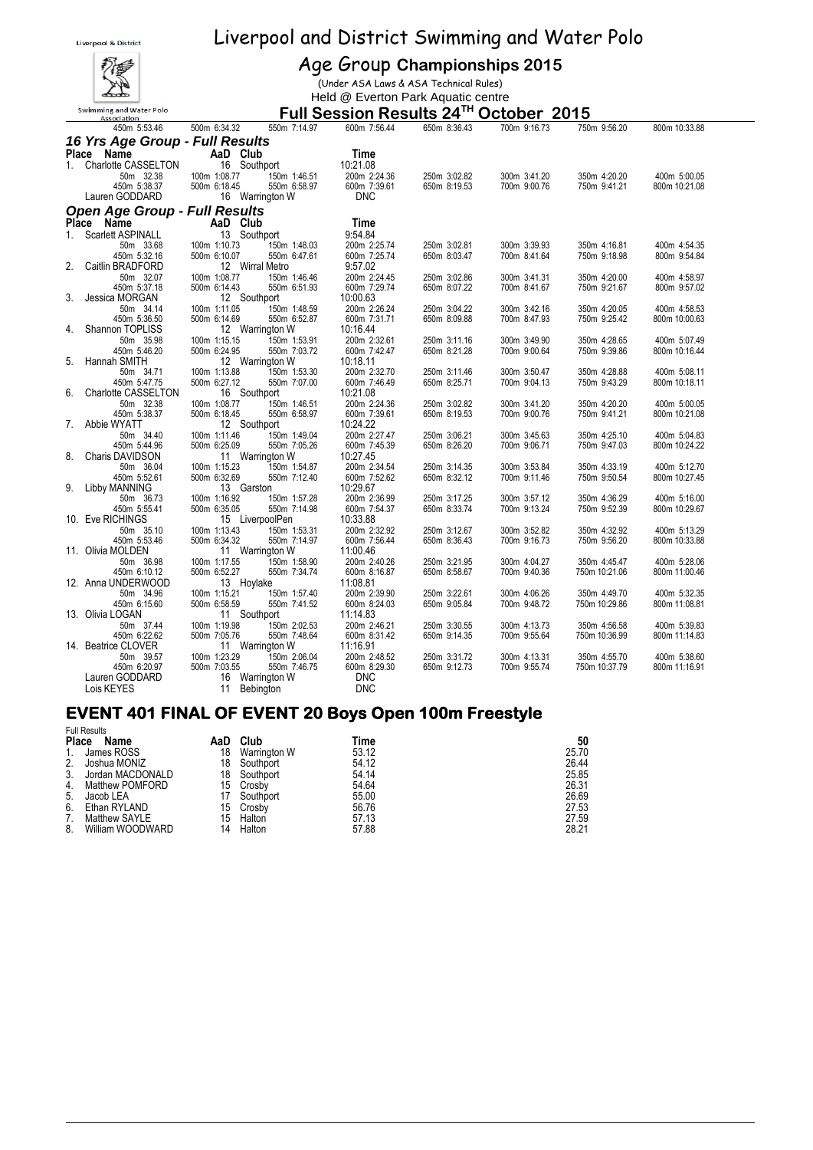

#### Age Group **Championships 2015**

(Under ASA Laws & ASA Technical Rules) Held @ Everton Park Aquatic centre

#### **Full Session Results 24TH October 2015**

|                | 450m 5:53.46                         | 500m 6:34.32                      | 550m 7:14.97                 | 600m 7:56.44                 | 650m 8:36.43                 | 700m 9:16.73                 | 750m 9:56.20                 | 800m 10:33.88 |  |
|----------------|--------------------------------------|-----------------------------------|------------------------------|------------------------------|------------------------------|------------------------------|------------------------------|---------------|--|
|                | 16 Yrs Age Group - Full Results      |                                   |                              |                              |                              |                              |                              |               |  |
|                |                                      |                                   |                              |                              |                              |                              |                              |               |  |
|                | Place Name<br>1. Charlotte CASSELTON | AaD Club                          |                              | Time                         |                              |                              |                              |               |  |
|                |                                      |                                   | 16 Southport                 | 10:21.08                     |                              |                              |                              |               |  |
|                | 50m 32.38<br>450m 5:38.37            | 100m 1:08.77<br>500m 6:18.45      | 150m 1:46.51<br>550m 6:58.97 | 200m 2:24.36<br>600m 7:39.61 | 250m 3:02.82<br>650m 8:19.53 | 300m 3:41.20<br>700m 9:00.76 | 350m 4:20.20<br>750m 9:41.21 | 400m 5:00.05  |  |
|                | Lauren GODDARD                       |                                   |                              | <b>DNC</b>                   |                              |                              |                              | 800m 10:21.08 |  |
|                |                                      |                                   | 16 Warrington W              |                              |                              |                              |                              |               |  |
|                | <b>Open Age Group - Full Results</b> |                                   |                              |                              |                              |                              |                              |               |  |
|                | Place Name                           | AaD Club                          |                              | Time                         |                              |                              |                              |               |  |
| 1 <sup>1</sup> | Scarlett ASPINALL                    | 13 Southport                      |                              | 9:54.84                      |                              |                              |                              |               |  |
|                | 50m 33.68                            | 100m 1:10.73                      | 150m 1:48.03<br>550m 6:47.61 | 200m 2:25.74                 | 250m 3:02.81                 | 300m 3:39.93                 | 350m 4:16.81                 | 400m 4:54.35  |  |
|                | 450m 5:32.16                         | 500m 6:10.07                      |                              | 600m 7:25.74                 | 650m 8:03.47                 | 700m 8:41.64                 | 750m 9:18.98                 | 800m 9:54.84  |  |
|                | 2. Caitlin BRADFORD                  |                                   | 12 Wirral Metro              | 9:57.02                      |                              |                              |                              |               |  |
|                | 50m 32.07                            | 100m 1:08.77                      | 150m 1:46.46                 | 200m 2:24.45                 | 250m 3:02.86                 | 300m 3:41.31                 | 350m 4:20.00                 | 400m 4:58.97  |  |
|                | 450m 5:37.18                         | 500m 6:14.43                      | 550m 6:51.93                 | 600m 7:29.74                 | 650m 8:07.22                 | 700m 8:41.67                 | 750m 9:21.67                 | 800m 9:57.02  |  |
|                | 3. Jessica MORGAN                    |                                   | 12 Southport                 | 10:00.63                     |                              |                              |                              |               |  |
|                | 50m 34.14<br>450m 5:36.50            | 100m 1:11.05                      | 150m 1:48.59<br>550m 6:52.87 | 200m 2:26.24<br>600m 7:31.71 | 250m 3:04.22                 | 300m 3:42.16                 | 350m 4:20.05                 | 400m 4:58.53  |  |
|                | 4. Shannon TOPLISS                   | 500m 6:14.69                      | 12 Warrington W              | 10:16.44                     | 650m 8:09.88                 | 700m 8:47.93                 | 750m 9:25.42                 | 800m 10:00.63 |  |
|                | 50m 35.98                            | 100m 1:15.15                      |                              | 200m 2:32.61                 | 250m 3:11.16                 | 300m 3:49.90                 | 350m 4:28.65                 | 400m 5:07.49  |  |
|                | 450m 5:46.20                         | 500m 6:24.95                      | 150m 1:53.91<br>550m 7:03.72 | 600m 7:42.47                 | 650m 8:21.28                 | 700m 9:00.64                 | 750m 9:39.86                 | 800m 10:16.44 |  |
|                | 5. Hannah SMITH                      |                                   | 12 Warrington W              | 10:18.11                     |                              |                              |                              |               |  |
|                | 50m 34.71                            | 100m 1:13.88                      |                              | 200m 2:32.70                 | 250m 3:11.46                 | 300m 3:50.47                 | 350m 4:28.88                 | 400m 5:08.11  |  |
|                | 450m 5:47.75                         |                                   | 150m 1:53.30<br>550m 7:07.00 | 600m 7:46.49                 | 650m 8:25.71                 | 700m 9:04.13                 | 750m 9:43.29                 | 800m 10:18.11 |  |
|                | 6. Charlotte CASSELTON               | 500m 6:27.12 550m<br>16 Southport |                              | 10:21.08                     |                              |                              |                              |               |  |
|                | 50m 32.38                            | 100m 1:08.77                      | 150m 1:46.51                 | 200m 2:24.36                 | 250m 3:02.82                 | 300m 3:41.20                 | 350m 4:20.20                 | 400m 5:00.05  |  |
|                | 450m 5:38.37                         | 500m 6:18.45                      | 550m 6:58.97                 | 600m 7:39.61                 | 650m 8:19.53                 | 700m 9:00.76                 | 750m 9:41.21                 | 800m 10:21.08 |  |
|                | 7. Abbie WYATT                       | 12 Southport                      |                              | 10:24.22                     |                              |                              |                              |               |  |
|                | 50m 34.40                            | 100m 1:11.46                      | 150m 1:49.04<br>550m 7:05.26 | 200m 2:27.47                 | 250m 3:06.21                 | 300m 3:45.63                 | 350m 4:25.10                 | 400m 5:04.83  |  |
|                | 450m 5:44.96                         | 500m 6:25.09                      |                              | 600m 7:45.39                 | 650m 8:26.20                 | 700m 9:06.71                 | 750m 9:47.03                 | 800m 10:24.22 |  |
|                | 8. Charis DAVIDSON                   |                                   | 11 Warrington W              | 10:27.45                     |                              |                              |                              |               |  |
|                | 50m 36.04                            | 100m 1:15.23                      | 150m 1:54.87                 | 200m 2:34.54                 | 250m 3:14.35                 | 300m 3:53.84                 | 350m 4:33.19                 | 400m 5:12.70  |  |
|                | 450m 5:52.61                         | 500m 6:32.69                      | 550m 7:12.40                 | 600m 7:52.62                 | 650m 8:32.12                 | 700m 9:11.46                 | 750m 9:50.54                 | 800m 10:27.45 |  |
|                | 9. Libby MANNING                     | 13 Garston                        |                              | 10:29.67                     |                              |                              |                              |               |  |
|                | 50m 36.73                            | 100m 1:16.92                      | 150m 1:57.28<br>550m 7:14.98 | 200m 2:36.99                 | 250m 3:17.25                 | 300m 3:57.12                 | 350m 4:36.29                 | 400m 5:16.00  |  |
|                | 450m 5:55.41<br>10. Eve RICHINGS     | 500m 6:35.05                      | 15 LiverpoolPen              | 600m 7:54.37<br>10:33.88     | 650m 8:33.74                 | 700m 9:13.24                 | 750m 9:52.39                 | 800m 10:29.67 |  |
|                | 50m 35.10                            | 100m 1:13.43                      |                              | 200m 2:32.92                 | 250m 3:12.67                 | 300m 3:52.82                 | 350m 4:32.92                 | 400m 5:13.29  |  |
|                | 450m 5:53.46                         | 500m 6:34.32                      | 150m 1:53.31<br>550m 7:14.97 | 600m 7:56.44                 | 650m 8:36.43                 | 700m 9:16.73                 | 750m 9:56.20                 | 800m 10:33.88 |  |
|                | 11. Olivia MOLDEN                    |                                   | 11 Warrington W              | 11:00.46                     |                              |                              |                              |               |  |
|                | 50m 36.98                            | 100m 1:17.55                      | 150m 1:58.90                 | 200m 2:40.26                 | 250m 3:21.95                 | 300m 4:04.27                 | 350m 4:45.47                 | 400m 5:28.06  |  |
|                | 450m 6:10.12                         | 500m 6:52.27                      | 550m 7:34.74                 | 600m 8:16.87                 | 650m 8:58.67                 | 700m 9:40.36                 | 750m 10:21.06                | 800m 11:00.46 |  |
|                | 12. Anna UNDERWOOD                   | 13 Hoylake                        |                              | 11:08.81                     |                              |                              |                              |               |  |
|                | 50m 34.96                            | 100m 1:15.21                      | 150m 1:57.40                 | 200m 2:39.90                 | 250m 3:22.61                 | 300m 4:06.26                 | 350m 4:49.70                 | 400m 5:32.35  |  |
|                | 450m 6:15.60                         | 500m 6:58.59                      | 550m 7:41.52                 | 600m 8:24.03                 | 650m 9:05.84                 | 700m 9:48.72                 | 750m 10:29.86                | 800m 11:08.81 |  |
|                | 13. Olivia LOGAN                     | 11 Southport                      |                              | 11:14.83                     |                              |                              |                              |               |  |
|                | 50m 37.44                            | 100m 1:19.98                      | 150m 2:02.53<br>550m 7:48.64 | 200m 2:46.21                 | 250m 3:30.55                 | 300m 4:13.73                 | 350m 4:56.58                 | 400m 5:39.83  |  |
|                | 450m 6:22.62                         | 500m 7:05.76                      |                              | 600m 8:31.42                 | 650m 9:14.35                 | 700m 9:55.64                 | 750m 10:36.99                | 800m 11:14.83 |  |
|                | 14. Beatrice CLOVER                  |                                   | 11 Warrington W              | 11:16.91                     |                              |                              |                              |               |  |
|                | 50m 39.57                            | 100m 1:23.29                      | 150m 2:06.04                 | 200m 2:48.52                 | 250m 3:31.72                 | 300m 4:13.31                 | 350m 4:55.70                 | 400m 5:38.60  |  |
|                | 450m 6:20.97                         | 500m 7:03.55                      | 550m 7:46.75                 | 600m 8:29.30                 | 650m 9:12.73                 | 700m 9:55.74                 | 750m 10:37.79                | 800m 11:16.91 |  |
|                | Lauren GODDARD                       |                                   | 16 Warrington W              | <b>DNC</b>                   |                              |                              |                              |               |  |
|                | Lois KEYES                           |                                   | 11 Bebington                 | <b>DNC</b>                   |                              |                              |                              |               |  |

#### **EVENT 401 FINAL OF EVENT 20 Boys Open 100m Freestyle**   $F \cdot R$

| Name             | AaD          | Club                | Time      | 50    |
|------------------|--------------|---------------------|-----------|-------|
| James ROSS       | 18           | Warrington W        | 53.12     | 25.70 |
| Joshua MONIZ     | 18           | Southport           | 54.12     | 26.44 |
| Jordan MACDONALD | 18           | Southport           | 54.14     | 25.85 |
| Matthew POMFORD  |              |                     | 54.64     | 26.31 |
| Jacob LEA        |              | Southport           | 55.00     | 26.69 |
| Ethan RYLAND     | 15           | Crosby              | 56.76     | 27.53 |
| Matthew SAYLE    | 15           | Halton              | 57.13     | 27.59 |
| William WOODWARD | 14           | Halton              | 57.88     | 28.21 |
|                  | <b>Place</b> | <b>FUIL RESUILS</b> | 15 Crosby |       |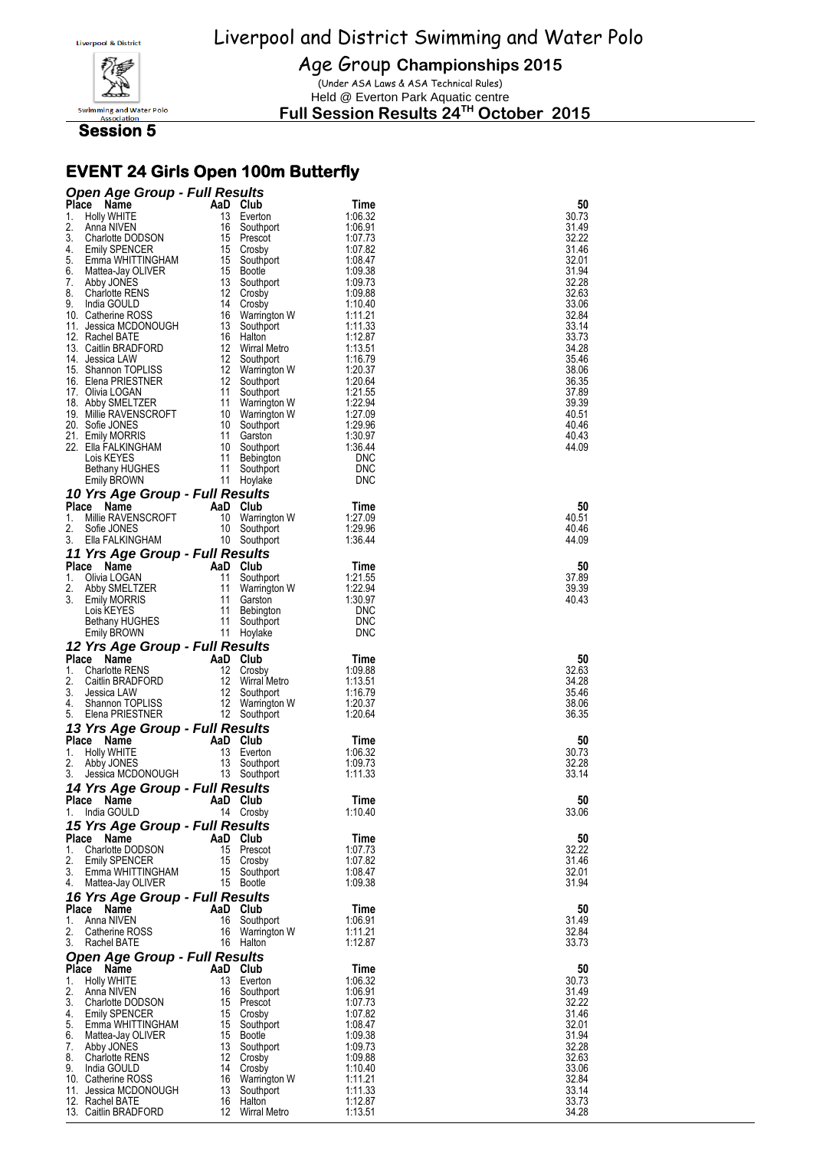

Age Group **Championships 2015**

(Under ASA Laws & ASA Technical Rules) Held @ Everton Park Aquatic centre

**Full Session Results 24TH October 2015**

 **Session 5** 

## **EVENT 24 Girls Open 100m Butterfly**

| <b>Open Age Group - Full Results</b>               |                                       |                    |                |
|----------------------------------------------------|---------------------------------------|--------------------|----------------|
| Place Name                                         | AaD Club                              | Time               | 50             |
| 1.<br>Holly WHITE                                  | 13<br>Everton                         | 1:06.32            | 30.73          |
| 2.<br>Anna NIVEN                                   | 16<br>Southport                       | 1:06.91            | 31.49          |
| 3.<br>Charlotte DODSON                             | 15<br>Prescot                         | 1:07.73            | 32.22          |
| 4.<br><b>Emily SPENCER</b>                         | 15 Crosby                             | 1:07.82            | 31.46          |
| 5.<br>Emma WHITTINGHAM<br>6.<br>Mattea-Jay OLIVER  | 15 Southport<br>15 Bootle             | 1:08.47<br>1:09.38 | 32.01<br>31.94 |
| 7.<br>Abby JONES                                   | 13 Southport                          | 1:09.73            | 32.28          |
| 8.<br><b>Charlotte RENS</b>                        | 12 Crosby                             | 1:09.88            | 32.63          |
| 9.<br>India GOULD                                  | 14<br>Crosby                          | 1:10.40            | 33.06          |
| 10. Catherine ROSS                                 | 16<br>Warrington W                    | 1:11.21            | 32.84          |
| 11. Jessica MCDONOUGH                              | 13 Southport                          | 1:11.33            | 33.14          |
| 12. Rachel BATE<br>13. Caitlin BRADFORD            | 16<br>Halton<br>12 Wirral Metro       | 1:12.87<br>1:13.51 | 33.73<br>34.28 |
| 14. Jessica LAW                                    | 12<br>Southport                       | 1:16.79            | 35.46          |
| 15. Shannon TOPLISS                                | 12 Warrington W                       | 1:20.37            | 38.06          |
| 16. Elena PRIESTNER                                | 12 Southport                          | 1:20.64            | 36.35          |
| 17. Olivia LOGAN                                   | 11 Southport                          | 1:21.55            | 37.89          |
| 18. Abby SMELTZER                                  | 11<br>Warrington W                    | 1:22.94            | 39.39          |
| 19. Millie RAVENSCROFT<br>20. Sofie JONES          | 10 Warrington W<br>10 Southport       | 1:27.09<br>1:29.96 | 40.51<br>40.46 |
| 21. Emily MORRIS                                   | 11<br>Garston                         | 1:30.97            | 40.43          |
| 22.   Ella FALKINGHAM                              | 10 Southport                          | 1.36.44            | 44.09          |
| Lois KEYES                                         | 11 Bebington                          | <b>DNC</b>         |                |
| <b>Bethany HUGHES</b>                              | 11<br>Southport                       | <b>DNC</b>         |                |
| <b>Emily BROWN</b>                                 | 11 Hoylake                            | <b>DNC</b>         |                |
| 10 Yrs Age Group - Full Results                    |                                       |                    |                |
| Place Name                                         | AaD Club                              | Time               | 50             |
| Millie RAVENSCROFT<br>1.                           | 10<br>Warrington W                    | 1:27.09            | 40.51          |
| 2.<br>Sofie JONES<br>3.<br>Ella FALKINGHAM         | 10 Southport<br>10 Southport          | 1:29.96<br>1:36.44 | 40.46<br>44.09 |
|                                                    |                                       |                    |                |
| 11 Yrs Age Group - Full Results<br>Name            |                                       |                    |                |
| <b>Place</b><br>1.<br>Olivia LOGAN                 | AaD Club<br>11<br>Southport           | Time<br>1.21.55    | 50<br>37.89    |
| 2.<br>Abby SMELTZER                                | 11<br>Warrington W                    | 1:22.94            | 39.39          |
| 3.<br><b>Emily MORRIS</b>                          | 11<br>Garston                         | 1:30.97            | 40.43          |
| Lois KEYES                                         | 11 Bebington                          | <b>DNC</b>         |                |
| Bethany HUGHES                                     | 11<br>Southport                       | <b>DNC</b>         |                |
| Emily BROWN                                        | 11 Hoylake                            | <b>DNC</b>         |                |
| 12 Yrs Age Group - Full Results                    |                                       |                    |                |
|                                                    |                                       |                    |                |
| <b>Place</b><br>Name                               | AaD Club                              | Time               | 50             |
| 1.<br><b>Charlotte RENS</b>                        | 12 Crosby                             | 1:09.88            | 32.63          |
| 2.<br>Caitlin BRADFORD                             | 12 Wirral Metro                       | 1:13.51            | 34.28          |
| 3.<br>Jessica LAW                                  | 12<br>Southport                       | 1:16.79            | 35.46          |
| 4.<br>Shannon TOPLISS                              | 12 Warrington W                       | 1:20.37<br>1:20.64 | 38.06<br>36.35 |
| 5.<br>Elena PRIESTNER                              | 12 Southport                          |                    |                |
| 13 Yrs Age Group - Full Results                    |                                       |                    |                |
| Place Name<br>1.                                   | AaD Club<br>13 Everton                | Time<br>1:06.32    | 50<br>30.73    |
| <b>Holly WHITE</b><br>2.<br>Abby JONES             | 13 Southport                          | 1:09.73            | 32.28          |
| Jessica MCDONOUGH 13 Southport<br>3.               |                                       | 1:11.33            | 33.14          |
| 14 Yrs Age Group - Full Results                    |                                       |                    |                |
| Place<br>Name                                      | AaD Club                              | Time               | 50             |
| 1.<br>India GOULD                                  | 14 Crosby                             | 1:10.40            | 33.06          |
| 15 Yrs Age Group - Full Results                    |                                       |                    |                |
| Place<br>Name                                      | AaD Club                              | Time               | 50             |
| 1.<br>Charlotte DODSON                             | 15<br>Prescot                         | 1:07.73            | 32.22          |
| 2.<br><b>Emily SPENCER</b>                         | 15<br>Crosby                          | 1:07.82            | 31.46          |
| 3.<br>Emma WHITTINGHAM                             | 15 Southport                          | 1:08.47            | 32.01          |
| 4.<br>Mattea-Jay OLIVER                            | 15 Bootle                             | 1:09.38            | 31.94          |
| 16 Yrs Age Group - Full Results                    |                                       |                    |                |
| Place Name                                         | AaD Club                              | Time               | 50             |
| 1.<br>Anna NIVEN<br>2.<br>Catherine ROSS           | 16<br>Southport<br>16<br>Warrington W | 1:06.91<br>1:11.21 | 31.49<br>32.84 |
| 3.<br><b>Rachel BATE</b>                           | 16 Halton                             | 1:12.87            | 33.73          |
|                                                    |                                       |                    |                |
| <b>Open Age Group - Full Results</b><br>Place Name | AaD Club                              | Time               | 50             |
| 1.<br><b>Holly WHITE</b>                           | 13<br>Everton                         | 1:06.32            | 30.73          |
| 2.<br>Anna NIVEN                                   | 16<br>Southport                       | 1:06.91            | 31.49          |
| 3.<br><b>Charlotte DODSON</b>                      | 15<br>Prescot                         | 1:07.73            | 32.22          |
| 4.<br><b>Emily SPENCER</b><br>5.                   | 15<br>Crosby<br>15                    | 1:07.82            | 31.46          |
| Emma WHITTINGHAM<br>6.<br>Mattea-Jay OLIVER        | Southport<br>15 Bootle                | 1:08.47<br>1:09.38 | 32.01<br>31.94 |
| 7.<br>Abby JONES                                   | 13 Southport                          | 1:09.73            | 32.28          |
| 8.<br><b>Charlotte RENS</b>                        | 12<br>Crosby                          | 1:09.88            | 32.63          |
| 9.<br>India GOULD                                  | 14<br>Crosby                          | 1:10.40            | 33.06          |
| 10. Catherine ROSS                                 | 16<br>Warrington W                    | 1:11.21            | 32.84          |
| 11.<br>Jessica MCDONOUGH<br>12. Rachel BATE        | 13<br>Southport<br>Halton<br>16       | 1.11.33<br>1:12.87 | 33.14<br>33.73 |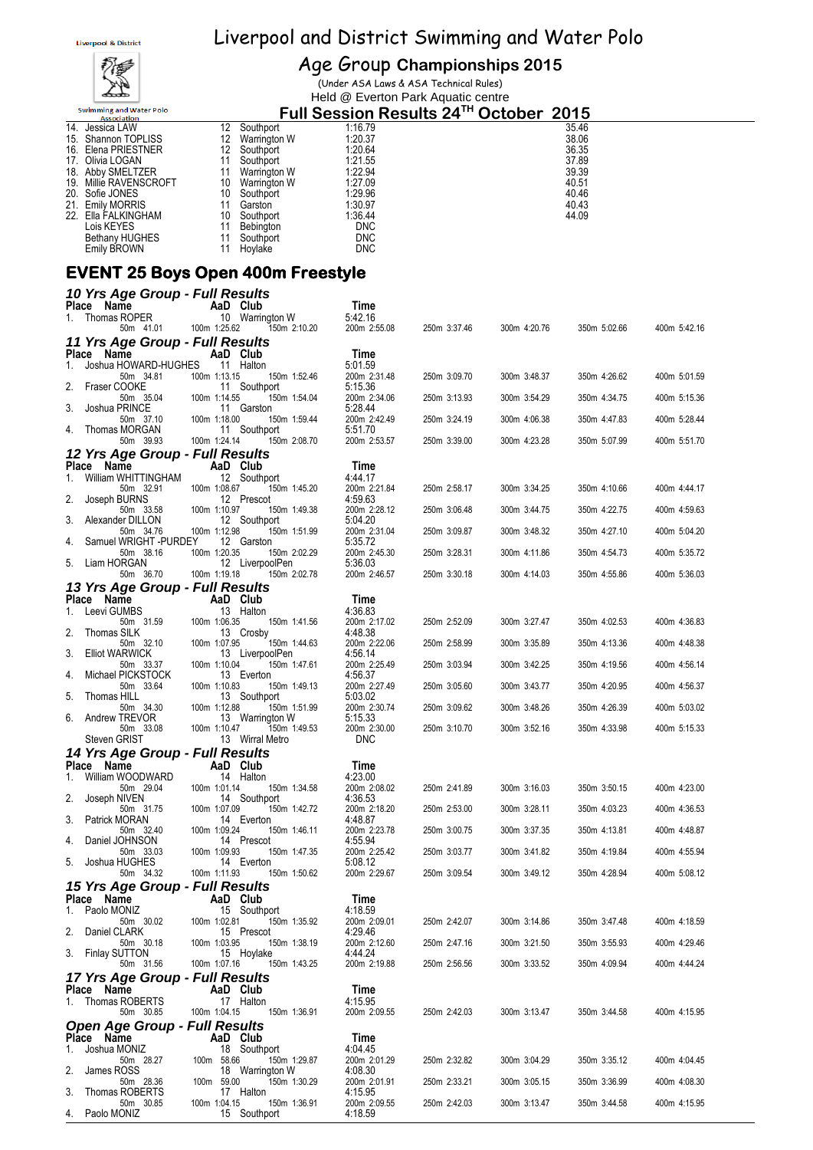

# Age Group **Championships 2015**

(Under ASA Laws & ASA Technical Rules) Held @ Everton Park Aquatic centre

| <b>Swimming and Water Polo</b><br><b>Association</b> |    |                  | Full Session Results 24™ October 2015 |       |
|------------------------------------------------------|----|------------------|---------------------------------------|-------|
| 14.<br>Jessica LAW                                   | 12 | Southport        | 1:16.79                               | 35.46 |
| <b>Shannon TOPLISS</b><br>15.                        |    | Warrington W     | 1:20.37                               | 38.06 |
| Elena PRIESTNER<br>16.                               | 12 | Southport        | 1:20.64                               | 36.35 |
| 17. Olivia LOGAN                                     |    | Southport        | 1:21.55                               | 37.89 |
| 18. Abby SMELTZER                                    |    | Warrington W     | 1:22.94                               | 39.39 |
| 19. Millie RAVENSCROFT                               | 10 | Warrington W     | 1:27.09                               | 40.51 |
| Sofie JONES<br>20.                                   | 10 | Southport        | 1:29.96                               | 40.46 |
| <b>Emily MORRIS</b><br>21.                           |    | Garston          | 1:30.97                               | 40.43 |
| 22.<br>Ella FALKINGHAM                               | 10 | Southport        | 1:36.44                               | 44.09 |
| Lois KEYES                                           |    | <b>Bebington</b> | <b>DNC</b>                            |       |
| <b>Bethany HUGHES</b>                                |    | Southport        | <b>DNC</b>                            |       |
| Emily BROWN                                          |    | Hovlake          | <b>DNC</b>                            |       |

#### **EVENT 25 Boys Open 400m Freestyle**

| 10 Yrs Age Group - Full Results                   |                                                 |                         |              |              |              |              |
|---------------------------------------------------|-------------------------------------------------|-------------------------|--------------|--------------|--------------|--------------|
| Place Name<br>Thomas ROPER<br>1.                  | AaD Club<br>10 Warrington W                     | Time<br>5:42.16         |              |              |              |              |
| 50m 41.01                                         | 100m 1:25.62<br>150m 2:10.20                    | 200m 2:55.08            | 250m 3:37.46 | 300m 4:20.76 | 350m 5:02.66 | 400m 5:42.16 |
| 11 Yrs Age Group - Full Results<br>Place Name     | AaD Club                                        | Time                    |              |              |              |              |
| 1.<br>Joshua HOWARD-HUGHES                        | 11 Halton                                       | 5:01.59                 |              |              |              |              |
| 50m 34.81<br>2.<br>Fraser COOKE                   | 100m 1:13.15<br>150m 1:52.46<br>11 Southport    | 200m 2:31.48<br>5:15.36 | 250m 3:09.70 | 300m 3:48.37 | 350m 4:26.62 | 400m 5:01.59 |
| 50m 35.04<br>3.<br>Joshua PRINCE                  | 100m 1:14.55<br>150m 1:54.04<br>11 Garston      | 200m 2:34.06<br>5:28.44 | 250m 3:13.93 | 300m 3:54.29 | 350m 4:34.75 | 400m 5:15.36 |
| 50m 37.10                                         | 100m 1:18.00<br>150m 1:59.44<br>11 Southport    | 200m 2:42.49<br>5:51.70 | 250m 3:24.19 | 300m 4:06.38 | 350m 4:47.83 | 400m 5:28.44 |
| Thomas MORGAN<br>4.<br>50m 39.93                  | 100m 1:24.14<br>150m 2:08.70                    | 200m 2:53.57            | 250m 3:39.00 | 300m 4:23.28 | 350m 5:07.99 | 400m 5:51.70 |
| 12 Yrs Age Group - Full Results<br>Place Name     | AaD Club                                        | Time                    |              |              |              |              |
| 1.<br>William WHITTINGHAM                         | 12 Southport                                    | 4:44.17                 |              |              |              |              |
| 50m 32.91<br>2.<br>Joseph BURNS                   | 100m 1:08.67<br>150m 1:45.20<br>12 Prescot      | 200m 2:21.84<br>4:59.63 | 250m 2:58.17 | 300m 3:34.25 | 350m 4:10.66 | 400m 4:44.17 |
| 50m 33.58<br>3.<br>Alexander DILLON               | 100m 1:10.97<br>150m 1:49.38<br>12 Southport    | 200m 2:28.12<br>5:04.20 | 250m 3:06.48 | 300m 3:44.75 | 350m 4:22.75 | 400m 4:59.63 |
| 50m 34.76                                         | 100m 1:12.98<br>150m 1:51.99                    | 200m 2:31.04            | 250m 3:09.87 | 300m 3:48.32 | 350m 4:27.10 | 400m 5:04.20 |
| Samuel WRIGHT -PURDEY<br>4.<br>50m 38.16          | 12 Garston<br>100m 1:20.35<br>150m 2:02.29      | 5:35.72<br>200m 2:45.30 | 250m 3:28.31 | 300m 4:11.86 | 350m 4:54.73 | 400m 5:35.72 |
| 5.<br>Liam HORGAN<br>50m 36.70                    | 12 LiverpoolPen<br>100m 1:19.18<br>150m 2:02.78 | 5:36.03<br>200m 2:46.57 | 250m 3:30.18 | 300m 4:14.03 | 350m 4:55.86 | 400m 5:36.03 |
| 13 Yrs Age Group - Full Results                   |                                                 |                         |              |              |              |              |
| Place Name<br>Leevi GUMBS<br>1.                   | AaD Club<br>13 Halton                           | Time<br>4:36.83         |              |              |              |              |
| 50m 31.59<br>2.<br>Thomas SILK                    | 100m 1:06.35<br>150m 1:41.56<br>13 Crosby       | 200m 2:17.02<br>4:48.38 | 250m 2:52.09 | 300m 3:27.47 | 350m 4:02.53 | 400m 4:36.83 |
| 50m 32.10                                         | 100m 1:07.95<br>150m 1:44.63                    | 200m 2:22.06            | 250m 2:58.99 | 300m 3:35.89 | 350m 4:13.36 | 400m 4:48.38 |
| 3.<br><b>Elliot WARWICK</b><br>50m 33.37          | 13 LiverpoolPen<br>100m 1:10.04<br>150m 1:47.61 | 4:56.14<br>200m 2:25.49 | 250m 3:03.94 | 300m 3:42.25 | 350m 4:19.56 | 400m 4:56.14 |
| Michael PICKSTOCK<br>4.<br>50m 33.64              | 13 Everton<br>100m 1:10.83<br>150m 1:49.13      | 4:56.37<br>200m 2:27.49 | 250m 3:05.60 | 300m 3:43.77 | 350m 4:20.95 | 400m 4:56.37 |
| 5.<br>Thomas HILL<br>50m 34.30                    | 13 Southport<br>100m 1:12.88<br>150m 1:51.99    | 5:03.02<br>200m 2:30.74 | 250m 3:09.62 | 300m 3:48.26 | 350m 4:26.39 | 400m 5:03.02 |
| 6.<br>Andrew TREVOR<br>50m 33.08                  | 13 Warrington W<br>150m 1:49.53<br>100m 1:10.47 | 5:15.33<br>200m 2:30.00 | 250m 3:10.70 | 300m 3:52.16 | 350m 4:33.98 | 400m 5:15.33 |
| Steven GRIST                                      | 13 Wirral Metro                                 | <b>DNC</b>              |              |              |              |              |
| 14 Yrs Age Group - Full Results<br>Place Name     | AaD Club                                        | Time                    |              |              |              |              |
| William WOODWARD<br>1.                            | 14 Halton                                       | 4:23.00                 |              |              |              |              |
| 50m 29.04<br>2.<br>Joseph NIVEN                   | 100m 1:01.14<br>150m 1:34.58<br>14 Southport    | 200m 2:08.02<br>4:36.53 | 250m 2:41.89 | 300m 3:16.03 | 350m 3:50.15 | 400m 4:23.00 |
| 50m 31.75<br>3.<br>Patrick MORAN                  | 100m 1:07.09<br>150m 1:42.72<br>14 Everton      | 200m 2:18.20<br>4:48.87 | 250m 2:53.00 | 300m 3:28.11 | 350m 4:03.23 | 400m 4:36.53 |
| 50m 32.40<br>Daniel JOHNSON<br>4.                 | 100m 1:09.24<br>150m 1:46.11<br>14 Prescot      | 200m 2:23.78<br>4:55.94 | 250m 3:00.75 | 300m 3:37.35 | 350m 4:13.81 | 400m 4:48.87 |
| 50m 33.03<br>5.<br>Joshua HUGHES                  | 100m 1:09.93<br>150m 1:47.35<br>14 Everton      | 200m 2:25.42<br>5:08.12 | 250m 3:03.77 | 300m 3:41.82 | 350m 4:19.84 | 400m 4:55.94 |
| 50m 34.32                                         | 100m 1:11.93<br>150m 1:50.62                    | 200m 2:29.67            | 250m 3:09.54 | 300m 3:49.12 | 350m 4:28.94 | 400m 5:08.12 |
| 15 Yrs Age Group - Full Results                   |                                                 | <b>Time</b>             |              |              |              |              |
| Place Name<br>1.<br>Paolo MONIZ                   | AaD Club<br>15 Southport                        | 4:18.59                 |              |              |              |              |
| 50m 30.02<br>2.<br>Daniel CLARK                   | 100m 1:02.81<br>150m 1:35.92<br>15 Prescot      | 200m 2:09.01<br>4:29.46 | 250m 2:42.07 | 300m 3:14.86 | 350m 3:47.48 | 400m 4:18.59 |
| 50m 30.18<br>3. Finlay SUTTON                     | 100m 1:03.95<br>150m 1:38.19<br>15 Hoylake      | 200m 2:12.60<br>4:44.24 | 250m 2:47.16 | 300m 3:21.50 | 350m 3:55.93 | 400m 4:29.46 |
| 50m 31.56                                         | 100m 1:07.16<br>150m 1:43.25                    | 200m 2:19.88            | 250m 2:56.56 | 300m 3:33.52 | 350m 4:09.94 | 400m 4:44.24 |
| 17 Yrs Age Group - Full Results<br>Place Name     | AaD Club                                        | Time                    |              |              |              |              |
| Thomas ROBERTS<br>1.                              | 17 Halton                                       | 4:15.95                 |              |              |              |              |
| 50m 30.85<br><b>Open Age Group - Full Results</b> | 100m 1:04.15<br>150m 1:36.91                    | 200m 2:09.55            | 250m 2:42.03 | 300m 3:13.47 | 350m 3:44.58 | 400m 4:15.95 |
| Place Name                                        | AaD Club                                        | Time                    |              |              |              |              |
| Joshua MONIZ<br>1.<br>50m 28.27                   | 18 Southport<br>100m 58.66<br>150m 1:29.87      | 4:04.45<br>200m 2:01.29 | 250m 2:32.82 | 300m 3:04.29 | 350m 3:35.12 | 400m 4:04.45 |
| 2.<br>James ROSS<br>50m 28.36                     | 18 Warrington W<br>100m 59.00<br>150m 1:30.29   | 4:08.30<br>200m 2:01.91 | 250m 2:33.21 | 300m 3:05.15 | 350m 3:36.99 | 400m 4:08.30 |
| 3.<br>Thomas ROBERTS<br>50m 30.85                 | 17 Halton<br>100m 1:04.15<br>150m 1:36.91       | 4:15.95<br>200m 2:09.55 | 250m 2:42.03 | 300m 3:13.47 | 350m 3:44.58 | 400m 4:15.95 |
| Paolo MONIZ<br>4.                                 | 15 Southport                                    | 4:18.59                 |              |              |              |              |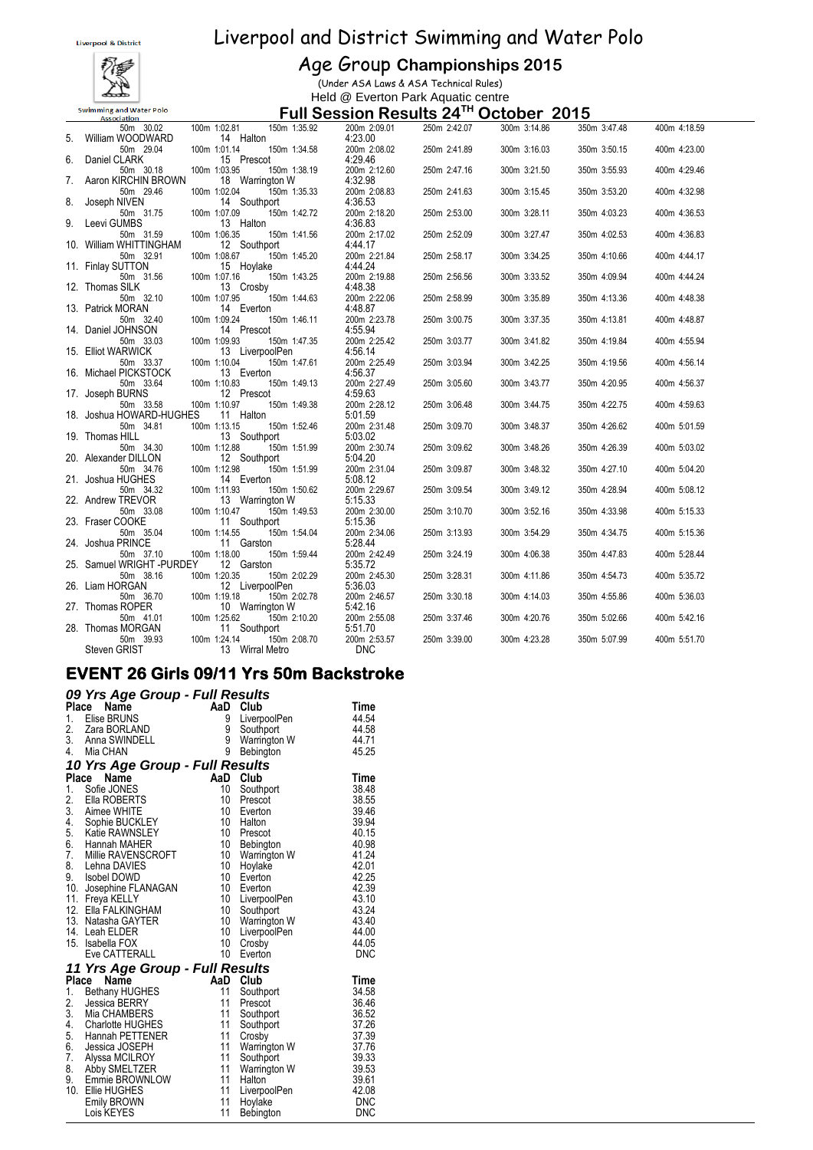

#### Age Group **Championships 2015**

(Under ASA Laws & ASA Technical Rules) Held @ Everton Park Aquatic centre

#### **Full Session Results 24TH October 2015**

|                 | <b>Association</b>                     |                                              | $\frac{1}{2}$ an ocoolon results $2\pi$ |              | ししいいしい       | 20 I V       |              |  |
|-----------------|----------------------------------------|----------------------------------------------|-----------------------------------------|--------------|--------------|--------------|--------------|--|
|                 | 50m 30.02                              | 100m 1:02.81<br>150m 1:35.92                 | 200m 2:09.01                            | 250m 2:42.07 | 300m 3:14.86 | 350m 3:47.48 | 400m 4:18.59 |  |
| 5.              | William WOODWARD                       | 14 Halton                                    | 4:23.00                                 |              |              |              |              |  |
| 6.              | 50m 29.04<br>Daniel CLARK              | 100m 1:01.14<br>150m 1:34.58<br>15 Prescot   | 200m 2:08.02<br>4:29.46                 | 250m 2:41.89 | 300m 3:16.03 | 350m 3:50.15 | 400m 4:23.00 |  |
|                 | 50m 30.18                              | 100m 1:03.95<br>150m 1:38.19                 | 200m 2:12.60                            | 250m 2:47.16 | 300m 3:21.50 | 350m 3:55.93 | 400m 4:29.46 |  |
| $\mathcal{L}$ . | Aaron KIRCHIN BROWN                    | 18 Warrington W                              | 4:32.98                                 |              |              |              |              |  |
|                 | 50m 29.46                              | 150m 1:35.33<br>100m 1:02.04                 | 200m 2:08.83                            | 250m 2:41.63 | 300m 3:15.45 | 350m 3:53.20 | 400m 4:32.98 |  |
| 8.              | Joseph NIVEN                           | 14 Southport                                 | 4:36.53                                 |              |              |              |              |  |
|                 | 50m 31.75                              | 100m 1:07.09<br>150m 1:42.72                 | 200m 2:18.20                            | 250m 2:53.00 | 300m 3:28.11 | 350m 4:03.23 | 400m 4:36.53 |  |
| 9.              | Leevi GUMBS                            | 13 Halton                                    | 4:36.83                                 |              |              |              |              |  |
|                 | 50m 31.59                              | 100m 1:06.35<br>150m 1:41.56                 | 200m 2:17.02                            | 250m 2:52.09 | 300m 3:27.47 | 350m 4:02.53 | 400m 4:36.83 |  |
|                 | 10. William WHITTINGHAM                | 12 Southport                                 | 4:44.17                                 |              |              |              |              |  |
|                 | 50m 32.91<br>11. Finlay SUTTON         | 150m 1:45.20<br>100m 1:08.67<br>15 Hoylake   | 200m 2:21.84<br>4:44.24                 | 250m 2:58.17 | 300m 3:34.25 | 350m 4:10.66 | 400m 4:44.17 |  |
|                 | 50m 31.56                              | 100m 1:07.16<br>150m 1:43.25                 | 200m 2:19.88                            | 250m 2:56.56 | 300m 3:33.52 | 350m 4:09.94 | 400m 4:44.24 |  |
|                 | 12. Thomas SILK                        | 13 Crosby                                    | 4:48.38                                 |              |              |              |              |  |
|                 | 50m 32.10                              | 150m 1:44.63<br>100m 1:07.95                 | 200m 2:22.06                            | 250m 2:58.99 | 300m 3:35.89 | 350m 4:13.36 | 400m 4:48.38 |  |
|                 | 13. Patrick MORAN                      | 14 Everton                                   | 4:48.87                                 |              |              |              |              |  |
|                 | 50m 32.40                              | 150m 1:46.11<br>100m 1:09.24                 | 200m 2:23.78                            | 250m 3:00.75 | 300m 3:37.35 | 350m 4:13.81 | 400m 4:48.87 |  |
|                 | 14. Daniel JOHNSON                     | 14 Prescot                                   | 4:55.94                                 |              |              |              |              |  |
|                 | 50m 33.03                              | 100m 1:09.93<br>150m 1:47.35                 | 200m 2:25.42                            | 250m 3:03.77 | 300m 3:41.82 | 350m 4:19.84 | 400m 4:55.94 |  |
|                 | 15. Elliot WARWICK                     | 13 LiverpoolPen                              | 4:56.14                                 |              |              |              |              |  |
|                 | 50m 33.37<br>16. Michael PICKSTOCK     | 150m 1:47.61<br>100m 1:10.04<br>13 Everton   | 200m 2:25.49<br>4:56.37                 | 250m 3:03.94 | 300m 3:42.25 | 350m 4:19.56 | 400m 4:56.14 |  |
|                 | 50m 33.64                              | 100m 1:10.83<br>150m 1:49.13                 | 200m 2:27.49                            | 250m 3:05.60 | 300m 3:43.77 | 350m 4:20.95 | 400m 4:56.37 |  |
|                 | 17. Joseph BURNS                       | 12 Prescot                                   | 4:59.63                                 |              |              |              |              |  |
|                 | 50m 33.58                              | 100m 1:10.97<br>150m 1:49.38                 | 200m 2:28.12                            | 250m 3:06.48 | 300m 3:44.75 | 350m 4:22.75 | 400m 4:59.63 |  |
|                 | 18. Joshua HOWARD-HUGHES               | 11 Halton                                    | 5:01.59                                 |              |              |              |              |  |
|                 | 50m 34.81                              | 100m 1:13.15<br>150m 1:52.46                 | 200m 2:31.48                            | 250m 3:09.70 | 300m 3:48.37 | 350m 4:26.62 | 400m 5:01.59 |  |
|                 | 19. Thomas HILL                        | 13 Southport                                 | 5:03.02                                 |              |              |              |              |  |
|                 | 50m 34.30                              | 100m 1:12.88<br>150m 1:51.99                 | 200m 2:30.74                            | 250m 3:09.62 | 300m 3:48.26 | 350m 4:26.39 | 400m 5:03.02 |  |
|                 | 20. Alexander DILLON<br>50m 34.76      | 12 Southport<br>100m 1:12.98<br>150m 1:51.99 | 5:04.20<br>200m 2:31.04                 | 250m 3:09.87 | 300m 3:48.32 | 350m 4:27.10 | 400m 5:04.20 |  |
|                 | 21. Joshua HUGHES                      | 14 Everton                                   | 5:08.12                                 |              |              |              |              |  |
|                 | 50m 34.32                              | 100m 1:11.93<br>150m 1:50.62                 | 200m 2:29.67                            | 250m 3:09.54 | 300m 3:49.12 | 350m 4:28.94 | 400m 5:08.12 |  |
|                 | 22. Andrew TREVOR                      | 13 Warrington W                              | 5:15.33                                 |              |              |              |              |  |
|                 | 50m 33.08                              | 100m 1:10.47<br>150m 1:49.53                 | 200m 2:30.00                            | 250m 3:10.70 | 300m 3:52.16 | 350m 4:33.98 | 400m 5:15.33 |  |
|                 | 23. Fraser COOKE                       | 11 Southport                                 | 5:15.36                                 |              |              |              |              |  |
|                 | 50m 35.04                              | 100m 1:14.55<br>150m 1:54.04                 | 200m 2:34.06                            | 250m 3:13.93 | 300m 3:54.29 | 350m 4:34.75 | 400m 5:15.36 |  |
|                 | 24. Joshua PRINCE                      | 11 Garston                                   | 5:28.44                                 |              |              |              |              |  |
|                 | 50m 37.10<br>25. Samuel WRIGHT -PURDEY | 100m 1:18.00<br>150m 1:59.44<br>12 Garston   | 200m 2:42.49                            | 250m 3:24.19 | 300m 4:06.38 | 350m 4:47.83 | 400m 5:28.44 |  |
|                 | 50m 38.16                              | 100m 1:20.35<br>150m 2:02.29                 | 5:35.72<br>200m 2:45.30                 | 250m 3:28.31 | 300m 4:11.86 | 350m 4:54.73 | 400m 5:35.72 |  |
|                 | 26. Liam HORGAN                        | 12 LiverpoolPen                              | 5:36.03                                 |              |              |              |              |  |
|                 | 50m 36.70                              | 150m 2:02.78<br>100m 1:19.18                 | 200m 2:46.57                            | 250m 3:30.18 | 300m 4:14.03 | 350m 4:55.86 | 400m 5:36.03 |  |
|                 | 27. Thomas ROPER                       | 10 Warrington W                              | 5:42.16                                 |              |              |              |              |  |
|                 | 50m 41.01                              | 100m 1:25.62<br>150m 2:10.20                 | 200m 2:55.08                            | 250m 3:37.46 | 300m 4:20.76 | 350m 5:02.66 | 400m 5:42.16 |  |
|                 | 28. Thomas MORGAN                      | 11 Southport                                 | 5:51.70                                 |              |              |              |              |  |
|                 | 50m 39.93                              | 150m 2:08.70<br>100m 1:24.14                 | 200m 2:53.57                            | 250m 3:39.00 | 300m 4:23.28 | 350m 5:07.99 | 400m 5:51.70 |  |
|                 | Steven GRIST                           | 13 Wirral Metro                              | <b>DNC</b>                              |              |              |              |              |  |

#### **EVENT 26 Girls 09/11 Yrs 50m Backstroke**

|       | 09 Yrs Age Group - Full Results |                 |              |            |
|-------|---------------------------------|-----------------|--------------|------------|
| Place | Name                            |                 | AaD Club     | Time       |
| 1.    | Elise BRUNS                     | 9               | LiverpoolPen | 44.54      |
|       | 2. Zara BORLAND                 | 9               | Southport    | 44.58      |
|       | 3. Anna SWINDELL                | 9               | Warrington W | 44.71      |
|       | 4. Mia CHAN                     | 9               | Bebington    | 45.25      |
|       | 10 Yrs Age Group - Full Results |                 |              |            |
|       | Place<br>Name                   |                 | AaD Club     | Time       |
| 1.    | Sofie JONES                     | 10              | Southport    | 38.48      |
| 2.    | Ella ROBERTS                    | 10              | Prescot      | 38.55      |
| 3.    | Aimee WHITE                     | 10              | Everton      | 39.46      |
| 4.    | Sophie BUCKLEY                  | 10              | Halton       | 39.94      |
| 5.    | Katie RAWNSLEY                  | 10              | Prescot      | 40.15      |
|       | 6. Hannah MAHER                 | 10 <sup>°</sup> | Bebington    | 40.98      |
| 7.    | Millie RAVENSCROFT              | 10 <sup>°</sup> | Warrington W | 41.24      |
|       | 8. Lehna DAVIES                 | 10              | Hoylake      | 42.01      |
|       | 9. Isobel DOWD                  | 10 <sup>°</sup> | Everton      | 42.25      |
|       | 10. Josephine FLANAGAN          | 10              | Everton      | 42.39      |
|       | 11. Freya KELLY                 | 10              | LiverpoolPen | 43.10      |
|       | 12. Ella FALKINGHAM             | 10              | Southport    | 43.24      |
|       | 13. Natasha GAYTER              | 10              | Warrington W | 43.40      |
|       | 14. Leah ELDER                  | 10              | LiverpoolPen | 44.00      |
|       | 15. Isabella FOX                | 10              | Crosby       | 44.05      |
|       | Eve CATTERALL                   | 10              | Everton      | <b>DNC</b> |
|       | 11 Yrs Age Group - Full Results |                 |              |            |
|       | Place<br>Name                   |                 | AaD Club     | Time       |
| 1.    | <b>Bethany HUGHES</b>           | 11              | Southport    | 34.58      |
| 2.    | Jessica BERRY                   | 11              | Prescot      | 36.46      |
| 3.    | Mia CHAMBERS                    | 11              | Southport    | 36.52      |
| 4.    | Charlotte HUGHES                | 11              | Southport    | 37.26      |
| 5.    | Hannah PETTENER                 | 11              | Crosby       | 37.39      |
| 6.    | Jessica JOSEPH                  | 11              | Warrington W | 37.76      |
| 7.    | Alyssa MCILROY                  | 11              | Southport    | 39.33      |
| 8.    | Abby SMELTZER                   | 11              | Warrington W | 39.53      |
| 9.    | Emmie BROWNLOW                  | 11              | Halton       | 39.61      |
|       | 10. Ellie HUGHES                | 11              | LiverpoolPen | 42.08      |
|       | Emily BROWN                     | 11              | Hoylake      | <b>DNC</b> |
|       | Lois KEYES                      | 11              | Bebington    | DNC        |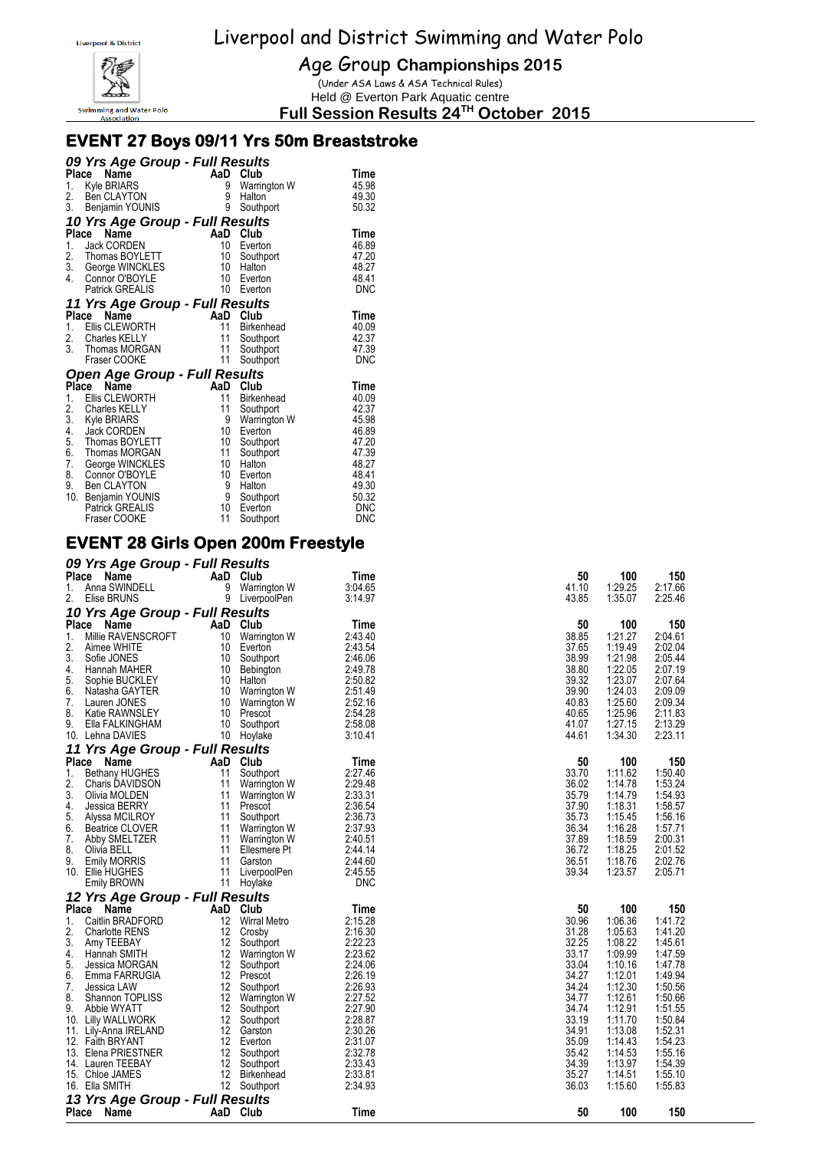

Age Group **Championships 2015**

(Under ASA Laws & ASA Technical Rules) Held @ Everton Park Aquatic centre

**Full Session Results 24TH October 2015**

### **EVENT 27 Boys 09/11 Yrs 50m Breaststroke**

|                | 09 Yrs Age Group - Full Results              |                |                        |                          |
|----------------|----------------------------------------------|----------------|------------------------|--------------------------|
|                | Place<br>Name                                |                | AaD Club               | Time                     |
|                | 1. Kyle BRIARS                               | 9              | Warrington W           | 45.98                    |
|                | 2. Ben CLAYTON<br>3. Benjamin YOUNIS         | 9              | Halton                 | 49.30                    |
|                |                                              | 9              | Southport              | 50.32                    |
|                | 10 Yrs Age Group - Full Results              |                |                        |                          |
|                | Place<br>Name                                | AaD            | Club                   | Time                     |
| 1.             | <b>Jack CORDEN</b>                           | 10             | Everton                | 46.89                    |
| 2.             | Thomas BOYLETT                               | 10             | Southport              | 47.20                    |
| 4.             | 3. George WINCKLES<br>Connor O'BOYLE         | 10<br>10       | Halton<br>Everton      | 48.27<br>48.41           |
|                | <b>Patrick GREALIS</b>                       | 10             | Everton                | <b>DNC</b>               |
|                |                                              |                |                        |                          |
|                | 11 Yrs Age Group - Full Results              |                |                        |                          |
|                | Place<br>Name                                | AaD Club<br>11 |                        | Time                     |
| 1.             | Ellis CLEWORTH<br>2. Charles KELLY           | 11             | <b>Birkenhead</b>      | 40.09<br>42.37           |
|                | 3. Thomas MORGAN                             | 11             | Southport<br>Southport | 47.39                    |
|                | Fraser COOKE                                 | 11             | Southport              | <b>DNC</b>               |
|                |                                              |                |                        |                          |
| Place          | <b>Open Age Group - Full Results</b><br>Name | AaD            | Club                   | Time                     |
| 1.             | Ellis CLEWORTH                               | 11             | <b>Birkenhead</b>      | 40.09                    |
|                | Charles KELLY                                | 11             | Southport              | 42.37                    |
|                | Kyle BRIARS                                  | 9              | Warrington W           | 45.98                    |
| 2.<br>3.<br>4. | Jack CORDEN                                  | 10             | Everton                | 46.89                    |
| 5.<br>6.       | Thomas BOYLETT                               | 10             | Southport              | 47.20                    |
|                | Thomas MORGAN                                | 11             | Southport              | 47.39                    |
| 7.             | George WINCKLES                              | 10             | Halton                 | 48.27                    |
| 8.             | Connor O'BOYLE                               | 10             | Everton                | 48.41                    |
| 9.             | <b>Ben CLAYTON</b>                           | 9              | Halton                 | 49.30                    |
| 10.            | Benjamin YOUNIS                              | 9              | Southport              | 50.32                    |
|                | <b>Patrick GREALIS</b><br>Fraser COOKE       | 10<br>11       | Everton                | <b>DNC</b><br><b>DNC</b> |
|                |                                              |                | Southport              |                          |

#### **EVENT 28 Girls Open 200m Freestyle**

|              | 09 Yrs Age Group - Full Results |                   |                     |         |       |         |         |
|--------------|---------------------------------|-------------------|---------------------|---------|-------|---------|---------|
| Place        | Name                            |                   | AaD Club            | Time    | 50    | 100     | 150     |
| 1.           | Anna SWINDELL                   | 9                 | Warrington W        | 3:04.65 | 41.10 | 1:29.25 | 2:17.66 |
| 2.           | Elise BRUNS                     | 9                 | LiverpoolPen        | 3:14.97 | 43.85 | 1:35.07 | 2:25.46 |
|              | 10 Yrs Age Group - Full Results |                   |                     |         |       |         |         |
| Place        | Name                            | AaD               | Club                | Time    | 50    | 100     | 150     |
| 1.           | Millie RAVENSCROFT              | 10                | Warrington W        | 2:43.40 | 38.85 | 1:21.27 | 2:04.61 |
| 2.           | Aimee WHITE                     | 10                | Everton             | 2:43.54 | 37.65 | 1:19.49 | 2:02.04 |
| 3.           | Sofie JONES                     | 10                | Southport           | 2:46.06 | 38.99 | 1:21.98 | 2:05.44 |
| 4.           | Hannah MAHER                    | 10                | <b>Bebington</b>    | 2:49.78 | 38.80 | 1:22.05 | 2:07.19 |
| 5.           | Sophie BUCKLEY                  | 10                | Halton              | 2:50.82 | 39.32 | 1:23.07 | 2:07.64 |
| 6.           | Natasha GAYTER                  | 10                | Warrington W        | 2:51.49 | 39.90 | 1:24.03 | 2:09.09 |
| 7.           | Lauren JONES                    | 10                | Warrington W        | 2:52.16 | 40.83 | 1:25.60 | 2:09.34 |
| 8.           | <b>Katie RAWNSLEY</b>           | 10                | Prescot             | 2:54.28 | 40.65 | 1:25.96 | 2:11.83 |
| 9.           | Ella FALKINGHAM                 | 10                | Southport           | 2:58.08 | 41.07 | 1:27.15 | 2:13.29 |
|              | 10. Lehna DAVIES                | 10                | Hoylake             | 3:10.41 | 44.61 | 1:34.30 | 2:23.11 |
|              | 11 Yrs Age Group - Full Results |                   |                     |         |       |         |         |
| Place        | Name                            | AaD               | Club                | Time    | 50    | 100     | 150     |
| 1.           | <b>Bethany HUGHES</b>           | 11                | Southport           | 2:27.46 | 33.70 | 1:11.62 | 1:50.40 |
| 2.           | <b>Charis DAVIDSON</b>          | 11                | Warrington W        | 2:29.48 | 36.02 | 1:14.78 | 1:53.24 |
| 3.           | Olivia MOLDEN                   | 11                | Warrington W        | 2:33.31 | 35.79 | 1:14.79 | 1:54.93 |
| 4.           | <b>Jessica BERRY</b>            | 11                | Prescot             | 2:36.54 | 37.90 | 1:18.31 | 1:58.57 |
| 5.           | Alyssa MCILROY                  | 11                | Southport           | 2:36.73 | 35.73 | 1:15.45 | 1:56.16 |
| 6.           | <b>Beatrice CLOVER</b>          | 11                | Warrington W        | 2:37.93 | 36.34 | 1:16.28 | 1:57.71 |
| 7.           | Abby SMELTZER                   | 11                | Warrington W        | 2:40.51 | 37.89 | 1:18.59 | 2:00.31 |
| 8.           | Olivia BELL                     | 11                | Ellesmere Pt        | 2:44.14 | 36.72 | 1:18.25 | 2:01.52 |
| 9.           | <b>Emily MORRIS</b>             | 11                | Garston             | 2:44.60 | 36.51 | 1:18.76 | 2:02.76 |
|              | 10. Ellie HUGHES                | 11                | LiverpoolPen        | 2:45.55 | 39.34 | 1:23.57 | 2:05.71 |
|              | Emily BROWN                     | 11                | Hoylake             | DNC     |       |         |         |
|              | 12 Yrs Age Group - Full Results |                   |                     |         |       |         |         |
| Place        | Name                            | AaD               | Club                | Time    | 50    | 100     | 150     |
| 1.           | Caitlin BRADFORD                | 12                | <b>Wirral Metro</b> | 2:15.28 | 30.96 | 1:06.36 | 1:41.72 |
| 2.           | <b>Charlotte RENS</b>           | 12                | Crosby              | 2:16.30 | 31.28 | 1:05.63 | 1:41.20 |
| 3.           | Amy TEEBAY                      | 12                | Southport           | 2:22.23 | 32.25 | 1:08.22 | 1:45.61 |
| 4.           | Hannah SMITH                    | 12                | Warrington W        | 2:23.62 | 33.17 | 1:09.99 | 1:47.59 |
| 5.           | Jessica MORGAN                  | 12                | Southport           | 2:24.06 | 33.04 | 1:10.16 | 1:47.78 |
| 6.           | Emma FARRUGIA                   | $12 \overline{ }$ | Prescot             | 2:26.19 | 34.27 | 1:12.01 | 1:49.94 |
| 7.           | Jessica LAW                     | 12                | Southport           | 2:26.93 | 34.24 | 1:12.30 | 1:50.56 |
| 8.           | Shannon TOPLISS                 | 12                | Warrington W        | 2:27.52 | 34.77 | 1:12.61 | 1:50.66 |
| 9.           | Abbie WYATT                     | 12                | Southport           | 2:27.90 | 34.74 | 1:12.91 | 1:51.55 |
|              | 10. Lilly WALLWORK              | 12                | Southport           | 2:28.87 | 33.19 | 1:11.70 | 1:50.84 |
|              | 11. Lily-Anna IRELAND           | 12                | Garston             | 2:30.26 | 34.91 | 1:13.08 | 1:52.31 |
|              | 12. Faith BRYANT                | 12                | Everton             | 2:31.07 | 35.09 | 1:14.43 | 1:54.23 |
|              | 13. Elena PRIESTNER             | 12                | Southport           | 2:32.78 | 35.42 | 1:14.53 | 1:55.16 |
|              | 14. Lauren TEEBAY               | 12                | Southport           | 2:33.43 | 34.39 | 1:13.97 | 1:54.39 |
|              | 15. Chloe JAMES                 | 12                | Birkenhead          | 2:33.81 | 35.27 | 1:14.51 | 1:55.10 |
|              | 16. Ella SMITH                  | 12                | Southport           | 2:34.93 | 36.03 | 1:15.60 | 1:55.83 |
|              | 13 Yrs Age Group - Full Results |                   |                     |         |       |         |         |
| <b>Place</b> | Name                            |                   | AaD Club            | Time    | 50    | 100     | 150     |
|              |                                 |                   |                     |         |       |         |         |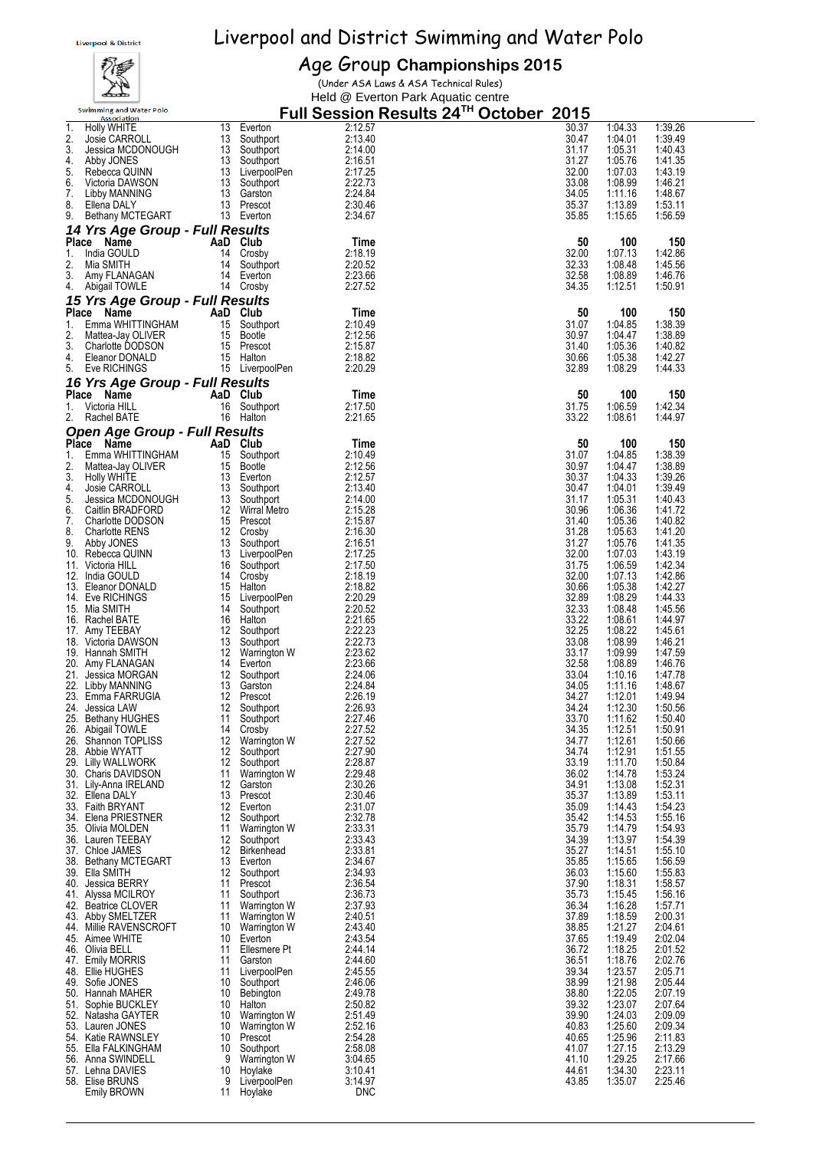# Eiverpool and District Swimming and Water Polo<br>Age Group Championships 2015



## Age Group **Championships 2015**

(Under ASA Laws & ASA Technical Rules) Held @ Everton Park Aquatic centre

|          | <b>Swimming and Water Polo</b><br>Association |          |                               |                    | Full Session Results 24 <sup>™</sup> October_2015 |                    |                    |
|----------|-----------------------------------------------|----------|-------------------------------|--------------------|---------------------------------------------------|--------------------|--------------------|
| 1.       | Holly WHITE                                   | 13       | Everton                       | 2:12.57            | 30.37                                             | 1:04.33            | 1:39.26            |
| 2.<br>3. | Josie CARROLL<br>Jessica MCDONOUGH            | 13<br>13 | Southport<br>Southport        | 2:13.40<br>2:14.00 | 30.47<br>31.17                                    | 1:04.01<br>1:05.31 | 1:39.49<br>1:40.43 |
| 4.       | Abby JONES                                    |          | 13 Southport                  | 2:16.51            | 31.27                                             | 1:05.76            | 1:41.35            |
| 5.       | Rebecca QUINN                                 |          | 13 LiverpoolPen               | 2:17.25            | 32.00                                             | 1:07.03            | 1:43.19            |
| 6.       | Victoria DAWSON                               | 13       | Southport                     | 2:22.73            | 33.08                                             | 1:08.99            | 1:46.21            |
| 7.<br>8. | Libby MANNING<br>Ellena DALY                  | 13       | 13 Garston<br>Prescot         | 2:24.84<br>2:30.46 | 34.05<br>35.37                                    | 1:11.16<br>1:13.89 | 1:48.67<br>1:53.11 |
| 9.       | Bethany MCTEGART                              |          | 13 Everton                    | 2:34.67            | 35.85                                             | 1:15.65            | 1:56.59            |
|          | 14 Yrs Age Group - Full Results               |          |                               |                    |                                                   |                    |                    |
|          | Place Name                                    | AaD Club |                               | Time               | 50                                                | 100                | 150                |
| 1.<br>2. | India GOULD<br>Mia SMITH                      | 14<br>14 | Crosby                        | 2:18.19<br>2:20.52 | 32.00<br>32.33                                    | 1:07.13<br>1:08.48 | 1:42.86<br>1:45.56 |
| 3.       | Amy FLANAGAN                                  |          | Southport<br>14 Everton       | 2:23.66            | 32.58                                             | 1:08.89            | 1:46.76            |
| 4.       | Abigail TOWLE                                 |          | 14 Crosby                     | 2:27.52            | 34.35                                             | 1:12.51            | 1:50.91            |
|          | 15 Yrs Age Group - Full Results               |          |                               |                    |                                                   |                    |                    |
|          | Place Name                                    | AaD Club |                               | Time               | 50                                                | 100                | 150                |
| 1.<br>2. | Emma WHITTINGHAM<br>Mattea-Jay OLIVER         | 15<br>15 | Southport<br>Bootle           | 2:10.49<br>2:12.56 | 31.07<br>30.97                                    | 1:04.85<br>1:04.47 | 1:38.39<br>1:38.89 |
| 3.       | Charlotte DODSON                              |          | 15 Prescot                    | 2:15.87            | 31.40                                             | 1:05.36            | 1:40.82            |
| 4.       | Eleanor DONALD                                |          | 15 Halton                     | 2:18.82            | 30.66                                             | 1:05.38            | 1:42.27            |
| 5.       | Eve RICHINGS                                  |          | 15 LiverpoolPen               | 2:20.29            | 32.89                                             | 1:08.29            | 1:44.33            |
|          | 16 Yrs Age Group - Full Results<br>Place Name | AaD Club |                               | Time               | 50                                                | 100                | 150                |
| 1.       | Victoria HILL                                 | 16       | Southport                     | 2:17.50            | 31.75                                             | 1:06.59            | 1:42.34            |
| 2.       | Rachel BATE                                   | 16       | Halton                        | 2:21.65            | 33.22                                             | 1:08.61            | 1:44.97            |
|          | <b>Open Age Group - Full Results</b>          |          |                               |                    |                                                   |                    |                    |
|          | Place Name                                    |          | AaD Club                      | Time               | 50                                                | 100                | 150                |
| 1.<br>2. | Emma WHITTINGHAM<br>Mattea-Jay OLIVER         | 15       | 15 Southport<br>Bootle        | 2:10.49<br>2:12.56 | 31.07<br>30.97                                    | 1:04.85<br>1:04.47 | 1:38.39<br>1:38.89 |
| 3.       | Holly WHITE                                   |          | 13 Everton                    | 2:12.57            | 30.37                                             | 1:04.33            | 1:39.26            |
| 4.       | Josie CARROLL                                 |          | 13 Southport                  | 2:13.40            | 30.47                                             | 1:04.01            | 1:39.49            |
| 5.<br>6. | Jessica MCDONOUGH                             |          | 13 Southport                  | 2:14.00<br>2:15.28 | 31.17<br>30.96                                    | 1:05.31<br>1:06.36 | 1:40.43<br>1:41.72 |
| 7.       | Caitlin BRADFORD<br>Charlotte DODSON          |          | 12 Wirral Metro<br>15 Prescot | 2:15.87            | 31.40                                             | 1:05.36            | 1:40.82            |
| 8.       | Charlotte RENS                                | 12       | Crosby                        | 2:16.30            | 31.28                                             | 1:05.63            | 1:41.20            |
| 9.       | Abby JONES                                    | 13       | Southport                     | 2:16.51            | 31.27                                             | 1:05.76            | 1:41.35            |
| 11.      | 10. Rebecca QUINN<br>Victoria HILL            | 16       | 13 LiverpoolPen<br>Southport  | 2:17.25<br>2:17.50 | 32.00<br>31.75                                    | 1:07.03<br>1:06.59 | 1:43.19<br>1:42.34 |
|          | 12. India GOULD                               | 14       | Crosby                        | 2:18.19            | 32.00                                             | 1:07.13            | 1:42.86            |
|          | 13. Eleanor DONALD                            | 15       | Halton                        | 2:18.82            | 30.66                                             | 1:05.38            | 1:42.27            |
|          | 14. Eve RICHINGS<br>15. Mia SMITH             | 14       | 15 LiverpoolPen<br>Southport  | 2:20.29<br>2:20.52 | 32.89<br>32.33                                    | 1:08.29<br>1:08.48 | 1:44.33<br>1:45.56 |
|          | 16. Rachel BATE                               | 16       | Halton                        | 2:21.65            | 33.22                                             | 1:08.61            | 1:44.97            |
|          | 17. Amy TEEBAY                                | 12       | Southport                     | 2:22.23            | 32.25                                             | 1:08.22            | 1:45.61            |
|          | 18. Victoria DAWSON<br>19. Hannah SMITH       | 13       | Southport<br>12 Warrington W  | 2:22.73<br>2:23.62 | 33.08<br>33.17                                    | 1:08.99<br>1:09.99 | 1:46.21<br>1:47.59 |
|          | 20. Amy FLANAGAN                              |          | 14 Everton                    | 2:23.66            | 32.58                                             | 1:08.89            | 1:46.76            |
|          | 21. Jessica MORGAN                            | 12       | Southport                     | 2:24.06            | 33.04                                             | 1:10.16            | 1:47.78            |
|          | 22. Libby MANNING<br>23. Emma FARRUGIA        | 13<br>12 | Garston                       | 2:24.84<br>2:26.19 | 34.05<br>34.27                                    | 1:11.16            | 1:48.67<br>1:49.94 |
|          | 24. Jessica LAW                               | 12       | Prescot<br>Southport          | 2:26.93            | 34.24                                             | 1:12.01<br>1:12.30 | 1:50.56            |
|          | 25. Bethany HUGHES                            | 11       | Southport                     | 2:27.46            | 33.70                                             | 1:11.62            | 1:50.40            |
|          | 26. Abigail TOWLE                             |          | 14 Crosby                     | 2:27.52            | 34.35                                             | 1:12.51            | 1:50.91            |
|          | 26. Shannon TOPLISS<br>28. Abbie WYATT        | 12       | 12 Warrington W<br>Southport  | 2:27.52<br>2:27.90 | 34.77<br>34.74                                    | 1:12.61<br>1:12.91 | 1:50.66<br>1:51.55 |
|          | 29. Lilly WALLWORK                            | 12       | Southport                     | 2:28.87            | 33.19                                             | 1:11.70            | 1:50.84            |
|          | 30. Charis DAVIDSON                           | 11       | Warrington W                  | 2:29.48            | 36.02                                             | 1:14.78            | 1:53.24            |
|          | 31. Lily-Anna IRELAND<br>32. Ellena DALY      | 13       | 12 Garston<br>Prescot         | 2:30.26<br>2:30.46 | 34.91<br>35.37                                    | 1:13.08<br>1:13.89 | 1:52.31<br>1:53.11 |
|          | 33. Faith BRYANT                              |          | 12 Everton                    | 2:31.07            | 35.09                                             | 1:14.43            | 1:54.23            |
|          | 34. Elena PRIESTNER                           | 12       | Southport                     | 2:32.78            | 35.42                                             | 1:14.53            | 1:55.16            |
|          | 35. Olivia MOLDEN<br>36. Lauren TEEBAY        | 11<br>12 | Warrington W<br>Southport     | 2:33.31<br>2:33.43 | 35.79<br>34.39                                    | 1:14.79<br>1:13.97 | 1:54.93<br>1:54.39 |
|          | 37. Chloe JAMES                               | 12       | Birkenhead                    | 2:33.81            | 35.27                                             | 1:14.51            | 1:55.10            |
|          | 38. Bethany MCTEGART                          | 13       | Everton                       | 2:34.67            | 35.85                                             | 1:15.65            | 1:56.59            |
|          | 39. Ella SMITH<br>40. Jessica BERRY           | 12<br>11 | Southport<br>Prescot          | 2:34.93<br>2:36.54 | 36.03<br>37.90                                    | 1:15.60<br>1:18.31 | 1:55.83<br>1:58.57 |
|          | 41. Alyssa MCILROY                            | 11       | Southport                     | 2:36.73            | 35.73                                             | 1:15.45            | 1:56.16            |
|          | 42. Beatrice CLOVER                           | 11       | Warrington W                  | 2:37.93            | 36.34                                             | 1:16.28            | 1:57.71            |
|          | 43. Abby SMELTZER                             | 11       | Warrington W                  | 2:40.51            | 37.89                                             | 1:18.59            | 2:00.31            |
|          | 44. Millie RAVENSCROFT<br>45. Aimee WHITE     |          | 10 Warrington W<br>10 Everton | 2:43.40<br>2:43.54 | 38.85<br>37.65                                    | 1:21.27<br>1:19.49 | 2:04.61<br>2:02.04 |
|          | 46. Olivia BELL                               | 11       | Ellesmere Pt                  | 2:44.14            | 36.72                                             | 1:18.25            | 2:01.52            |
|          | 47. Emily MORRIS                              | 11       | Garston                       | 2:44.60            | 36.51                                             | 1:18.76            | 2:02.76            |
|          | 48. Ellie HUGHES<br>49. Sofie JONES           | 11<br>10 | LiverpoolPen<br>Southport     | 2:45.55<br>2:46.06 | 39.34<br>38.99                                    | 1:23.57<br>1:21.98 | 2:05.71<br>2:05.44 |
|          | 50. Hannah MAHER                              | 10       | Bebington                     | 2:49.78            | 38.80                                             | 1:22.05            | 2:07.19            |
|          | 51. Sophie BUCKLEY                            | 10       | Halton                        | 2:50.82            | 39.32                                             | 1:23.07            | 2:07.64            |
|          | 52. Natasha GAYTER                            | 10       | Warrington W                  | 2:51.49            | 39.90                                             | 1:24.03            | 2:09.09            |
|          | 53. Lauren JONES<br>54. Katie RAWNSLEY        | 10<br>10 | Warrington W<br>Prescot       | 2:52.16<br>2:54.28 | 40.83<br>40.65                                    | 1:25.60<br>1:25.96 | 2:09.34<br>2:11.83 |
|          | 55. Ella FALKINGHAM                           | 10       | Southport                     | 2:58.08            | 41.07                                             | 1:27.15            | 2:13.29            |
|          | 56. Anna SWINDELL                             | 9        | Warrington W                  | 3:04.65            | 41.10                                             | 1:29.25            | 2:17.66            |
|          | 57. Lehna DAVIES<br>58. Elise BRUNS           | 10<br>9  | Hoylake<br>LiverpoolPen       | 3:10.41<br>3:14.97 | 44.61<br>43.85                                    | 1:34.30<br>1:35.07 | 2:23.11<br>2:25.46 |
|          | <b>Emily BROWN</b>                            | 11       | Hoylake                       | DNC                |                                                   |                    |                    |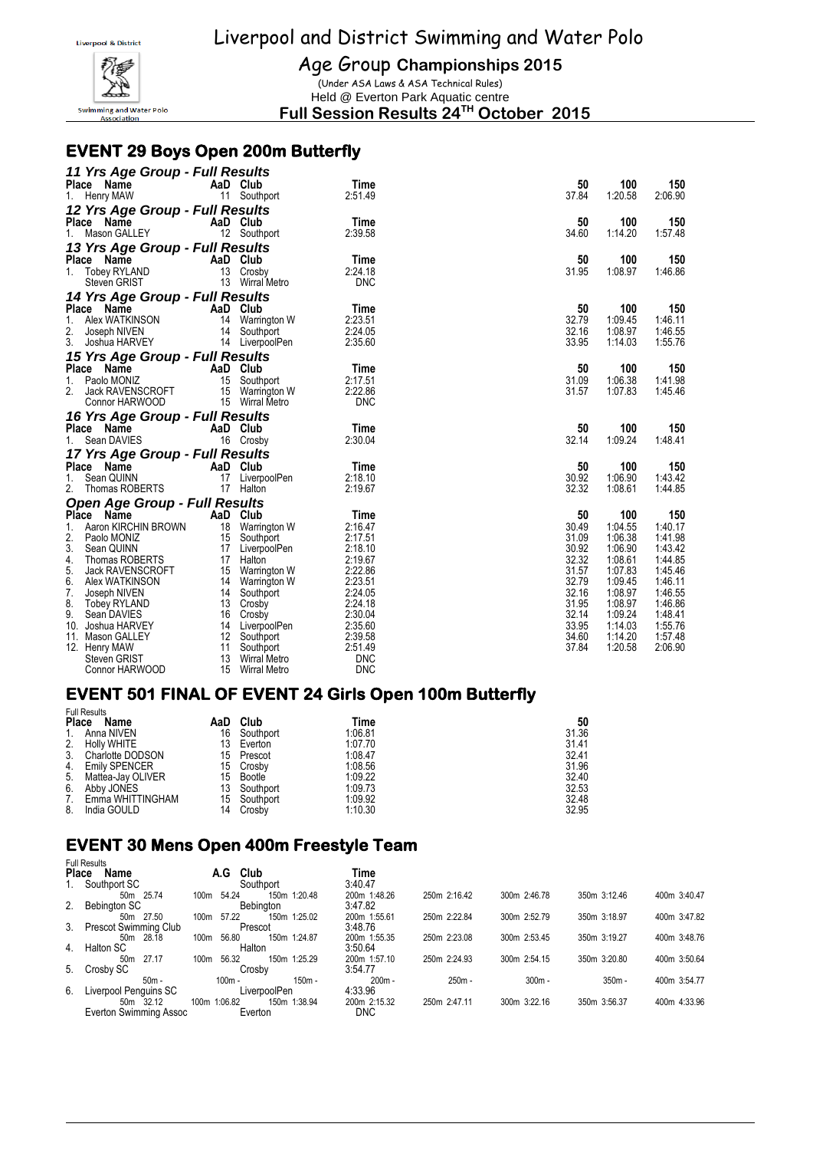

Age Group **Championships 2015**

(Under ASA Laws & ASA Technical Rules) Held @ Everton Park Aquatic centre

**Full Session Results 24TH October 2015**

#### **EVENT 29 Boys Open 200m Butterfly**

| 11 Yrs Age Group - Full Results         |    |                       |                 |       |         |         |
|-----------------------------------------|----|-----------------------|-----------------|-------|---------|---------|
| Place Name                              |    | AaD Club              | Time            | 50    | 100     | 150     |
| 1.<br>Henry MAW                         |    | 11 Southport          | 2:51.49         | 37.84 | 1:20.58 | 2:06.90 |
| 12 Yrs Age Group - Full Results         |    |                       |                 |       |         |         |
| Place Name                              |    | AaD Club              | Time            | 50    | 100     | 150     |
| 1.<br>Mason GALLEY                      |    | 12 Southport          | 2:39.58         | 34.60 | 1:14.20 | 1:57.48 |
| 13 Yrs Age Group - Full Results         |    |                       |                 |       |         |         |
|                                         |    |                       |                 | 50    | 100     | 150     |
| Place Name<br><b>Tobey RYLAND</b><br>1. |    | AaD Club<br>13 Crosby | Time<br>2:24.18 | 31.95 | 1:08.97 | 1:46.86 |
| Steven GRIST                            |    | 13 Wirral Metro       | <b>DNC</b>      |       |         |         |
|                                         |    |                       |                 |       |         |         |
| 14 Yrs Age Group - Full Results         |    |                       |                 |       |         |         |
| Place Name                              |    | AaD Club              | Time            | 50    | 100     | 150     |
| Alex WATKINSON<br>1.                    |    | 14 Warrington W       | 2:23.51         | 32.79 | 1:09.45 | 1:46.11 |
| 2.<br>Joseph NIVEN                      |    | 14 Southport          | 2:24.05         | 32.16 | 1:08.97 | 1:46.55 |
| 3.<br>Joshua HARVEY                     |    | 14 LiverpoolPen       | 2:35.60         | 33.95 | 1:14.03 | 1:55.76 |
| 15 Yrs Age Group - Full Results         |    |                       |                 |       |         |         |
| Place Name                              |    | AaD Club              | Time            | 50    | 100     | 150     |
| $1_{-}$<br>Paolo MONIZ                  |    | 15 Southport          | 2:17.51         | 31.09 | 1:06.38 | 1:41.98 |
| 2.<br>Jack RAVENSCROFT                  |    | 15 Warrington W       | 2:22.86         | 31.57 | 1:07.83 | 1:45.46 |
| Connor HARWOOD                          |    | 15 Wirral Metro       | <b>DNC</b>      |       |         |         |
| 16 Yrs Age Group - Full Results         |    |                       |                 |       |         |         |
| Place Name                              |    | AaD Club              | Time            | 50    | 100     | 150     |
| 1.<br>Sean DAVIES                       |    | 16 Crosby             | 2:30.04         | 32.14 | 1:09.24 | 1:48.41 |
| 17 Yrs Age Group - Full Results         |    |                       |                 |       |         |         |
| Place Name                              |    | AaD Club              | Time            | 50    | 100     | 150     |
| 1.<br>Sean QUINN                        |    | 17 LiverpoolPen       | 2:18.10         | 30.92 | 1:06.90 | 1:43.42 |
| 2.<br>Thomas ROBERTS                    |    | 17 Halton             | 2:19.67         | 32.32 | 1:08.61 | 1:44.85 |
| <b>Open Age Group - Full Results</b>    |    |                       |                 |       |         |         |
| Place Name                              |    | AaD Club              | Time            | 50    | 100     | 150     |
| 1.<br>Aaron KIRCHIN BROWN               |    | 18 Warrington W       | 2:16.47         | 30.49 | 1:04.55 | 1:40.17 |
| 2.<br>Paolo MONIZ                       |    | 15 Southport          | 2:17.51         | 31.09 | 1:06.38 | 1:41.98 |
| 3.<br>Sean QUINN                        |    | 17 LiverpoolPen       | 2:18.10         | 30.92 | 1:06.90 | 1:43.42 |
| 4.<br>Thomas ROBERTS                    |    | 17 Halton             | 2:19.67         | 32.32 | 1:08.61 | 1:44.85 |
| 5.<br>Jack RAVENSCROFT                  |    | 15 Warrington W       | 2:22.86         | 31.57 | 1:07.83 | 1:45.46 |
| 6.<br>Alex WATKINSON                    |    | 14 Warrington W       | 2:23.51         | 32.79 | 1:09.45 | 1:46.11 |
| 7.<br>Joseph NIVEN                      |    | 14 Southport          | 2:24.05         | 32.16 | 1:08.97 | 1:46.55 |
| 8.<br>Tobey RYLAND                      |    | 13 Crosby             | 2:24.18         | 31.95 | 1:08.97 | 1:46.86 |
| 9.<br>Sean DAVIES                       | 16 | Crosby                | 2:30.04         | 32.14 | 1:09.24 | 1:48.41 |
| 10. Joshua HARVEY                       |    | 14 LiverpoolPen       | 2:35.60         | 33.95 | 1:14.03 | 1:55.76 |
| 11. Mason GALLEY                        |    | 12 Southport          | 2:39.58         | 34.60 | 1:14.20 | 1:57.48 |
| 12. Henry MAW                           | 11 | Southport             | 2:51.49         | 37.84 | 1:20.58 | 2:06.90 |
| <b>Steven GRIST</b>                     | 13 | Wirral Metro          | <b>DNC</b>      |       |         |         |
| Connor HARWOOD                          | 15 | <b>Wirral Metro</b>   | <b>DNC</b>      |       |         |         |

#### **EVENT 501 FINAL OF EVENT 24 Girls Open 100m Butterfly**

| <b>Place</b> | <b>Full Results</b><br>Name |    | AaD Club  | Time    | 50    |
|--------------|-----------------------------|----|-----------|---------|-------|
| $1_{1}$      | Anna NIVEN                  | 16 | Southport | 1:06.81 | 31.36 |
| 2.           | <b>Holly WHITE</b>          | 13 | Everton   | 1:07.70 | 31.41 |
| 3.           | Charlotte DODSON            | 15 | Prescot   | 1:08.47 | 32.41 |
| 4.           | <b>Emily SPENCER</b>        | 15 | Crosby    | 1:08.56 | 31.96 |
| 5.           | Mattea-Jay OLIVER           | 15 | Bootle    | 1:09.22 | 32.40 |
| 6.           | Abby JONES                  | 13 | Southport | 1:09.73 | 32.53 |
| 7.           | Emma WHITTINGHAM            | 15 | Southport | 1:09.92 | 32.48 |
| 8.           | India GOULD                 | 14 | Crosby    | 1:10.30 | 32.95 |

#### **EVENT 30 Mens Open 400m Freestyle Team**  Full Results

|    | ull i wuulu              |      |              |              |          |              |              |              |              |              |
|----|--------------------------|------|--------------|--------------|----------|--------------|--------------|--------------|--------------|--------------|
|    | <b>Place</b><br>Name     |      | A.G          | Club         |          | Time         |              |              |              |              |
| 1. | Southport SC             |      |              | Southport    |          | 3:40.47      |              |              |              |              |
|    | 50m 25.74                | 100m | 54.24        | 150m 1:20.48 |          | 200m 1:48.26 | 250m 2:16.42 | 300m 2:46.78 | 350m 3:12.46 | 400m 3:40.47 |
|    | 2. Bebington SC          |      |              | Bebinaton    |          | 3:47.82      |              |              |              |              |
|    | 50m 27.50                | 100m | 57.22        | 150m 1:25.02 |          | 200m 1:55.61 | 250m 2:22.84 | 300m 2:52.79 | 350m 3:18.97 | 400m 3:47.82 |
|    | 3. Prescot Swimming Club |      |              | Prescot      |          | 3:48.76      |              |              |              |              |
|    | 50m 28.18                | 100m | 56.80        | 150m 1:24.87 |          | 200m 1:55.35 | 250m 2:23.08 | 300m 2:53.45 | 350m 3:19.27 | 400m 3:48.76 |
|    | 4. Halton SC             |      |              | Halton       |          | 3:50.64      |              |              |              |              |
|    | 27.17<br>50m             | 100m | 56.32        | 150m 1:25.29 |          | 200m 1:57.10 | 250m 2:24.93 | 300m 2:54.15 | 350m 3:20.80 | 400m 3:50.64 |
| 5. | Crosby SC                |      |              | Crosby       |          | 3:54.77      |              |              |              |              |
|    | $50m -$                  |      | $100m -$     |              | $150m -$ | $200m -$     | $250m -$     | $300m -$     | $350m -$     | 400m 3:54.77 |
| 6. | Liverpool Penguins SC    |      |              | LiverpoolPen |          | 4:33.96      |              |              |              |              |
|    | 50m 32.12                |      | 100m 1:06.82 | 150m 1:38.94 |          | 200m 2:15.32 | 250m 2:47.11 | 300m 3:22.16 | 350m 3:56.37 | 400m 4:33.96 |
|    | Everton Swimming Assoc   |      |              | Everton      |          | <b>DNC</b>   |              |              |              |              |
|    |                          |      |              |              |          |              |              |              |              |              |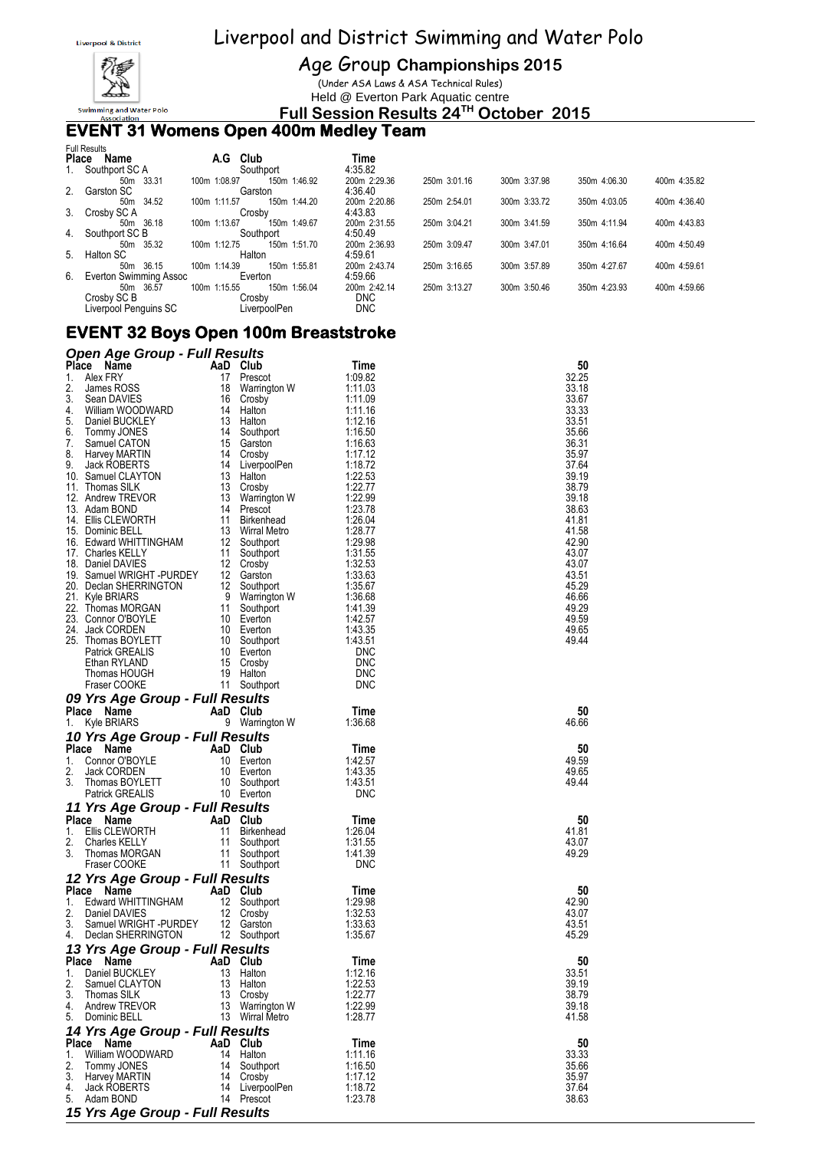

Age Group **Championships 2015**

(Under ASA Laws & ASA Technical Rules) Held @ Everton Park Aquatic centre

**Full Session Results 24TH October 2015**

#### **EVENT 31 Womens Open 400m Medley Team**

|              | <b>Full Results</b>    |              |              |              |              |              |              |              |
|--------------|------------------------|--------------|--------------|--------------|--------------|--------------|--------------|--------------|
| <b>Place</b> | Name                   | Club<br>A.G  |              | Time         |              |              |              |              |
| 1.           | Southport SC A         | Southport    |              | 4:35.82      |              |              |              |              |
|              | 50m 33.31              | 100m 1:08.97 | 150m 1:46.92 | 200m 2:29.36 | 250m 3:01.16 | 300m 3:37.98 | 350m 4:06.30 | 400m 4:35.82 |
|              | 2. Garston SC          | Garston      |              | 4:36.40      |              |              |              |              |
|              | 50m 34.52              | 100m 1:11.57 | 150m 1:44.20 | 200m 2:20.86 | 250m 2:54.01 | 300m 3:33.72 | 350m 4:03.05 | 400m 4:36.40 |
| 3.           | Crosby SC A            | Crosby       |              | 4:43.83      |              |              |              |              |
|              | 50m 36.18              | 100m 1:13.67 | 150m 1:49.67 | 200m 2:31.55 | 250m 3:04.21 | 300m 3:41.59 | 350m 4:11.94 | 400m 4:43.83 |
|              | 4. Southport SC B      | Southport    |              | 4:50.49      |              |              |              |              |
|              | 50m 35.32              | 100m 1:12.75 | 150m 1:51.70 | 200m 2:36.93 | 250m 3:09.47 | 300m 3:47.01 | 350m 4:16.64 | 400m 4:50.49 |
| 5.           | Halton SC              | Halton       |              | 4:59.61      |              |              |              |              |
|              | 50m 36.15              | 100m 1:14.39 | 150m 1:55.81 | 200m 2:43.74 | 250m 3:16.65 | 300m 3:57.89 | 350m 4:27.67 | 400m 4:59.61 |
| 6.           | Everton Swimming Assoc | Everton      |              | 4:59.66      |              |              |              |              |
|              | 50m 36.57              | 100m 1:15.55 | 150m 1:56.04 | 200m 2:42.14 | 250m 3:13.27 | 300m 3:50.46 | 350m 4:23.93 | 400m 4:59.66 |
|              | Crosby SC B            | Crosby       |              | <b>DNC</b>   |              |              |              |              |
|              | Liverpool Penguins SC  | LiverpoolPen |              | <b>DNC</b>   |              |              |              |              |

#### **EVENT 32 Boys Open 100m Breaststroke**

| <b>Open Age Group - Full Results</b>                                                                                                                                                                                                                 |                                                                                                            |                                           |                               |                |
|------------------------------------------------------------------------------------------------------------------------------------------------------------------------------------------------------------------------------------------------------|------------------------------------------------------------------------------------------------------------|-------------------------------------------|-------------------------------|----------------|
| Place Name                                                                                                                                                                                                                                           |                                                                                                            | AaD Club                                  | Time                          | 50             |
| Alex FRY<br>1.                                                                                                                                                                                                                                       |                                                                                                            | 17 Prescot                                | 1:09.82                       | 32.25          |
| 2.<br>James ROSS<br>3.                                                                                                                                                                                                                               |                                                                                                            | 18 Warrington W                           | 1:11.03                       | 33.18          |
| Sean DAVIES<br>William WOODWARD<br>4.                                                                                                                                                                                                                |                                                                                                            | 16 Crosby                                 | 1:11.09<br>1:11.16            | 33.67<br>33.33 |
| 5.<br>Daniel BUCKLEY                                                                                                                                                                                                                                 | 16 $C$ ros <sub><math>\sim</math></sub> ,<br>14 Halton<br>13 Halton                                        |                                           | 1:12.16                       | 33.51          |
| 6.<br>Tommy JONES                                                                                                                                                                                                                                    |                                                                                                            | 14 Southport                              | 1:16.50                       | 35.66          |
| 7.<br>Samuel CATON                                                                                                                                                                                                                                   |                                                                                                            | 15 Garston                                | 1:16.63                       | 36.31          |
| 8.<br>Harvey MARTIN                                                                                                                                                                                                                                  |                                                                                                            | 14 Crosby                                 | 1:17.12                       | 35.97          |
| Jack ROBERTS<br>9.                                                                                                                                                                                                                                   |                                                                                                            | 14 LiverpoolPen                           | 1:18.72                       | 37.64          |
| 10. Samuel CLAYTON                                                                                                                                                                                                                                   |                                                                                                            | 13 Halton                                 | 1:22.53                       | 39.19          |
| 11. Thomas SILK                                                                                                                                                                                                                                      |                                                                                                            | 13 Crosby                                 | 1:22.77                       | 38.79<br>39.18 |
| 12. Andrew TREVOR<br>13. Adam BOND                                                                                                                                                                                                                   |                                                                                                            | 13 Warrington W<br>14 Prescot             | 1:22.99<br>1:23.78            | 38.63          |
| 14. Ellis CLEWORTH                                                                                                                                                                                                                                   |                                                                                                            | 11 Birkenhead                             | 1:26.04                       | 41.81          |
| 14. Ellis CLEWORTH<br>15. Dominic BELL<br>15. Edward WHITTINGHAM<br>17. Charles KELLY<br>17. Charles KELLY<br>17. Charles KELLY<br>18. Daniel DAVIES<br>19. Samuel WRIGHT -PURDEY<br>12. Gross MORGAN<br>21. Kyle BRIARS<br>21. Thomas MORGAN<br>21. |                                                                                                            |                                           | 1:28.77                       | 41.58          |
|                                                                                                                                                                                                                                                      |                                                                                                            |                                           | 1:29.98                       | 42.90          |
|                                                                                                                                                                                                                                                      |                                                                                                            |                                           | 1:31.55                       | 43.07          |
|                                                                                                                                                                                                                                                      |                                                                                                            |                                           | 1.31.99<br>1:32.53<br>1:33.63 | 43.07          |
|                                                                                                                                                                                                                                                      |                                                                                                            |                                           |                               | 43.51          |
|                                                                                                                                                                                                                                                      |                                                                                                            |                                           | 1:35.67                       | 45.29          |
|                                                                                                                                                                                                                                                      |                                                                                                            |                                           | 1:36.68<br>1:41.39            | 46.66<br>49.29 |
| 23. Connor O'BOYLE                                                                                                                                                                                                                                   |                                                                                                            |                                           | 1:42.57                       | 49.59          |
| 24. Jack CORDEN                                                                                                                                                                                                                                      | 11 Southpo<br>10 Everton<br>10 Everton<br>10 Everton<br>10 Everton<br>15 Crosby<br>19 Halton<br>11 Southpo |                                           | 1:43.35                       | 49.65          |
| 25. Thomas BOYLETT                                                                                                                                                                                                                                   |                                                                                                            | 10 Lyons<br>10 Southport                  | 1.43.51                       | 49.44          |
| Patrick GREALIS                                                                                                                                                                                                                                      |                                                                                                            |                                           | <b>DNC</b>                    |                |
| Ethan RYLAND                                                                                                                                                                                                                                         |                                                                                                            |                                           | DNC                           |                |
| Thomas HOUGH                                                                                                                                                                                                                                         |                                                                                                            |                                           | DNC                           |                |
| Fraser COOKE                                                                                                                                                                                                                                         |                                                                                                            | 11 Southport                              | <b>DNC</b>                    |                |
| 09 Yrs Age Group - Full Results                                                                                                                                                                                                                      |                                                                                                            |                                           |                               |                |
| Place Name                                                                                                                                                                                                                                           |                                                                                                            | AaD Club                                  | Time                          | 50             |
|                                                                                                                                                                                                                                                      |                                                                                                            |                                           |                               |                |
| 1.<br>Kyle BRIARS                                                                                                                                                                                                                                    |                                                                                                            | 9 Warrington W                            | 1:36.68                       | 46.66          |
| 10 Yrs Age Group - Full Results                                                                                                                                                                                                                      |                                                                                                            |                                           |                               |                |
| Place Name                                                                                                                                                                                                                                           |                                                                                                            |                                           | Time                          | 50             |
| 1.                                                                                                                                                                                                                                                   |                                                                                                            | 10 Everton                                | 1:42.57                       | 49.59          |
|                                                                                                                                                                                                                                                      |                                                                                                            | 10 Everton                                | 1.43.35                       | 49.65          |
|                                                                                                                                                                                                                                                      |                                                                                                            | 10 Southport                              | 1:43.51<br><b>DNC</b>         | 49.44          |
| CONTROLLER CONTRACT CONTRACT CONTRACT CONTRACT ON SUCH THE PAINT CONTRACT OF THE PAINT CONTRACT CONTRACT CONTRACT CONTRACT CONTRACT CONTRACT CONTRACT CONTRACT CONTRACT CONTRACT CONTRACT CONTRACT CONTRACT CONTRACT CONTRACT                        |                                                                                                            | 10 Everton                                |                               |                |
| 2.<br>3.<br>11 Yrs Age Group - Full Results                                                                                                                                                                                                          |                                                                                                            |                                           |                               |                |
| Place Name<br><b>Example 2018</b> AaD Club                                                                                                                                                                                                           |                                                                                                            |                                           | Time                          | 50             |
| 1.<br>Ellis CLEWORTH<br>2.                                                                                                                                                                                                                           |                                                                                                            | 11 Birkenhead                             | 1.26.04<br>1:31.55            | 41.81<br>43.07 |
| Charles KELLY<br>3.                                                                                                                                                                                                                                  |                                                                                                            |                                           | 1:41.39                       | 49.29          |
| Thomas MORGAN<br>Fraser COOKE                                                                                                                                                                                                                        |                                                                                                            |                                           | <b>DNC</b>                    |                |
|                                                                                                                                                                                                                                                      |                                                                                                            | 11 Souwre<br>11 Southport<br>11 Southport |                               |                |
| 12 Yrs Age Group - Full Results<br>Place Name                                                                                                                                                                                                        | AaD Club                                                                                                   |                                           | Time                          | 50             |
|                                                                                                                                                                                                                                                      |                                                                                                            |                                           | 1:29.98                       | 42.90          |
| <b>COMPLISION COMPLISION COMPLISION CONTRESS</b><br>Edward WHITTINGHAM 12 Southport<br>Daniel DAVIES 12 Crosby<br>Daniel DAVIES                                                                                                                      |                                                                                                            | 12 Crosby                                 | 1:32.53                       | 43.07          |
| 1.<br>2.<br>3.                                                                                                                                                                                                                                       |                                                                                                            |                                           | 1:33.63                       | 43.51          |
| Daniel DAVIES<br>Samuel WRIGHT -PURDEY 12 Garston<br>Declan SHERRINGTON 12 Southport<br>4. Declan SHERRINGTON                                                                                                                                        |                                                                                                            |                                           | 1.35.67                       | 45.29          |
| 13 Yrs Age Group - Full Results                                                                                                                                                                                                                      |                                                                                                            |                                           |                               |                |
| Place Name <b>AaD</b> Club                                                                                                                                                                                                                           |                                                                                                            |                                           | <b>Time</b>                   | $50\,$         |
| Daniel BUCKLEY<br>1.                                                                                                                                                                                                                                 |                                                                                                            | 13 Halton                                 | 1:12.16                       | 33.51          |
| 2.<br>Samuel CLAYTON                                                                                                                                                                                                                                 |                                                                                                            | 13 Halton                                 | 1:22.53                       | 39.19          |
| 3.<br>Thomas SILK<br>4.                                                                                                                                                                                                                              | 13                                                                                                         | Crosby<br>13 Warrington W                 | 1:22.77<br>1:22.99            | 38.79<br>39.18 |
| Andrew TREVOR<br>5.<br>Dominic BELL                                                                                                                                                                                                                  |                                                                                                            | 13 Wirral Metro                           | 1:28.77                       | 41.58          |
|                                                                                                                                                                                                                                                      |                                                                                                            |                                           |                               |                |
| 14 Yrs Age Group - Full Results<br>Place Name                                                                                                                                                                                                        |                                                                                                            | AaD Club                                  | Time                          | 50             |
| 1.<br>William WOODWARD                                                                                                                                                                                                                               |                                                                                                            | 14 Halton                                 | 1:11.16                       | 33.33          |
| 2.<br>Tommy JONES                                                                                                                                                                                                                                    |                                                                                                            | 14 Southport                              | 1:16.50                       | 35.66          |
| 3.<br>Harvey MARTIN                                                                                                                                                                                                                                  |                                                                                                            | 14 Crosby                                 | 1:17.12                       | 35.97          |
| 4.<br>Jack ROBERTS                                                                                                                                                                                                                                   |                                                                                                            | 14 LiverpoolPen                           | 1:18.72                       | 37.64          |
| 5.<br>Adam BOND<br>15 Yrs Age Group - Full Results                                                                                                                                                                                                   | 14                                                                                                         | Prescot                                   | 1:23.78                       | 38.63          |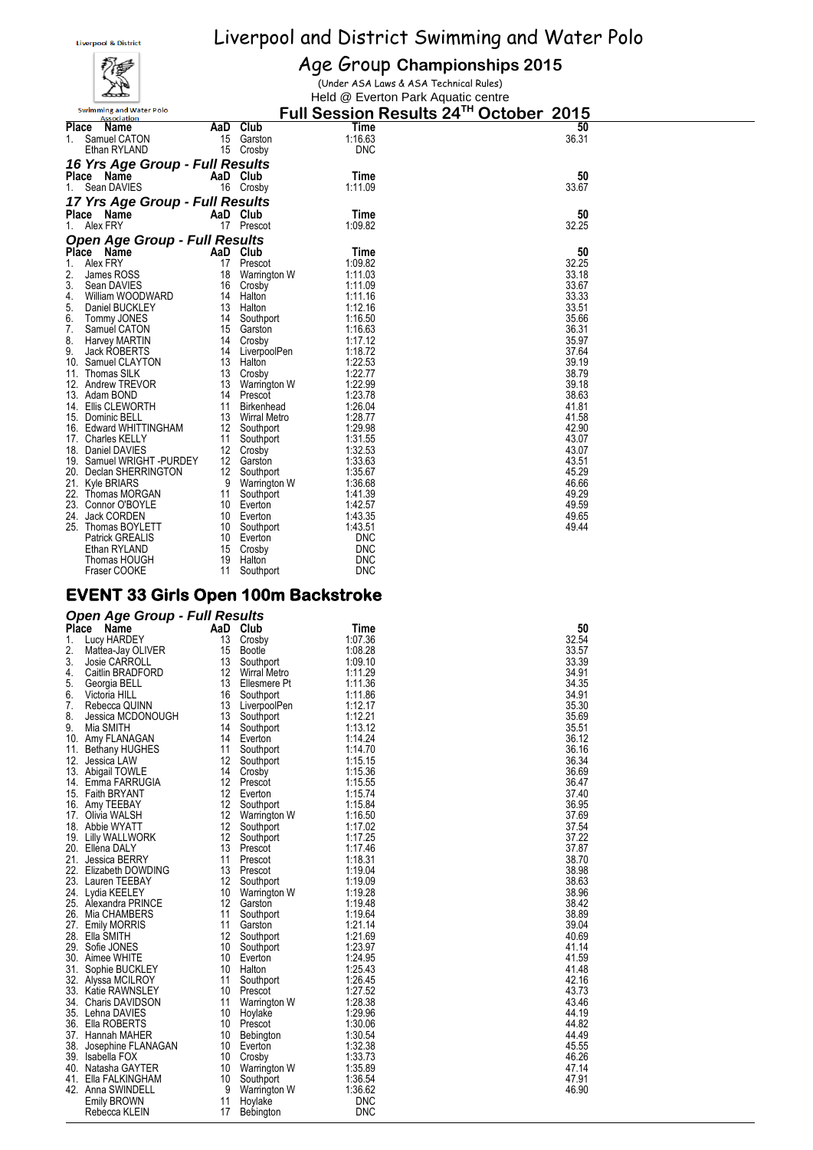

#### Age Group **Championships 2015**

(Under ASA Laws & ASA Technical Rules) Held @ Everton Park Aquatic centre

|     | <b>Swimming and Water Polo</b><br><b>Association</b> |    |              |            | Full Session Results 24TH October 2015 |  |
|-----|------------------------------------------------------|----|--------------|------------|----------------------------------------|--|
|     | Place<br>Name                                        |    | AaD Club     | Time       | 50                                     |  |
| 1.  | Samuel CATON                                         | 15 | Garston      | 1:16.63    | 36.31                                  |  |
|     | Ethan RYLAND                                         | 15 | Crosby       | <b>DNC</b> |                                        |  |
|     | 16 Yrs Age Group - Full Results                      |    |              |            |                                        |  |
|     | Place Name                                           |    | AaD Club     | Time       | 50                                     |  |
|     | 1. Sean DAVIES                                       |    | 16 Crosby    | 1:11.09    | 33.67                                  |  |
|     | 17 Yrs Age Group - Full Results                      |    |              |            |                                        |  |
|     | Place Name                                           |    | AaD Club     | Time       | 50                                     |  |
|     | 1. Alex FRY                                          |    | 17 Prescot   | 1:09.82    | 32.25                                  |  |
|     | <b>Open Age Group - Full Results</b>                 |    |              |            |                                        |  |
|     | Place Name                                           |    | AaD Club     | Time       | 50                                     |  |
| 1.  | Alex FRY                                             | 17 | Prescot      | 1:09.82    | 32.25                                  |  |
| 2.  | James ROSS                                           | 18 | Warrington W | 1:11.03    | 33.18                                  |  |
| 3.  | Sean DAVIES                                          | 16 | Crosby       | 1:11.09    | 33.67                                  |  |
| 4.  | William WOODWARD                                     | 14 | Halton       | 1:11.16    | 33.33                                  |  |
| 5.  | Daniel BUCKLEY                                       | 13 | Halton       | 1:12.16    | 33.51                                  |  |
| 6.  | Tommy JONES                                          | 14 | Southport    | 1:16.50    | 35.66                                  |  |
| 7.  | Samuel CATON                                         | 15 | Garston      | 1:16.63    | 36.31                                  |  |
| 8.  | <b>Harvey MARTIN</b>                                 | 14 | Crosby       | 1:17.12    | 35.97                                  |  |
| 9.  | <b>Jack ROBERTS</b>                                  | 14 | LiverpoolPen | 1:18.72    | 37.64                                  |  |
|     | 10. Samuel CLAYTON                                   | 13 | Halton       | 1:22.53    | 39.19                                  |  |
|     | 11. Thomas SILK                                      | 13 | Crosby       | 1:22.77    | 38.79                                  |  |
|     | 12. Andrew TREVOR                                    | 13 | Warrington W | 1:22.99    | 39.18                                  |  |
|     | 13. Adam BOND                                        | 14 | Prescot      | 1:23.78    | 38.63                                  |  |
|     | 14. Ellis CLEWORTH                                   | 11 | Birkenhead   | 1:26.04    | 41.81                                  |  |
|     | 15. Dominic BELL                                     | 13 | Wirral Metro | 1:28.77    | 41.58                                  |  |
|     | 16. Edward WHITTINGHAM                               | 12 | Southport    | 1:29.98    | 42.90                                  |  |
|     | 17. Charles KELLY                                    | 11 | Southport    | 1:31.55    | 43.07                                  |  |
|     | 18. Daniel DAVIES                                    | 12 | Crosby       | 1:32.53    | 43.07                                  |  |
|     | 19. Samuel WRIGHT -PURDEY                            | 12 | Garston      | 1:33.63    | 43.51                                  |  |
|     | 20. Declan SHERRINGTON                               | 12 | Southport    | 1:35.67    | 45.29                                  |  |
|     | 21. Kyle BRIARS                                      | 9  | Warrington W | 1:36.68    | 46.66                                  |  |
|     | 22. Thomas MORGAN                                    | 11 | Southport    | 1:41.39    | 49.29                                  |  |
|     | 23. Connor O'BOYLE                                   | 10 | Everton      | 1:42.57    | 49.59                                  |  |
| 24. | Jack CORDEN                                          | 10 | Everton      | 1:43.35    | 49.65                                  |  |
|     | 25. Thomas BOYLETT                                   | 10 | Southport    | 1:43.51    | 49.44                                  |  |
|     | Patrick GREALIS                                      | 10 | Everton      | <b>DNC</b> |                                        |  |
|     | Ethan RYLAND                                         | 15 | Crosby       | <b>DNC</b> |                                        |  |
|     | Thomas HOUGH                                         | 19 | Halton       | <b>DNC</b> |                                        |  |
|     | Fraser COOKE                                         | 11 | Southport    | <b>DNC</b> |                                        |  |

#### **EVENT 33 Girls Open 100m Backstroke**

#### *Open Age Group - Full Results*

| <b>Place</b> | Name                  | AaD | Club                | Time       | 50    |
|--------------|-----------------------|-----|---------------------|------------|-------|
| 1.           | Lucy HARDEY           | 13  | Crosby              | 1:07.36    | 32.54 |
| 2.           | Mattea-Jay OLIVER     | 15  | Bootle              | 1:08.28    | 33.57 |
| 3.           | Josie CARROLL         | 13  | Southport           | 1:09.10    | 33.39 |
| 4.           | Caitlin BRADFORD      | 12  | <b>Wirral Metro</b> | 1:11.29    | 34.91 |
| 5.           | Georgia BELL          | 13  | Ellesmere Pt        | 1:11.36    | 34.35 |
| 6.           | Victoria HILL         | 16  | Southport           | 1:11.86    | 34.91 |
| 7.           | Rebecca QUINN         | 13  | LiverpoolPen        | 1:12.17    | 35.30 |
| 8.           | Jessica MCDONOUGH     | 13  | Southport           | 1:12.21    | 35.69 |
| 9.           | Mia SMITH             | 14  | Southport           | 1:13.12    | 35.51 |
|              | 10. Amy FLANAGAN      | 14  | Everton             | 1:14.24    | 36.12 |
| 11.          | <b>Bethany HUGHES</b> | 11  | Southport           | 1:14.70    | 36.16 |
| 12.          | Jessica LAW           | 12  | Southport           | 1:15.15    | 36.34 |
|              | 13. Abigail TOWLE     | 14  | Crosby              | 1:15.36    | 36.69 |
|              | 14. Emma FARRUGIA     | 12  | Prescot             | 1:15.55    | 36.47 |
|              | 15. Faith BRYANT      | 12  | Everton             | 1:15.74    | 37.40 |
| 16.          | Amy TEEBAY            | 12  | Southport           | 1:15.84    | 36.95 |
| 17.          | Olivia WALSH          | 12  | Warrington W        | 1:16.50    | 37.69 |
|              | 18. Abbie WYATT       | 12  | Southport           | 1:17.02    | 37.54 |
|              | 19. Lilly WALLWORK    | 12  | Southport           | 1:17.25    | 37.22 |
|              | 20. Ellena DALY       | 13  | Prescot             | 1:17.46    | 37.87 |
| 21.          | <b>Jessica BERRY</b>  | 11  | Prescot             | 1:18.31    | 38.70 |
|              | 22. Elizabeth DOWDING | 13  | Prescot             | 1:19.04    | 38.98 |
|              | 23. Lauren TEEBAY     | 12  | Southport           | 1:19.09    | 38.63 |
|              | 24. Lydia KEELEY      | 10  | Warrington W        | 1:19.28    | 38.96 |
|              | 25. Alexandra PRINCE  | 12  | Garston             | 1:19.48    | 38.42 |
| 26.          | Mia CHAMBERS          | 11  | Southport           | 1:19.64    | 38.89 |
| 27.          | <b>Emily MORRIS</b>   | 11  | Garston             | 1:21.14    | 39.04 |
| 28.          | Ella SMITH            | 12  | Southport           | 1:21.69    | 40.69 |
| 29.          | Sofie JONES           | 10  | Southport           | 1:23.97    | 41.14 |
| 30.          | Aimee WHITE           | 10  | Everton             | 1:24.95    | 41.59 |
| 31.          | Sophie BUCKLEY        | 10  | Halton              | 1:25.43    | 41.48 |
| 32.          | Alyssa MCILROY        | 11  | Southport           | 1:26.45    | 42.16 |
|              | 33. Katie RAWNSLEY    | 10  | Prescot             | 1:27.52    | 43.73 |
|              | 34. Charis DAVIDSON   | 11  | Warrington W        | 1:28.38    | 43.46 |
|              | 35. Lehna DAVIES      | 10  | Hoylake             | 1:29.96    | 44.19 |
|              | 36. Ella ROBERTS      | 10  | Prescot             | 1:30.06    | 44.82 |
|              | 37. Hannah MAHER      | 10  | Bebington           | 1:30.54    | 44.49 |
| 38.          | Josephine FLANAGAN    | 10  | Everton             | 1:32.38    | 45.55 |
|              | 39. Isabella FOX      | 10  | Crosby              | 1:33.73    | 46.26 |
| 40.          | Natasha GAYTER        | 10  | Warrington W        | 1:35.89    | 47.14 |
| 41.          | Ella FALKINGHAM       | 10  | Southport           | 1:36.54    | 47.91 |
|              | 42. Anna SWINDELL     | 9   | Warrington W        | 1:36.62    | 46.90 |
|              | <b>Emily BROWN</b>    | 11  | Hoylake             | <b>DNC</b> |       |
|              | Rebecca KLEIN         | 17  | Bebington           | <b>DNC</b> |       |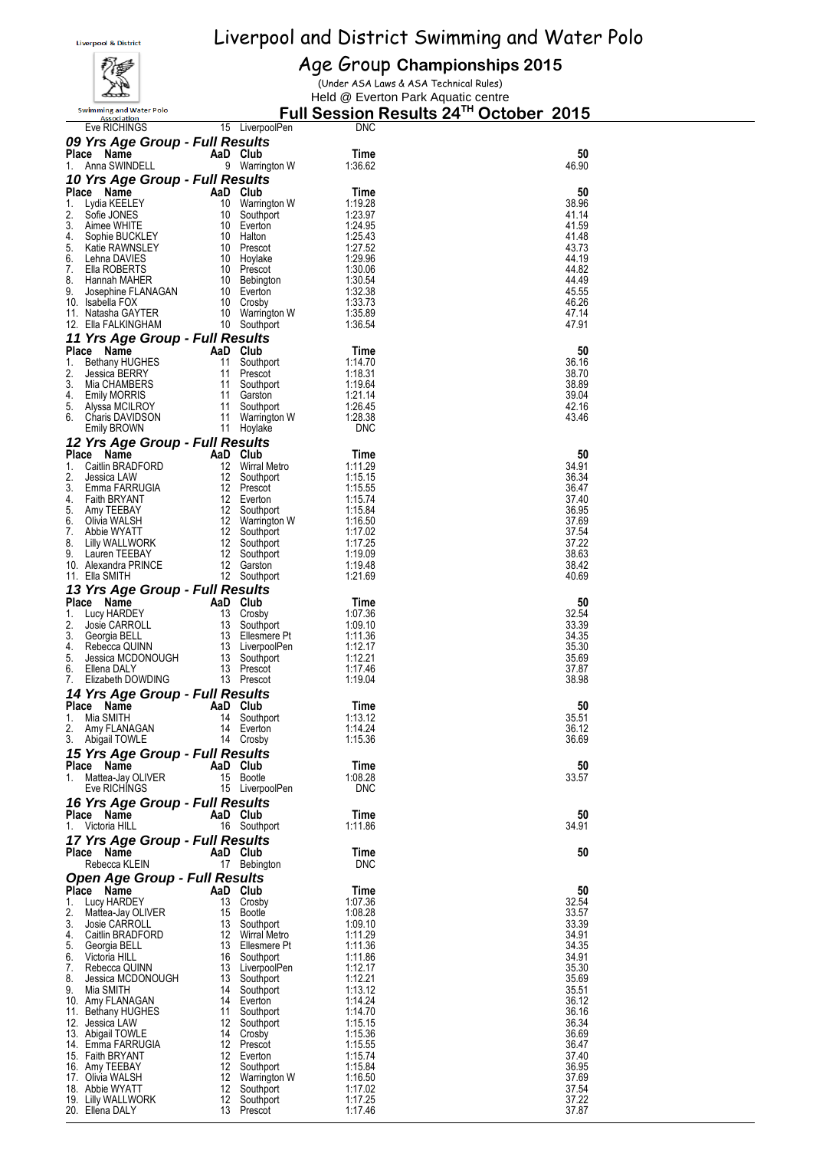

#### Age Group **Championships 2015**

(Under ASA Laws & ASA Technical Rules)

Held @ Everton Park Aquatic centre

|          | <b>Swimming and Water Polo</b><br>Association |                                        |                                                                                   | Full Session Results 24 <sup>™</sup> October 2015 |                |
|----------|-----------------------------------------------|----------------------------------------|-----------------------------------------------------------------------------------|---------------------------------------------------|----------------|
|          | Eve RICHINGS                                  |                                        | 15 LiverpoolPen                                                                   | <b>DNC</b>                                        |                |
|          | 09 Yrs Age Group - Full Results               |                                        |                                                                                   |                                                   |                |
| 1.       | Place Name<br>Anna SWINDELL                   |                                        | AaD Club<br>9 Warrington W                                                        | Time<br>1:36.62                                   | 50<br>46.90    |
|          | 10 Yrs Age Group - Full Results               |                                        |                                                                                   |                                                   |                |
|          | Place Name                                    | AaD Club                               |                                                                                   | Time                                              | 50             |
| 1.       | Lydia KEELEY                                  | 10                                     | Warrington W                                                                      | 1:19.28                                           | 38.96          |
| 2.<br>3. | Sofie JONES<br>Aimee WHITE                    | 10                                     | Southport<br>10 Everton                                                           | 1:23.97<br>1:24.95                                | 41.14<br>41.59 |
| 4.       | Sophie BUCKLEY                                | - 10                                   | Halton                                                                            | 1:25.43                                           | 41.48          |
| 5.       | Katie RAWNSLEY                                |                                        | 10 Prescot<br>10 Hoylake<br>10 Prescot<br>10 Bebington<br>10 Everton<br>10 Crosby | 1:27.52                                           | 43.73          |
| 6.<br>7. | Lehna DAVIES<br>Ella ROBERTS                  |                                        |                                                                                   | 1:29.96<br>1:30.06                                | 44.19<br>44.82 |
| 8.       | Hannah MAHER                                  |                                        |                                                                                   | 1:30.54                                           | 44.49          |
| 9.       | Josephine FLANAGAN                            |                                        |                                                                                   | 1:32.38                                           | 45.55          |
|          | 10. Isabella FOX<br>11. Natasha GAYTER        | 10                                     | Crosby<br>10 Warrington W                                                         | 1:33.73<br>1:35.89                                | 46.26<br>47.14 |
|          | 12. Ella FALKINGHAM                           |                                        | 10 Southport                                                                      | 1:36.54                                           | 47.91          |
|          | 11 Yrs Age Group - Full Results               |                                        |                                                                                   |                                                   |                |
|          | Place Name                                    | AaD Club                               |                                                                                   | Time                                              | 50             |
| 1.<br>2. | <b>Bethany HUGHES</b><br>Jessica BERRY        |                                        | 11 Southport<br>11 Prescot                                                        | 1:14.70<br>1:18.31                                | 36.16<br>38.70 |
| 3.       | Mia CHAMBERS                                  |                                        | Southport                                                                         | 1:19.64                                           | 38.89          |
| 4.       | Emily MORRIS                                  | 11 Southpo<br>11 Garston<br>11 Southpo |                                                                                   | 1:21.14                                           | 39.04          |
| 5.<br>6. | Alyssa MCILROY<br><b>Charis DAVIDSON</b>      | 11                                     | Southport                                                                         | 1:26.45<br>1:28.38                                | 42.16<br>43.46 |
|          | Emily BROWN                                   |                                        | Warrington W<br>11 Hoylake                                                        | <b>DNC</b>                                        |                |
|          | 12 Yrs Age Group - Full Results               |                                        |                                                                                   |                                                   |                |
|          | Place Name                                    | AaD Club                               |                                                                                   | Time                                              | 50             |
| 1.<br>2. | Caitlin BRADFORD                              |                                        | 12 Wirral Metro                                                                   | 1:11.29<br>1:15.15                                | 34.91<br>36.34 |
| 3.       | Jessica LAW<br>Emma FARRUGIA                  |                                        | 12 Southport<br>12 Prescot                                                        | 1:15.55                                           | 36.47          |
| 4.       | Faith BRYANT                                  |                                        | 12 Everton                                                                        | 1:15.74                                           | 37.40          |
| 5.       | Amy TEEBAY                                    |                                        | 12 Southport<br>12 Warrington W<br>12 Southport                                   | 1:15.84                                           | 36.95          |
| 6.<br>7. | Olivia WALSH<br>Abbie WYATT                   |                                        |                                                                                   | 1:16.50<br>1:17.02                                | 37.69<br>37.54 |
| 8.       | Lilly WALLWORK                                |                                        | 12 Southport                                                                      | 1:17.25                                           | 37.22          |
| 9.       | Lauren TEEBAY                                 |                                        | 12 Southport                                                                      | 1:19.09                                           | 38.63          |
|          | 10. Alexandra PRINCE<br>11. Ella SMITH        |                                        | 12 Garston<br>12 Southport                                                        | 1:19.48<br>1.21.69                                | 38.42<br>40.69 |
|          | 13 Yrs Age Group - Full Results               |                                        |                                                                                   |                                                   |                |
|          | Place Name                                    | AaD Club                               |                                                                                   | Time                                              | 50             |
| 1.<br>2. | Lucy HARDEY<br>Josie CARROLL                  | 13                                     | Crosby<br>13 Southport                                                            | 1:07.36<br>1:09.10                                | 32.54<br>33.39 |
| 3.       | Georgia BELL                                  |                                        | 13 Ellesmere Pt                                                                   | 1:11.36                                           | 34.35          |
| 4.       | Rebecca QUINN                                 |                                        | 13 LiverpoolPen                                                                   | 1:12.17                                           | 35.30          |
| 5.<br>6. | Jessica MCDONOUGH<br>Ellena DALY              |                                        | 13 Southport<br>13 Prescot                                                        | 1:12.21<br>1:17.46                                | 35.69<br>37.87 |
| 7.       | Elizabeth DOWDING                             |                                        | 13 Prescot                                                                        | 1:19.04                                           | 38.98          |
|          | 14 Yrs Age Group - Full Results               |                                        |                                                                                   |                                                   |                |
|          | Place Name                                    | AaD Club                               |                                                                                   | Time                                              | 50             |
| 2.       | 1. Mia SMITH<br>Amy FLANAGAN                  |                                        | 14 Southport<br>14 Everton                                                        | 1:13.12<br>1:14.24                                | 35.51<br>36.12 |
|          | 3. Abigail TOWLE                              |                                        | 14 Crosby                                                                         | 1:15.36                                           | 36.69          |
|          | 15 Yrs Age Group - Full Results               |                                        |                                                                                   |                                                   |                |
|          | Place Name                                    | AaD Club                               |                                                                                   | Time                                              | 50             |
| 1.       | Mattea-Jay OLIVER<br>Eve RICHINGS             |                                        | 15 Bootle<br>15 LiverpoolPen                                                      | 1:08.28<br><b>DNC</b>                             | 33.57          |
|          | 16 Yrs Age Group - Full Results               |                                        |                                                                                   |                                                   |                |
|          | Place Name                                    | AaD Club                               |                                                                                   | Time                                              | 50             |
| 1.       | Victoria HILL                                 |                                        | 16 Southport                                                                      | 1:11.86                                           | 34.91          |
|          | 17 Yrs Age Group - Full Results<br>Place Name | AaD Club                               |                                                                                   |                                                   | 50             |
|          | Rebecca KLEIN                                 |                                        | 17 Bebington                                                                      | Time<br><b>DNC</b>                                |                |
|          | <b>Open Age Group - Full Results</b>          |                                        |                                                                                   |                                                   |                |
|          | Place Name                                    | AaD Club                               |                                                                                   | Time                                              | 50             |
| 1.<br>2. | Lucy HARDEY<br>Mattea-Jay OLIVER              |                                        | 13 Crosby<br>15 Bootle                                                            | 1:07.36<br>1:08.28                                | 32.54<br>33.57 |
| 3.       | Josie CARROLL                                 |                                        | 13 Southport                                                                      | 1:09.10                                           | 33.39          |
| 4.       | Caitlin BRADFORD                              |                                        | 12 Wirral Metro<br>13 Ellesmere Pt<br>16 Southport                                | 1:11.29                                           | 34.91          |
| 6.       | 5. Georgia BELL<br>Victoria HILL              |                                        |                                                                                   | 1:11.36<br>1:11.86                                | 34.35<br>34.91 |
| 7.       | Rebecca QUINN                                 |                                        | 13 LiverpoolPen                                                                   | 1:12.17                                           | 35.30          |
|          | 8. Jessica MCDONOUGH                          |                                        | 13 Southport                                                                      | 1:12.21                                           | 35.69          |
| 9.       | Mia SMITH<br>10. Amy FLANAGAN                 |                                        | 14 Southport<br>14 Everton                                                        | 1:13.12<br>1:14.24                                | 35.51<br>36.12 |
|          | 11. Bethany HUGHES                            |                                        | 11 Southport                                                                      | 1:14.70                                           | 36.16          |
|          | 12. Jessica LAW                               |                                        | 12 Southport                                                                      | 1:15.15                                           | 36.34          |
|          | 13. Abigail TOWLE<br>14. Emma FARRUGIA        |                                        | 14 Crosby<br>12 Prescot                                                           | 1:15.36<br>1:15.55                                | 36.69<br>36.47 |
|          | 15. Faith BRYANT                              |                                        | 12 Everton                                                                        | 1:15.74                                           | 37.40          |
|          | 16. Amy TEEBAY                                |                                        | 12 Southport                                                                      | 1:15.84                                           | 36.95          |
|          | 17. Olivia WALSH<br>18. Abbie WYATT           |                                        | 12 Warrington W<br>12 Southport                                                   | 1:16.50<br>1:17.02                                | 37.69<br>37.54 |
|          | 19. Lilly WALLWORK                            |                                        | 12 Southport                                                                      | 1:17.25                                           | 37.22          |
|          | 20. Ellena DALY                               |                                        | 13 Prescot                                                                        | 1:17.46                                           | 37.87          |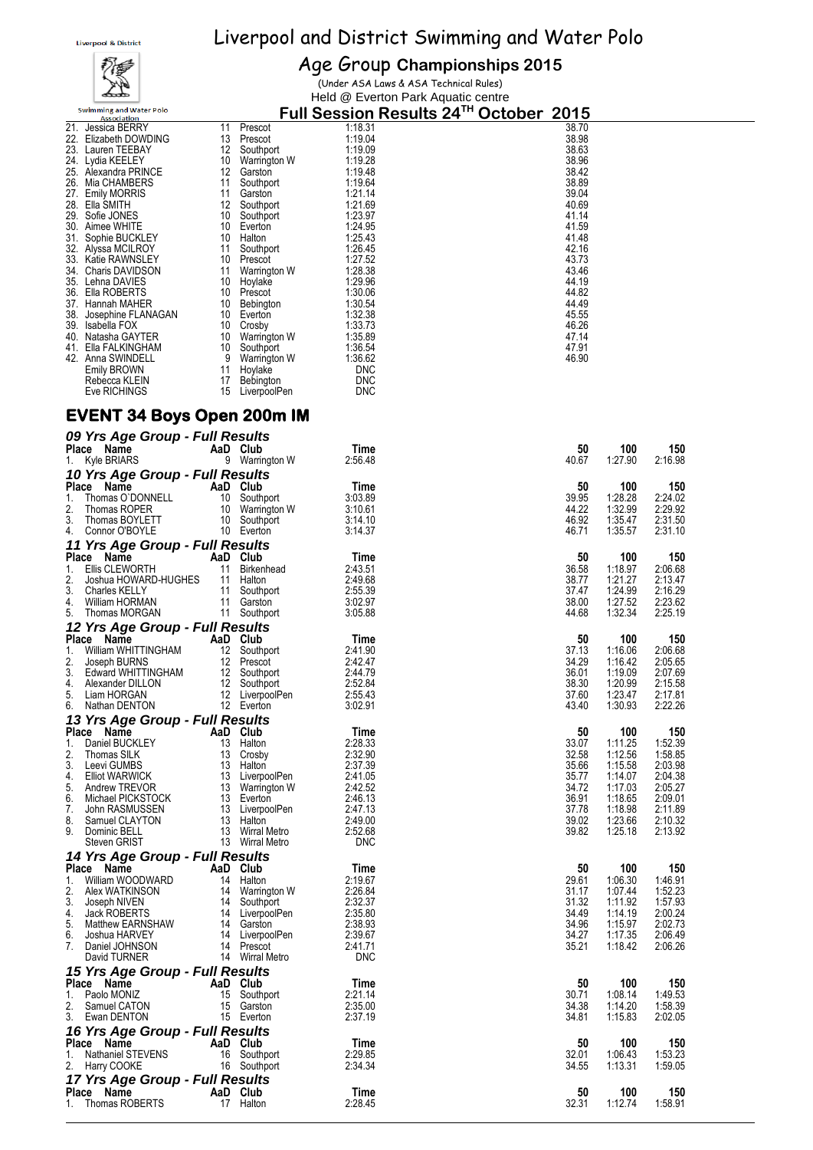# ∡

Age Group **Championships 2015** (Under ASA Laws & ASA Technical Rules)

Held @ Everton Park Aquatic centre **<u>Full Session Results 24<sup>TH</sup> October 2015</u>**<br><sup>38.70</sup><br><sup>38.98</sup> Swimming and Water Polo 21. Jessica BERRY 11 Prescot 1:18.31 38.70 22. Elizabeth DOWDING 13 Prescot 1:19.04 38.98 23. Lauren TEEBAY 12 Southport 1:19.09<br>24. Lydia KEELEY 10 Warrington W 1:19.28 38.96 38.96 24. Lydia KEELEY 10 Warrington W 1:19.28 38.96 25. Alexandra PRINCE 12 Garston 1:19.48 38.42 26. Mia CHAMBERS 11 Southport 1:19.64 38.89 27. Emily MORRIS 11 Garston 1:21.14 39.04 21. Etila SMITH (2008)<br>
21. Southport 1:21.69<br>
29. Sofie JONES 10 Southport 1:23.97 41.14<br>
30. Aimee WHITE 10 Halton 1:24.95<br>
32. Alyssa MCILROY 11 Southport 1:25.43<br>
32. Alyssa MCILROY 11 Southport 1:25.43<br>
33. Katie RAWN 28. Ella SMITH 12 Southport 1:21.69 40.69 29. Sofie JONES 10 Southport 1:23.97 41.14 30. Aimee WHITE 10 Everton 1:24.95 41.59 32. Alyssa MCILROY 11 Southport 1:26.45 42.16 33. Katie RAWNSLEY 10 Prescot 1:27.52 43.73<br>34. Charis DAVIDSON 11 Warrington W 1:28.38 43.46<br>35. Lehna DAVIES 10 Hoylake 1:29.96 44.19 11 Warrington W 1:28.38<br>
13.46 Lehna DAVIES 10 Hoylake 1:29.96<br>
13.30.06 1:39.06 1:39.06 44.82 35. Lehna DAVIES 10 Hoylake 1:29.96 44.19 36. Ella ROBERTS 10 Prescot 1:30.06 44.82 37. Hannah MAHER 10 Bebington 1:30.54 1:30.54 44.49<br>38. Josephine FLANAGAN 10 Everton 1:32.38 1:32.38 45.55 38. Josephine FLANAGAN 10 Everton 1:32.38 45.55 39. Isabella FOX 10 Crosby 1:33.73 46.26 40. Natasha GAYTER 10 Warrington W 1:35.89<br>41. Ella FALKINGHAM 10 Southport 1:35.54 47.91 Ella FALKINGHAM 10 Southport 1:36.54 47.91<br>
Anna SWINDELL 9 Warrington W 1:36.62 46.90<br>
Emily BROWN 11 Hoylake DNC<br>
Rebecca KLEIN 17 Bebington DNC 42. Anna SWINDELL 9 Warrington Emily BROWN<br>11 Hoylake Rebecca KLEIN 17 Bebington Emily BROWN Rebecca KLEIN 17 Bebington DNC<br>
Eve RICHINGS 15 LiverpoolPen DNC 15 LiverpoolPen

#### **EVENT 34 Boys Open 200m IM**

| 09 Yrs Age Group - Full Results<br>Place Name<br>1. Kyle BRIARS                                                                                                                                                                                                                                                            |                       | AaD Club<br>9 Warrington W                                  | Time<br>2:56.48                                                                                                       | 50<br>40.67                                                                         | 100<br>1:27.90                                                                                         | 150<br>2:16.98                                                                                         |
|----------------------------------------------------------------------------------------------------------------------------------------------------------------------------------------------------------------------------------------------------------------------------------------------------------------------------|-----------------------|-------------------------------------------------------------|-----------------------------------------------------------------------------------------------------------------------|-------------------------------------------------------------------------------------|--------------------------------------------------------------------------------------------------------|--------------------------------------------------------------------------------------------------------|
| 10 Yrs Age Group - Full Results                                                                                                                                                                                                                                                                                            |                       |                                                             |                                                                                                                       |                                                                                     |                                                                                                        |                                                                                                        |
| Place Name<br>Thomas O'DONNELL<br>Thomas ROPER<br>Thomas ROPER<br>Thomas BOYLETT<br>Thomas BOYLETT<br>10 Southport<br>Connor O'BOYLE<br>10 Everton<br>1.<br>2.<br>3.<br>4. Connor O'BOYLE                                                                                                                                  |                       | AaD Club<br>10 Warrington W<br>10 Southport                 | Time<br>3:03.89<br>3:10.61<br>3:14.10<br>3:14.37                                                                      | 50<br>39.95<br>44.22<br>46.92<br>46.71                                              | 100<br>1:28.28<br>1:32.99<br>1:35.47<br>1:35.57                                                        | 150<br>2:24.02<br>2:29.92<br>2:31.50<br>2:31.10                                                        |
| 11 Yrs Age Group - Full Results                                                                                                                                                                                                                                                                                            |                       |                                                             |                                                                                                                       |                                                                                     |                                                                                                        |                                                                                                        |
| Place Name<br>Ellis CLEWORTH<br>1.<br>2.<br>Joshua HOWARD-HUGHES 11 Halton<br>3.<br><b>Charles KELLY</b><br>William HORMAN<br>4.<br>5.<br>Thomas MORGAN                                                                                                                                                                    | AaD Club<br>11 Birken | 11 Birkenhead<br>11 Southport<br>11 Garston<br>11 Southport | Time<br>2:43.51<br>2:49.68<br>2:55.39<br>3:02.97<br>3:05.88                                                           | 50<br>36.58<br>38.77<br>37.47<br>38.00<br>44.68                                     | 100<br>1:18.97<br>1:21.27<br>1:24.99<br>1:27.52<br>1:32.34                                             | 150<br>2:06.68<br>2:13.47<br>2:16.29<br>2:23.62<br>2:25.19                                             |
| 12 Yrs Age Group - Full Results                                                                                                                                                                                                                                                                                            |                       |                                                             |                                                                                                                       |                                                                                     |                                                                                                        |                                                                                                        |
| Place Name<br><b>Example 2</b> AaD Club<br>Volume WHITTINGHAM<br>William WHITTINGHAM<br>12 Southport<br>Edward WHITTINGHAM<br>Alexander DILLON<br>12 Southport<br>Alexander DILLON<br>12 Southport<br>Liam HORGAN<br>12 LiverpoolPen<br>Nathan DENTON<br>12 LiverpoolPen<br>12 Everton<br>1.<br>2.<br>3.<br>4.<br>5.<br>6. |                       |                                                             | Time<br>2:41.90<br>2:42.47<br>2:44.79<br>2:52.84<br>2:55.43<br>3:02.91                                                | 50<br>37.13<br>34.29<br>36.01<br>38.30<br>37.60<br>43.40                            | 100<br>1:16.06<br>1:16.42<br>1:19.09<br>1:20.99<br>1:23.47<br>1:30.93                                  | 150<br>2:06.68<br>2:05.65<br>2:07.69<br>2:15.58<br>2:17.81<br>2:22.26                                  |
| 13 Yrs Age Group - Full Results<br>Place Name                                                                                                                                                                                                                                                                              |                       |                                                             |                                                                                                                       |                                                                                     |                                                                                                        |                                                                                                        |
| athan DLASS (Same Companies BUCKLEY<br>a Name AaD Club<br>Daniel BUCKLEY<br>Thomas SILK<br>Lewi GUMBS<br>Lewi GUMBS<br>Elliot WARWICK<br>Andrew TREVOR<br>Andrew TREVOR<br>Andrew TREVOR<br>Michael PICKSTOCK<br>John RASMUSSEN<br>Samuel CLAYTON<br>Sam<br>1.<br>2.<br>3.<br>4.<br>5.<br>6.<br>7.<br>8.<br>9.             |                       |                                                             | Time<br>2:28.33<br>2:32.90<br>2:37.39<br>2:41.05<br>2:42.52<br>2:46.13<br>2:47.13<br>2:49.00<br>2:52.68<br><b>DNC</b> | 50<br>33.07<br>32.58<br>35.66<br>35.77<br>34.72<br>36.91<br>37.78<br>39.02<br>39.82 | 100<br>1:11.25<br>1:12.56<br>1:15.58<br>1:14.07<br>1:17.03<br>1:18.65<br>1:18.98<br>1:23.66<br>1:25.18 | 150<br>1:52.39<br>1:58.85<br>2:03.98<br>2:04.38<br>2:05.27<br>2:09.01<br>2:11.89<br>2:10.32<br>2:13.92 |
| 14 Yrs Age Group - Full Results                                                                                                                                                                                                                                                                                            |                       |                                                             |                                                                                                                       |                                                                                     |                                                                                                        |                                                                                                        |
| Place Name<br>1. William WOODWARD<br>William WOODWARD<br>Alex WATKINSON 14 Halton<br>Joseph NIVEN<br>Jack ROBERTS 14 Southport<br>Jack ROBERTS 14 LiverpoolPen<br>Matthew EARNSHAW 14 Garston<br>Joshua HARVEY 14 LiverpoolPen<br>Daniel JOHNSON 14 Prescot<br>David TURNER 14 Wirr<br>2.<br>3.<br>4.<br>5.<br>6.<br>7.    |                       | AaD Club                                                    | Time<br>2:19.67<br>2:26.84<br>2:32.37<br>2:35.80<br>2:38.93<br>2:39.67<br>2:41.71<br><b>DNC</b>                       | 50<br>29.61<br>31.17<br>31.32<br>34.49<br>34.96<br>34.27<br>35.21                   | 100<br>1:06.30<br>1:07.44<br>1:11.92<br>1:14.19<br>1:15.97<br>1:17.35<br>1:18.42                       | 150<br>1:46.91<br>1:52.23<br>1:57.93<br>2:00.24<br>2:02.73<br>2:06.49<br>2:06.26                       |
| 15 Yrs Age Group - Full Results                                                                                                                                                                                                                                                                                            |                       |                                                             |                                                                                                                       |                                                                                     |                                                                                                        |                                                                                                        |
| Place Name<br>1. Paolo MONIZ<br>2. Samuel CATON<br>3. Ewan DENTON                                                                                                                                                                                                                                                          | AaD Club              | 15 Southport<br>15 Garston<br>15 Everton                    | Time<br>2:21.14<br>2:35.00<br>2:37.19                                                                                 | 50<br>30.71<br>34.38<br>34.81                                                       | 100<br>1:08.14<br>1:14.20<br>1:15.83                                                                   | 150<br>1:49.53<br>1:58.39<br>2:02.05                                                                   |
| 16 Yrs Age Group - Full Results<br>Place Name<br>Nathaniel STEVENS 16 Southport<br>Harry COOKE 16 Southport<br>1.<br>2. Harry COOKE                                                                                                                                                                                        |                       | AaD Club<br>16 Southport                                    | Time<br>2:29.85<br>2:34.34                                                                                            | 50<br>32.01<br>34.55                                                                | 100<br>1:06.43<br>1:13.31                                                                              | 150<br>1:53.23<br>1:59.05                                                                              |
| 17 Yrs Age Group - Full Results                                                                                                                                                                                                                                                                                            |                       |                                                             |                                                                                                                       |                                                                                     |                                                                                                        |                                                                                                        |
| Place Name<br>1. Thomas ROBERTS                                                                                                                                                                                                                                                                                            |                       | AaD Club<br>17 Halton                                       | Time<br>2:28.45                                                                                                       | 50<br>32.31                                                                         | 100<br>1:12.74                                                                                         | 150<br>1:58.91                                                                                         |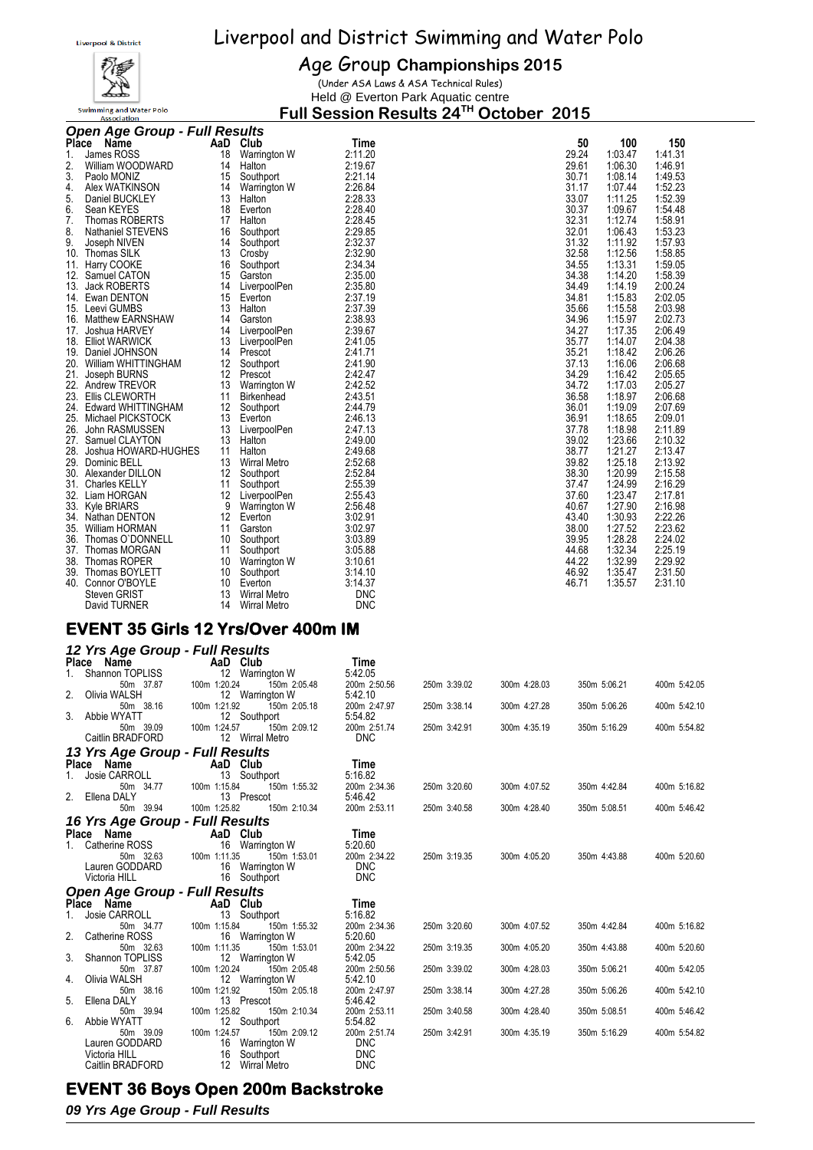

#### Age Group **Championships 2015**

(Under ASA Laws & ASA Technical Rules) Held @ Everton Park Aquatic centre

**Full Session Results 24TH October 2015**

|    | <b>Open Age Group - Full Results</b>        |                   |                     |            |                |                    |         |
|----|---------------------------------------------|-------------------|---------------------|------------|----------------|--------------------|---------|
|    | Place Name                                  |                   | AaD Club            | Time       | 50             | 100                | 150     |
| 1. | James ROSS                                  | 18                | Warrington W        | 2:11.20    | 29.24          | 1:03.47            | 1:41.31 |
| 2. | William WOODWARD                            | 14                | Halton              | 2:19.67    | 29.61          | 1:06.30            | 1:46.91 |
| 3. | Paolo MONIZ                                 | 15                | Southport           | 2:21.14    | 30.71          | 1:08.14            | 1:49.53 |
| 4. | Alex WATKINSON                              | 14                | Warrington W        | 2:26.84    | 31.17          | 1:07.44            | 1:52.23 |
| 5. | Daniel BUCKLEY                              | 13                | Halton              | 2:28.33    | 33.07          | 1:11.25            | 1:52.39 |
| 6. | Sean KEYES                                  | 18                | Everton             | 2:28.40    | 30.37          | 1:09.67            | 1:54.48 |
| 7. | Thomas ROBERTS                              | 17                | Halton              | 2:28.45    | 32.31          | 1:12.74            | 1:58.91 |
| 8. | <b>Nathaniel STEVENS</b>                    | 16                | Southport           | 2:29.85    | 32.01          | 1:06.43            | 1:53.23 |
| 9. | Joseph NIVEN                                | 14                | Southport           | 2:32.37    | 31.32          | 1:11.92            | 1:57.93 |
|    | 10. Thomas SILK                             | 13                | Crosby              | 2:32.90    | 32.58          | 1:12.56            | 1:58.85 |
|    | 11. Harry COOKE                             | 16                | Southport           | 2:34.34    | 34.55          | 1:13.31            | 1:59.05 |
|    | 12. Samuel CATON                            | 15                | Garston             | 2:35.00    | 34.38          | 1:14.20            | 1:58.39 |
|    | 13. Jack ROBERTS                            | 14                | LiverpoolPen        | 2:35.80    | 34.49          | 1:14.19            | 2:00.24 |
|    | 14. Ewan DENTON                             | 15                | Everton             | 2:37.19    | 34.81          | 1:15.83            | 2:02.05 |
|    | 15. Leevi GUMBS                             | 13                | Halton              | 2:37.39    | 35.66          | 1:15.58            | 2:03.98 |
|    | 16. Matthew EARNSHAW                        | 14                | Garston             | 2:38.93    | 34.96          | 1:15.97            | 2:02.73 |
|    | 17. Joshua HARVEY                           | 14                | LiverpoolPen        | 2:39.67    | 34.27          | 1:17.35            | 2:06.49 |
|    | 18. Elliot WARWICK                          | 13                | LiverpoolPen        | 2:41.05    | 35.77          | 1:14.07            | 2:04.38 |
|    | 19. Daniel JOHNSON                          | 14                | Prescot             | 2:41.71    | 35.21          | 1:18.42            | 2:06.26 |
|    | 20. William WHITTINGHAM                     | $12 \overline{ }$ | Southport           | 2:41.90    | 37.13          | 1:16.06            | 2:06.68 |
|    | 21. Joseph BURNS                            | 12                | Prescot             | 2:42.47    | 34.29          | 1:16.42            | 2:05.65 |
|    | 22. Andrew TREVOR                           | 13                | Warrington W        | 2:42.52    | 34.72          | 1:17.03            | 2:05.27 |
|    | 23. Ellis CLEWORTH                          | 11                | Birkenhead          | 2:43.51    | 36.58          | 1:18.97            | 2:06.68 |
|    | 24. Edward WHITTINGHAM                      | 12                | Southport           | 2:44.79    | 36.01          | 1:19.09            | 2:07.69 |
|    | 25. Michael PICKSTOCK                       | 13                | Everton             | 2:46.13    | 36.91          | 1:18.65            | 2:09.01 |
|    | 26. John RASMUSSEN                          | 13                | LiverpoolPen        | 2:47.13    | 37.78          | 1:18.98            | 2:11.89 |
|    | 27. Samuel CLAYTON                          | 13                | Halton              | 2:49.00    | 39.02          | 1:23.66            | 2:10.32 |
|    | 28. Joshua HOWARD-HUGHES                    | 11                | Halton              | 2:49.68    | 38.77          | 1:21.27            | 2:13.47 |
|    | 29. Dominic BELL                            | 13                | <b>Wirral Metro</b> | 2:52.68    | 39.82          | 1:25.18            | 2:13.92 |
|    | 30. Alexander DILLON                        | 12                | Southport           | 2:52.84    | 38.30          | 1:20.99            | 2:15.58 |
|    | 31. Charles KELLY                           | 11                | Southport           | 2:55.39    | 37.47          | 1:24.99            | 2:16.29 |
|    | 32. Liam HORGAN                             | 12                | LiverpoolPen        | 2:55.43    | 37.60          | 1:23.47            | 2:17.81 |
|    | 33. Kyle BRIARS                             | 9                 | Warrington W        | 2:56.48    | 40.67          | 1:27.90            | 2:16.98 |
|    | 34. Nathan DENTON                           | $12 \overline{ }$ | Everton             | 3:02.91    | 43.40          | 1:30.93            | 2:22.26 |
|    | 35. William HORMAN                          | 11                | Garston             | 3:02.97    | 38.00          | 1:27.52            | 2:23.62 |
|    | 36. Thomas O'DONNELL                        | 10                | Southport           | 3:03.89    | 39.95          | 1:28.28            | 2:24.02 |
|    | 37. Thomas MORGAN                           | 11                | Southport           | 3:05.88    | 44.68          | 1:32.34            | 2:25.19 |
|    |                                             |                   |                     |            |                |                    | 2:29.92 |
|    | 38. Thomas ROPER                            | 10                | Warrington W        | 3:10.61    | 44.22<br>46.92 | 1:32.99<br>1:35.47 | 2:31.50 |
|    | 39. Thomas BOYLETT                          | 10                | Southport           | 3:14.10    |                |                    |         |
|    | 40. Connor O'BOYLE                          | 10                | Everton             | 3:14.37    | 46.71          | 1:35.57            | 2:31.10 |
|    | Steven GRIST                                | 13                | <b>Wirral Metro</b> | <b>DNC</b> |                |                    |         |
|    | David TURNER                                | 14                | <b>Wirral Metro</b> | <b>DNC</b> |                |                    |         |
|    | $E$ VENT 25 $C$ inia 42 Vea $D$ van 400m IM |                   |                     |            |                |                    |         |

#### **EVENT 35 Girls 12 Yrs/Over 400m IM**

|    | 12 Yrs Age Group - Full Results      |                                            |                         |              |              |              |              |
|----|--------------------------------------|--------------------------------------------|-------------------------|--------------|--------------|--------------|--------------|
|    | Place Name                           | AaD Club                                   | Time                    |              |              |              |              |
| 1. | Shannon TOPLISS                      | 12 Warrington W                            | 5:42.05                 |              |              |              |              |
|    | 50m 37.87                            | 100m 1:20.24<br>150m 2:05.48               | 200m 2:50.56            | 250m 3:39.02 | 300m 4:28.03 | 350m 5:06.21 | 400m 5:42.05 |
| 2. | Olivia WALSH                         | 12 Warrington W                            | 5:42.10                 |              |              |              |              |
|    | 50m 38.16                            | 100m 1:21.92<br>150m 2:05.18               | 200m 2:47.97            | 250m 3:38.14 | 300m 4:27.28 | 350m 5:06.26 | 400m 5:42.10 |
| 3. | Abbie WYATT                          | 12 Southport                               | 5:54.82                 |              |              |              |              |
|    | 50m 39.09                            | 100m 1:24.57<br>150m 2:09.12               | 200m 2:51.74            | 250m 3:42.91 | 300m 4:35.19 | 350m 5:16.29 | 400m 5:54.82 |
|    | Caitlin BRADFORD                     | 12 Wirral Metro                            | <b>DNC</b>              |              |              |              |              |
|    | 13 Yrs Age Group - Full Results      |                                            |                         |              |              |              |              |
|    | Place Name                           | AaD Club                                   | Time                    |              |              |              |              |
|    | Josie CARROLL                        | 13<br>Southport                            | 5:16.82                 |              |              |              |              |
|    | 50m 34.77                            | 100m 1:15.84<br>150m 1:55.32               | 200m 2:34.36            | 250m 3:20.60 | 300m 4:07.52 | 350m 4:42.84 | 400m 5:16.82 |
| 2. | Ellena DALY                          | 13 Prescot                                 | 5:46.42                 |              |              |              |              |
|    | 50m 39.94                            | 100m 1:25.82<br>150m 2:10.34               | 200m 2:53.11            | 250m 3:40.58 | 300m 4:28.40 | 350m 5:08.51 | 400m 5:46.42 |
|    | 16 Yrs Age Group - Full Results      |                                            |                         |              |              |              |              |
|    | Place Name                           | AaD Club                                   | Time                    |              |              |              |              |
| 1. | Catherine ROSS                       | 16 Warrington W                            | 5:20.60                 |              |              |              |              |
|    | 50m 32.63                            | 100m 1:11.35<br>150m 1:53.01               | 200m 2:34.22            | 250m 3:19.35 | 300m 4:05.20 | 350m 4:43.88 | 400m 5:20.60 |
|    | Lauren GODDARD                       | 16 Warrington W                            | <b>DNC</b>              |              |              |              |              |
|    | Victoria HILL                        | 16 Southport                               | <b>DNC</b>              |              |              |              |              |
|    | <b>Open Age Group - Full Results</b> |                                            |                         |              |              |              |              |
|    | Place Name                           | AaD Club                                   | Time                    |              |              |              |              |
|    | Josie CARROLL                        | 13 Southport                               | 5:16.82                 |              |              |              |              |
|    | 50m 34.77                            | 100m 1:15.84<br>150m 1:55.32               | 200m 2:34.36            | 250m 3:20.60 | 300m 4:07.52 | 350m 4:42.84 | 400m 5:16.82 |
| 2. | Catherine ROSS                       | 16 Warrington W                            | 5:20.60                 |              |              |              |              |
|    | 50m 32.63                            | 100m 1:11.35<br>150m 1:53.01               | 200m 2:34.22            | 250m 3:19.35 | 300m 4:05.20 | 350m 4:43.88 | 400m 5:20.60 |
| 3. | Shannon TOPLISS                      | 12 Warrington W                            | 5:42.05                 |              |              |              |              |
|    | 50m 37.87                            | 100m 1:20.24<br>150m 2:05.48               | 200m 2:50.56            | 250m 3:39.02 | 300m 4:28.03 | 350m 5:06.21 | 400m 5:42.05 |
| 4. | Olivia WALSH                         | 12 Warrington W                            | 5:42.10                 |              |              |              |              |
| 5. | 50m 38.16<br>Ellena DALY             | 100m 1:21.92<br>150m 2:05.18<br>13 Prescot | 200m 2:47.97<br>5:46.42 | 250m 3:38.14 | 300m 4:27.28 | 350m 5:06.26 | 400m 5:42.10 |
|    | 50m 39.94                            | 100m 1:25.82<br>150m 2:10.34               | 200m 2:53.11            | 250m 3:40.58 | 300m 4:28.40 | 350m 5:08.51 | 400m 5:46.42 |
| 6. | Abbie WYATT                          | 12 Southport                               | 5:54.82                 |              |              |              |              |
|    | 50m 39.09                            | 100m 1:24.57<br>150m 2:09.12               | 200m 2:51.74            | 250m 3:42.91 | 300m 4:35.19 | 350m 5:16.29 | 400m 5:54.82 |
|    | Lauren GODDARD                       | 16 Warrington W                            | <b>DNC</b>              |              |              |              |              |
|    | Victoria HILL                        | 16<br>Southport                            | <b>DNC</b>              |              |              |              |              |
|    | Caitlin BRADFORD                     | 12 Wirral Metro                            | <b>DNC</b>              |              |              |              |              |

#### **EVENT 36 Boys Open 200m Backstroke**

*09 Yrs Age Group - Full Results*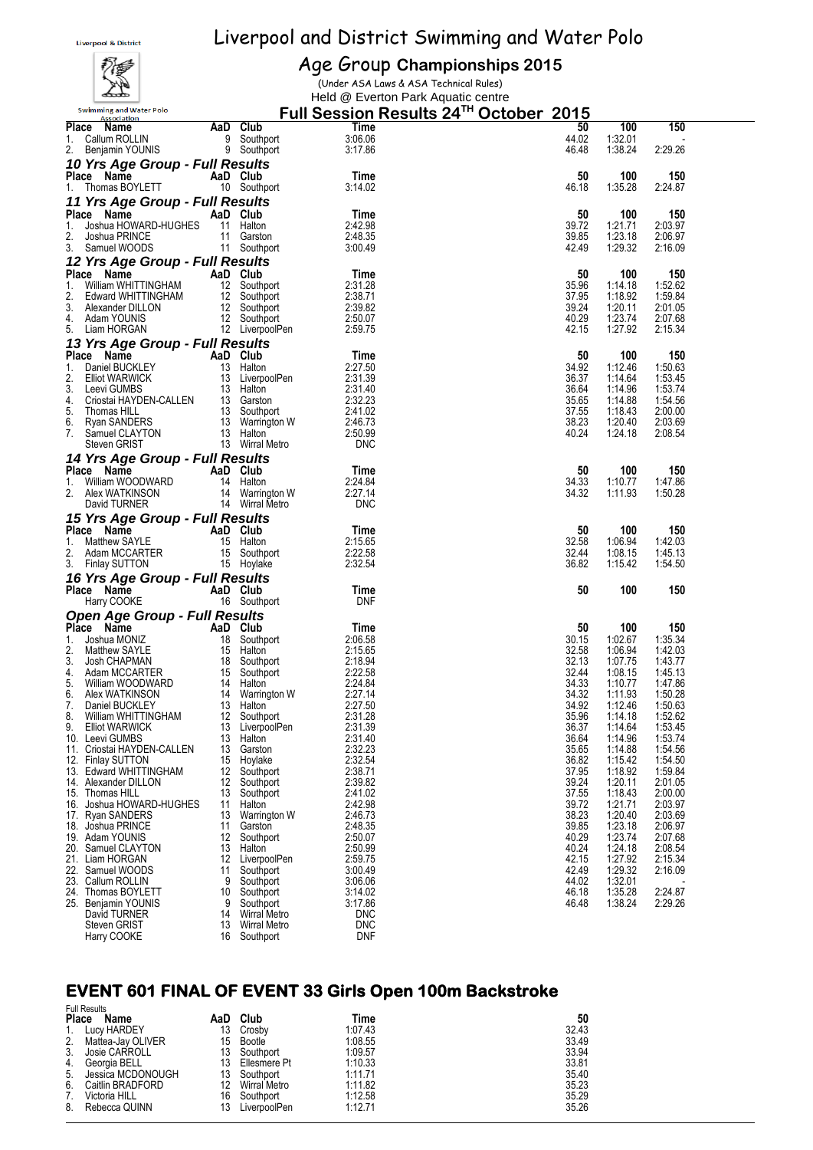

#### Age Group **Championships 2015**

(Under ASA Laws & ASA Technical Rules) Held @ Everton Park Aquatic centre

| <b>Swimming and Water Polo</b><br>Association      |                   |                                          | Full Session Results 24™ October_2015 |                |                    |                    |  |
|----------------------------------------------------|-------------------|------------------------------------------|---------------------------------------|----------------|--------------------|--------------------|--|
| Place Name                                         |                   | AaD Club                                 | Time                                  | 50             | 100                | 150                |  |
| 1.<br>Callum ROLLIN                                |                   | 9 Southport                              | 3:06.06                               | 44.02          | 1:32.01            |                    |  |
| 2. Benjamin YOUNIS                                 |                   | 9 Southport                              | 3:17.86                               | 46.48          | 1:38.24            | 2:29.26            |  |
| 10 Yrs Age Group - Full Results                    |                   |                                          |                                       |                |                    |                    |  |
| Place Name<br>Thomas BOYLETT                       |                   | AaD Club                                 | Time                                  | 50             | 100                | 150                |  |
| 1.                                                 |                   | 10 Southport                             | 3:14.02                               | 46.18          | 1:35.28            | 2:24.87            |  |
| 11 Yrs Age Group - Full Results<br>Place Name      |                   | AaD Club                                 | Time                                  | 50             | 100                | 150                |  |
| Joshua HOWARD-HUGHES<br>1.                         |                   | 11 Halton                                | 2:42.98                               | 39.72          | 1:21.71            | 2:03.97            |  |
| 2.<br>Joshua PRINCE                                | 11                | Garston                                  | 2:48.35                               | 39.85          | 1:23.18            | 2:06.97            |  |
| 3.<br>Samuel WOODS                                 |                   | 11 Southport                             | 3:00.49                               | 42.49          | 1:29.32            | 2:16.09            |  |
| 12 Yrs Age Group - Full Results                    |                   |                                          |                                       |                |                    |                    |  |
| Place Name                                         |                   | AaD Club                                 | Time                                  | 50             | 100                | 150                |  |
| 1.<br>William WHITTINGHAM                          |                   | 12 Southport                             | 2:31.28                               | 35.96          | 1:14.18            | 1:52.62            |  |
| 2.<br>Edward WHITTINGHAM<br>3.<br>Alexander DILLON |                   | 12 Southport<br>12 Southport             | 2:38.71<br>2:39.82                    | 37.95<br>39.24 | 1:18.92<br>1:20.11 | 1:59.84<br>2:01.05 |  |
| 4.<br>Adam YOUNIS                                  |                   | 12 Southport                             | 2:50.07                               | 40.29          | 1:23.74            | 2:07.68            |  |
| 5.<br>Liam HORGAN                                  |                   | 12 LiverpoolPen                          | 2:59.75                               | 42.15          | 1:27.92            | 2:15.34            |  |
| 13 Yrs Age Group - Full Results                    |                   |                                          |                                       |                |                    |                    |  |
| Place Name                                         |                   | AaD Club                                 | Time                                  | 50             | 100                | 150                |  |
| 1.<br>Daniel BUCKLEY                               |                   | 13 Halton                                | 2:27.50                               | 34.92          | 1:12.46            | 1:50.63            |  |
| 2.<br>Elliot WARWICK                               |                   | 13 LiverpoolPen                          | 2:31.39                               | 36.37          | 1:14.64            | 1:53.45            |  |
| 3.<br>Leevi GUMBS<br>Criostai HAYDEN-CALLEN<br>4.  |                   | 13 Halton                                | 2:31.40<br>2:32.23                    | 36.64<br>35.65 | 1:14.96<br>1:14.88 | 1:53.74<br>1:54.56 |  |
| 5.<br>Thomas HILL                                  |                   | 13 Garston<br>13 Southpo<br>13 Southport | 2:41.02                               | 37.55          | 1:18.43            | 2:00.00            |  |
| 6.<br>Ryan SANDERS                                 |                   | 13 Warrington W                          | 2:46.73                               | 38.23          | 1:20.40            | 2:03.69            |  |
| 7.<br>Samuel CLAYTON                               |                   | 13 Halton                                | 2:50.99                               | 40.24          | 1:24.18            | 2:08.54            |  |
| Steven GRIST                                       |                   | 13 Wirral Metro                          | <b>DNC</b>                            |                |                    |                    |  |
| 14 Yrs Age Group - Full Results                    |                   |                                          |                                       |                |                    |                    |  |
| Place Name                                         | 14                | AaD Club                                 | Time<br>2:24.84                       | 50<br>34.33    | 100<br>1:10.77     | 150<br>1:47.86     |  |
| 1.<br>William WOODWARD<br>2.<br>Alex WATKINSON     |                   | Halton<br>14 Warrington W                | 2:27.14                               | 34.32          | 1:11.93            | 1:50.28            |  |
| David TURNER                                       |                   | 14 Wirral Metro                          | <b>DNC</b>                            |                |                    |                    |  |
| 15 Yrs Age Group - Full Results                    |                   |                                          |                                       |                |                    |                    |  |
| Place Name                                         |                   | AaD Club                                 | Time                                  | 50             | 100                | 150                |  |
| 1.<br>Matthew SAYLE                                |                   | 15 Halton                                | 2:15.65                               | 32.58          | 1:06.94            | 1:42.03            |  |
| 2.<br>Adam MCCARTER                                |                   | 15 Southport                             | 2:22.58                               | 32.44          | 1:08.15            | 1:45.13            |  |
| 3.<br><b>Finlay SUTTON</b>                         |                   | 15 Hoylake                               | 2:32.54                               | 36.82          | 1:15.42            | 1:54.50            |  |
| 16 Yrs Age Group - Full Results                    |                   |                                          |                                       |                |                    |                    |  |
| Place Name<br>Harry COOKE                          |                   | AaD Club<br>16 Southport                 | Time<br><b>DNF</b>                    | 50             | 100                | 150                |  |
| <b>Open Age Group - Full Results</b>               |                   |                                          |                                       |                |                    |                    |  |
| Place Name                                         |                   | AaD Club                                 | Time                                  | 50             | 100                | 150                |  |
| 1.<br>Joshua MONIZ                                 | 18                | Southport                                | 2:06.58                               | 30.15          | 1:02.67            | 1:35.34            |  |
| 2.<br><b>Matthew SAYLE</b>                         |                   | 15 Halton                                | 2:15.65                               | 32.58          | 1:06.94            | 1:42.03            |  |
| 3.<br>Josh CHAPMAN                                 |                   | 18 Southport                             | 2:18.94                               | 32.13          | 1:07.75            | 1:43.77            |  |
| 4.<br>Adam MCCARTER                                |                   | 15 Southport                             | 2:22.58                               | 32.44          | 1:08.15            | 1:45.13            |  |
| 5.<br>William WOODWARD<br>6.<br>Alex WATKINSON     |                   | 14 Halton<br>14 Warrington W             | 2:24.84<br>2:27.14                    | 34.33<br>34.32 | 1:10.77<br>1:11.93 | 1:47.86<br>1:50.28 |  |
| 7.<br>Daniel BUCKLEY                               |                   | 13 Halton                                | 2:27.50                               | 34.92          | 1:12.46            | 1:50.63            |  |
| 8<br>William WHITTINGHAM                           |                   | 12 Southport                             | 2:31.28                               | 35.96          | 1:14.18            | 1:52.62            |  |
| 9.<br><b>Elliot WARWICK</b>                        | 13                | LiverpoolPen                             | 2:31.39                               | 36.37          | 1:14.64            | 1:53.45            |  |
| 10. Leevi GUMBS                                    | 13<br>13          | Halton                                   | 2:31.40<br>2:32.23                    | 36.64<br>35.65 | 1:14.96<br>1:14.88 | 1:53.74<br>1:54.56 |  |
| 11. Criostai HAYDEN-CALLEN<br>12. Finlay SUTTON    | 15                | Garston<br>Hoylake                       | 2:32.54                               | 36.82          | 1:15.42            | 1:54.50            |  |
| 13. Edward WHITTINGHAM                             | 12                | Southport                                | 2:38.71                               | 37.95          | 1:18.92            | 1:59.84            |  |
| 14. Alexander DILLON                               | $12 \overline{ }$ | Southport                                | 2:39.82                               | 39.24          | 1:20.11            | 2:01.05            |  |
| 15. Thomas HILL                                    | 13                | Southport                                | 2:41.02                               | 37.55          | 1:18.43            | 2:00.00            |  |
| 16. Joshua HOWARD-HUGHES<br>17. Ryan SANDERS       | 11<br>13          | Halton<br>Warrington W                   | 2:42.98<br>2:46.73                    | 39.72<br>38.23 | 1:21.71<br>1:20.40 | 2:03.97<br>2:03.69 |  |
| 18. Joshua PRINCE                                  | 11                | Garston                                  | 2:48.35                               | 39.85          | 1:23.18            | 2:06.97            |  |
| 19. Adam YOUNIS                                    | 12                | Southport                                | 2:50.07                               | 40.29          | 1:23.74            | 2:07.68            |  |
| 20. Samuel CLAYTON                                 | 13                | Halton                                   | 2:50.99                               | 40.24          | 1:24.18            | 2:08.54            |  |
| 21. Liam HORGAN                                    | 12                | LiverpoolPen                             | 2:59.75                               | 42.15          | 1:27.92            | 2:15.34            |  |
| 22. Samuel WOODS<br>23. Callum ROLLIN              | 11<br>9           | Southport<br>Southport                   | 3:00.49<br>3:06.06                    | 42.49<br>44.02 | 1:29.32<br>1:32.01 | 2:16.09            |  |
| 24. Thomas BOYLETT                                 | 10                | Southport                                | 3:14.02                               | 46.18          | 1:35.28            | 2:24.87            |  |
| 25. Benjamin YOUNIS                                | 9                 | Southport                                | 3:17.86                               | 46.48          | 1:38.24            | 2:29.26            |  |
| David TURNER                                       | 14                | <b>Wirral Metro</b>                      | <b>DNC</b>                            |                |                    |                    |  |
| Steven GRIST<br>Harry COOKE                        | 13<br>16          | <b>Wirral Metro</b>                      | <b>DNC</b><br><b>DNF</b>              |                |                    |                    |  |
|                                                    |                   | Southport                                |                                       |                |                    |                    |  |

# **EVENT 601 FINAL OF EVENT 33 Girls Open 100m Backstroke**

| <b>Place</b><br>1. | <b>Full Results</b><br>Name<br>Lucy HARDEY | AaD<br>13 | Club<br>Crosby | Time<br>1:07.43 | 50<br>32.43 |
|--------------------|--------------------------------------------|-----------|----------------|-----------------|-------------|
| 2.                 | Mattea-Jay OLIVER                          | 13        | 15 Bootle      | 1:08.55         | 33.49       |
| 3.                 | Josie CARROLL                              |           | Southport      | 1:09.57         | 33.94       |
| 4.                 | Georgia BELL                               | 13        | Ellesmere Pt   | 1:10.33         | 33.81       |
| 5.                 | Jessica MCDONOUGH                          | 13        | Southport      | 1:11.71         | 35.40       |
| 6.                 | Caitlin BRADFORD                           | 12        | Wirral Metro   | 1:11.82         | 35.23       |
| 7.                 | Victoria HILL                              | 16        | Southport      | 1:12.58         | 35.29       |
| 8.                 | Rebecca QUINN                              | 13        | LiverpoolPen   | 1:12.71         | 35.26       |